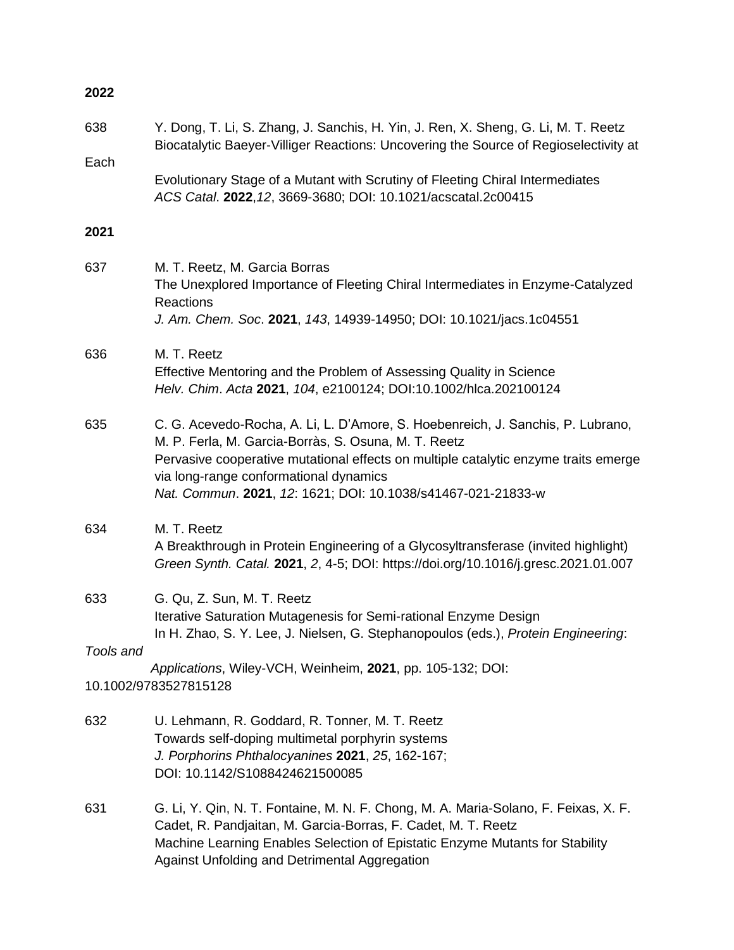| 2022             |                                                                                                                                                                                                                                                                                                                                          |
|------------------|------------------------------------------------------------------------------------------------------------------------------------------------------------------------------------------------------------------------------------------------------------------------------------------------------------------------------------------|
| 638              | Y. Dong, T. Li, S. Zhang, J. Sanchis, H. Yin, J. Ren, X. Sheng, G. Li, M. T. Reetz<br>Biocatalytic Baeyer-Villiger Reactions: Uncovering the Source of Regioselectivity at                                                                                                                                                               |
| Each             | Evolutionary Stage of a Mutant with Scrutiny of Fleeting Chiral Intermediates<br>ACS Catal. 2022, 12, 3669-3680; DOI: 10.1021/acscatal.2c00415                                                                                                                                                                                           |
| 2021             |                                                                                                                                                                                                                                                                                                                                          |
| 637              | M. T. Reetz, M. Garcia Borras<br>The Unexplored Importance of Fleeting Chiral Intermediates in Enzyme-Catalyzed<br><b>Reactions</b><br>J. Am. Chem. Soc. 2021, 143, 14939-14950; DOI: 10.1021/jacs.1c04551                                                                                                                               |
| 636              | M. T. Reetz<br>Effective Mentoring and the Problem of Assessing Quality in Science<br>Helv. Chim. Acta 2021, 104, e2100124; DOI:10.1002/hlca.202100124                                                                                                                                                                                   |
| 635              | C. G. Acevedo-Rocha, A. Li, L. D'Amore, S. Hoebenreich, J. Sanchis, P. Lubrano,<br>M. P. Ferla, M. Garcia-Borràs, S. Osuna, M. T. Reetz<br>Pervasive cooperative mutational effects on multiple catalytic enzyme traits emerge<br>via long-range conformational dynamics<br>Nat. Commun. 2021, 12: 1621; DOI: 10.1038/s41467-021-21833-w |
| 634              | M. T. Reetz<br>A Breakthrough in Protein Engineering of a Glycosyltransferase (invited highlight)<br>Green Synth. Catal. 2021, 2, 4-5; DOI: https://doi.org/10.1016/j.gresc.2021.01.007                                                                                                                                                  |
| 633<br>Tools and | G. Qu, Z. Sun, M. T. Reetz<br>Iterative Saturation Mutagenesis for Semi-rational Enzyme Design<br>In H. Zhao, S. Y. Lee, J. Nielsen, G. Stephanopoulos (eds.), Protein Engineering:                                                                                                                                                      |
|                  | Applications, Wiley-VCH, Weinheim, 2021, pp. 105-132; DOI:<br>10.1002/9783527815128                                                                                                                                                                                                                                                      |
| 632              | U. Lehmann, R. Goddard, R. Tonner, M. T. Reetz<br>Towards self-doping multimetal porphyrin systems<br>J. Porphorins Phthalocyanines 2021, 25, 162-167;<br>DOI: 10.1142/S1088424621500085                                                                                                                                                 |
| 631              | G. Li, Y. Qin, N. T. Fontaine, M. N. F. Chong, M. A. Maria-Solano, F. Feixas, X. F.<br>Cadet, R. Pandjaitan, M. Garcia-Borras, F. Cadet, M. T. Reetz<br>Machine Learning Enables Selection of Epistatic Enzyme Mutants for Stability<br>Against Unfolding and Detrimental Aggregation                                                    |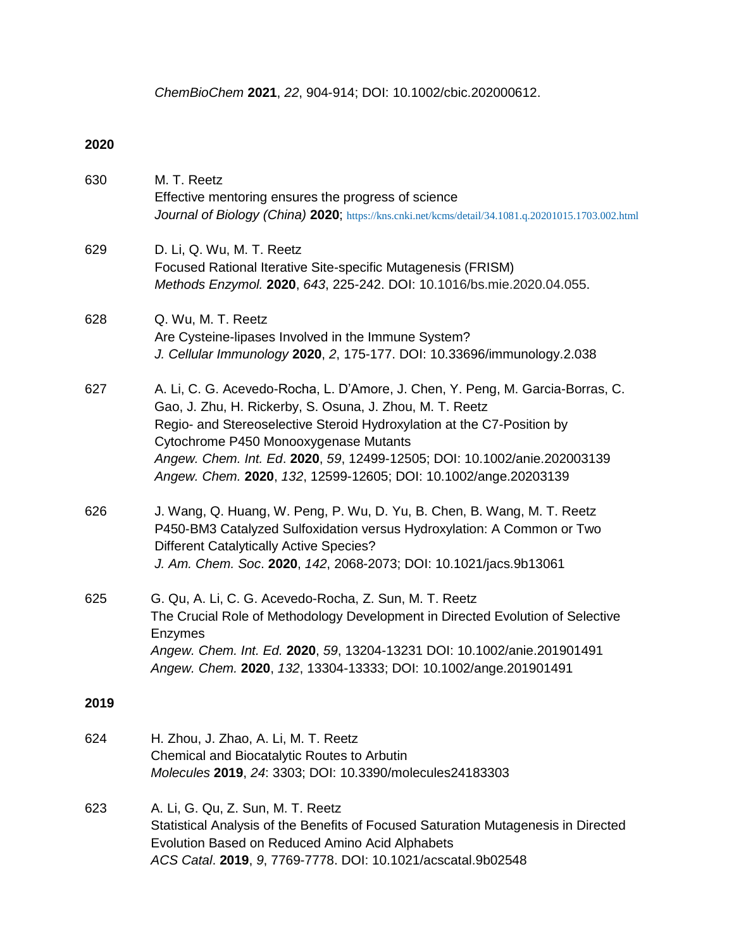*ChemBioChem* **2021**, *22*, 904-914; DOI: 10.1002/cbic.202000612.

| 630  | M. T. Reetz<br>Effective mentoring ensures the progress of science<br>Journal of Biology (China) 2020; https://kns.cnki.net/kcms/detail/34.1081.q.20201015.1703.002.html                                                                                                                                                                                                                                     |
|------|--------------------------------------------------------------------------------------------------------------------------------------------------------------------------------------------------------------------------------------------------------------------------------------------------------------------------------------------------------------------------------------------------------------|
| 629  | D. Li, Q. Wu, M. T. Reetz<br>Focused Rational Iterative Site-specific Mutagenesis (FRISM)<br>Methods Enzymol. 2020, 643, 225-242. DOI: 10.1016/bs.mie.2020.04.055.                                                                                                                                                                                                                                           |
| 628  | Q. Wu, M. T. Reetz<br>Are Cysteine-lipases Involved in the Immune System?<br>J. Cellular Immunology 2020, 2, 175-177. DOI: 10.33696/immunology.2.038                                                                                                                                                                                                                                                         |
| 627  | A. Li, C. G. Acevedo-Rocha, L. D'Amore, J. Chen, Y. Peng, M. Garcia-Borras, C.<br>Gao, J. Zhu, H. Rickerby, S. Osuna, J. Zhou, M. T. Reetz<br>Regio- and Stereoselective Steroid Hydroxylation at the C7-Position by<br>Cytochrome P450 Monooxygenase Mutants<br>Angew. Chem. Int. Ed. 2020, 59, 12499-12505; DOI: 10.1002/anie.202003139<br>Angew. Chem. 2020, 132, 12599-12605; DOI: 10.1002/ange.20203139 |
| 626  | J. Wang, Q. Huang, W. Peng, P. Wu, D. Yu, B. Chen, B. Wang, M. T. Reetz<br>P450-BM3 Catalyzed Sulfoxidation versus Hydroxylation: A Common or Two<br><b>Different Catalytically Active Species?</b><br>J. Am. Chem. Soc. 2020, 142, 2068-2073; DOI: 10.1021/jacs.9b13061                                                                                                                                     |
| 625  | G. Qu, A. Li, C. G. Acevedo-Rocha, Z. Sun, M. T. Reetz<br>The Crucial Role of Methodology Development in Directed Evolution of Selective<br>Enzymes<br>Angew. Chem. Int. Ed. 2020, 59, 13204-13231 DOI: 10.1002/anie.201901491<br>Angew. Chem. 2020, 132, 13304-13333; DOI: 10.1002/ange.201901491                                                                                                           |
| 2019 |                                                                                                                                                                                                                                                                                                                                                                                                              |
| 624  | H. Zhou, J. Zhao, A. Li, M. T. Reetz<br>Chemical and Biocatalytic Routes to Arbutin<br>Molecules 2019, 24: 3303; DOI: 10.3390/molecules24183303                                                                                                                                                                                                                                                              |
| 623  | A. Li, G. Qu, Z. Sun, M. T. Reetz<br>Statistical Analysis of the Benefits of Focused Saturation Mutagenesis in Directed<br>Evolution Based on Reduced Amino Acid Alphabets<br>ACS Catal. 2019, 9, 7769-7778. DOI: 10.1021/acscatal.9b02548                                                                                                                                                                   |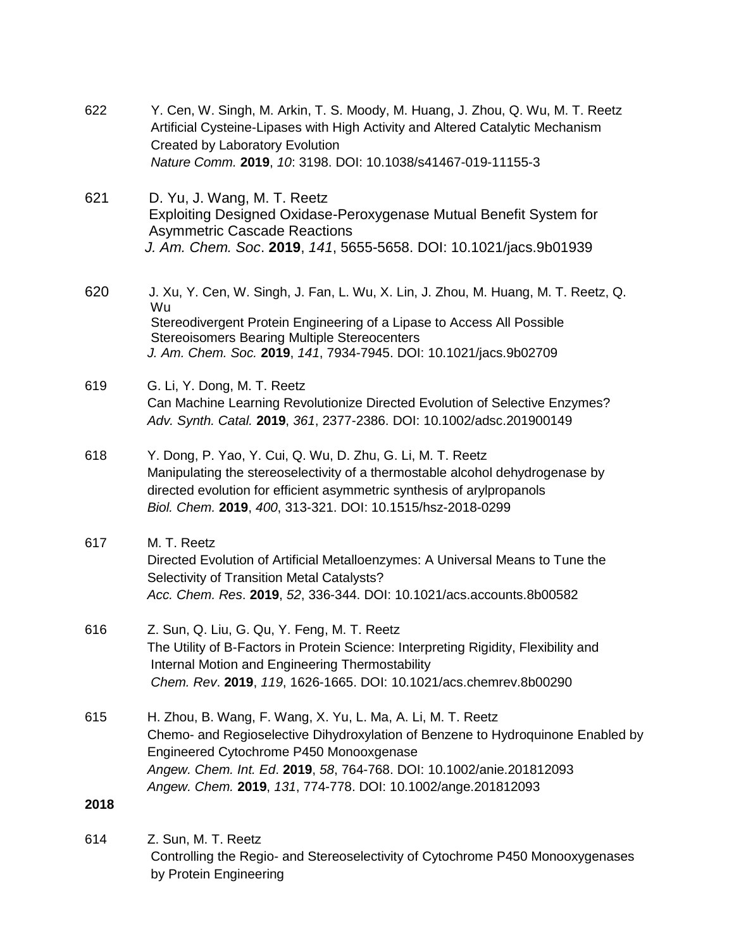| 622  | Y. Cen, W. Singh, M. Arkin, T. S. Moody, M. Huang, J. Zhou, Q. Wu, M. T. Reetz<br>Artificial Cysteine-Lipases with High Activity and Altered Catalytic Mechanism<br><b>Created by Laboratory Evolution</b>                                                                                                                        |
|------|-----------------------------------------------------------------------------------------------------------------------------------------------------------------------------------------------------------------------------------------------------------------------------------------------------------------------------------|
|      | Nature Comm. 2019, 10: 3198. DOI: 10.1038/s41467-019-11155-3                                                                                                                                                                                                                                                                      |
| 621  | D. Yu, J. Wang, M. T. Reetz<br>Exploiting Designed Oxidase-Peroxygenase Mutual Benefit System for<br><b>Asymmetric Cascade Reactions</b><br>J. Am. Chem. Soc. 2019, 141, 5655-5658. DOI: 10.1021/jacs.9b01939                                                                                                                     |
| 620  | J. Xu, Y. Cen, W. Singh, J. Fan, L. Wu, X. Lin, J. Zhou, M. Huang, M. T. Reetz, Q.<br>Wu<br>Stereodivergent Protein Engineering of a Lipase to Access All Possible<br><b>Stereoisomers Bearing Multiple Stereocenters</b><br>J. Am. Chem. Soc. 2019, 141, 7934-7945. DOI: 10.1021/jacs.9b02709                                    |
| 619  | G. Li, Y. Dong, M. T. Reetz<br>Can Machine Learning Revolutionize Directed Evolution of Selective Enzymes?<br>Adv. Synth. Catal. 2019, 361, 2377-2386. DOI: 10.1002/adsc.201900149                                                                                                                                                |
| 618  | Y. Dong, P. Yao, Y. Cui, Q. Wu, D. Zhu, G. Li, M. T. Reetz<br>Manipulating the stereoselectivity of a thermostable alcohol dehydrogenase by<br>directed evolution for efficient asymmetric synthesis of arylpropanols<br>Biol. Chem. 2019, 400, 313-321. DOI: 10.1515/hsz-2018-0299                                               |
| 617  | M. T. Reetz<br>Directed Evolution of Artificial Metalloenzymes: A Universal Means to Tune the<br>Selectivity of Transition Metal Catalysts?<br>Acc. Chem. Res. 2019, 52, 336-344. DOI: 10.1021/acs.accounts.8b00582                                                                                                               |
| 616  | Z. Sun, Q. Liu, G. Qu, Y. Feng, M. T. Reetz<br>The Utility of B-Factors in Protein Science: Interpreting Rigidity, Flexibility and<br>Internal Motion and Engineering Thermostability<br>Chem. Rev. 2019, 119, 1626-1665. DOI: 10.1021/acs.chemrev.8b00290                                                                        |
| 615  | H. Zhou, B. Wang, F. Wang, X. Yu, L. Ma, A. Li, M. T. Reetz<br>Chemo- and Regioselective Dihydroxylation of Benzene to Hydroquinone Enabled by<br>Engineered Cytochrome P450 Monooxgenase<br>Angew. Chem. Int. Ed. 2019, 58, 764-768. DOI: 10.1002/anie.201812093<br>Angew. Chem. 2019, 131, 774-778. DOI: 10.1002/ange.201812093 |
| 2018 |                                                                                                                                                                                                                                                                                                                                   |
| 614  | Z. Sun, M. T. Reetz<br>Controlling the Deaje, and Ctorogoologivity of Cytoghrome D450 Menopyigan                                                                                                                                                                                                                                  |

 Controlling the Regio- and Stereoselectivity of Cytochrome P450 Monooxygenases by Protein Engineering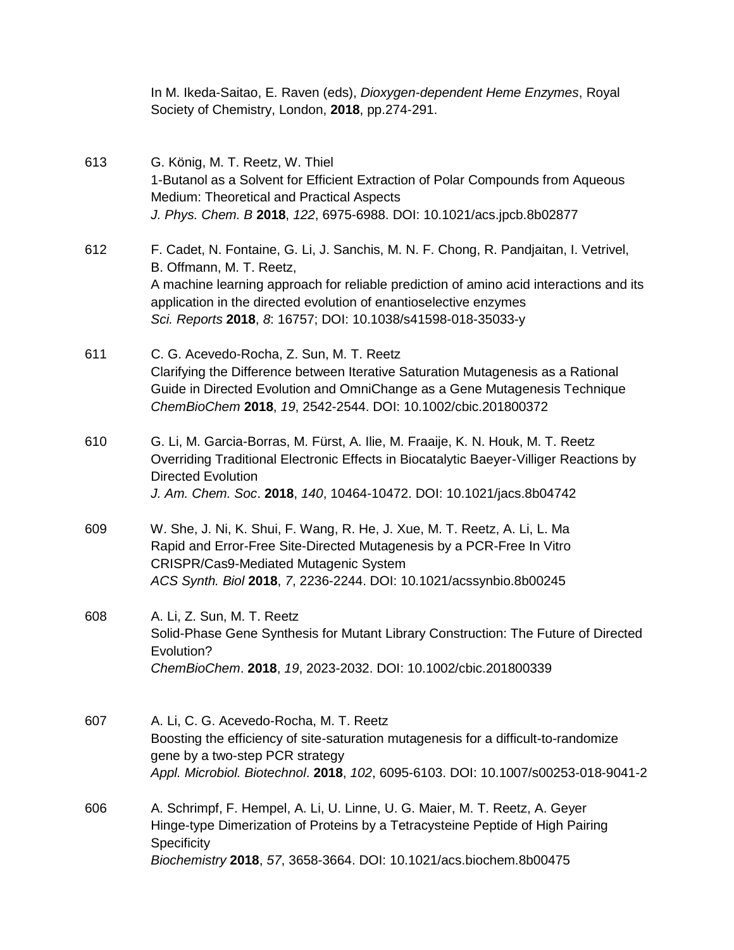In M. Ikeda-Saitao, E. Raven (eds), *Dioxygen-dependent Heme Enzymes*, Royal Society of Chemistry, London, **2018**, pp.274-291.

- 613 G. König, M. T. Reetz, W. Thiel 1-Butanol as a Solvent for Efficient Extraction of Polar Compounds from Aqueous Medium: Theoretical and Practical Aspects *J. Phys. Chem. B* **2018**, *122*, 6975-6988. DOI: 10.1021/acs.jpcb.8b02877 612 F. Cadet, N. Fontaine, G. Li, J. Sanchis, M. N. F. Chong, R. Pandjaitan, I. Vetrivel, B. Offmann, M. T. Reetz, A machine learning approach for reliable prediction of amino acid interactions and its application in the directed evolution of enantioselective enzymes  *Sci. Reports* **2018**, *8*: 16757; DOI: 10.1038/s41598-018-35033-y 611 C. G. Acevedo-Rocha, Z. Sun, M. T. Reetz Clarifying the Difference between Iterative Saturation Mutagenesis as a Rational Guide in Directed Evolution and OmniChange as a Gene Mutagenesis Technique *ChemBioChem* **2018**, *19*, 2542-2544. DOI: 10.1002/cbic.201800372 610 G. Li, M. Garcia-Borras, M. Fürst, A. Ilie, M. Fraaije, K. N. Houk, M. T. Reetz Overriding Traditional Electronic Effects in Biocatalytic Baeyer-Villiger Reactions by Directed Evolution *J. Am. Chem. Soc*. **2018**, *140*, 10464-10472. DOI: 10.1021/jacs.8b04742 609 W. She, J. Ni, K. Shui, F. Wang, R. He, J. Xue, M. T. Reetz, A. Li, L. Ma Rapid and Error-Free Site-Directed Mutagenesis by a PCR-Free In Vitro CRISPR/Cas9-Mediated Mutagenic System *ACS Synth. Biol* **2018**, *7*, 2236-2244. DOI: 10.1021/acssynbio.8b00245 608 A. Li, Z. Sun, M. T. Reetz Solid-Phase Gene Synthesis for Mutant Library Construction: The Future of Directed Evolution? *ChemBioChem*. **2018**, *19*, 2023-2032. DOI: 10.1002/cbic.201800339 607 A. Li, C. G. Acevedo-Rocha, M. T. Reetz
- Boosting the efficiency of site-saturation mutagenesis for a difficult-to-randomize gene by a two-step PCR strategy *Appl. Microbiol. Biotechnol*. **2018**, *102*, 6095-6103. DOI: 10.1007/s00253-018-9041-2
- 606 A. Schrimpf, F. Hempel, A. Li, U. Linne, U. G. Maier, M. T. Reetz, A. Geyer Hinge-type Dimerization of Proteins by a Tetracysteine Peptide of High Pairing **Specificity** *Biochemistry* **2018**, *57*, 3658-3664. DOI: 10.1021/acs.biochem.8b00475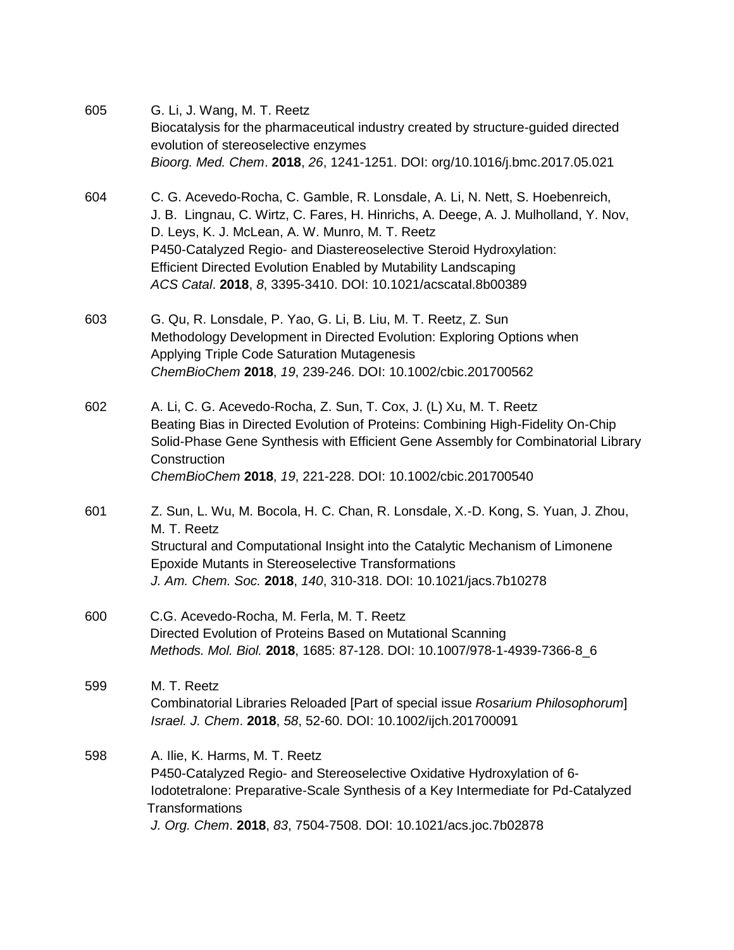| 605 | G. Li, J. Wang, M. T. Reetz<br>Biocatalysis for the pharmaceutical industry created by structure-guided directed<br>evolution of stereoselective enzymes<br>Bioorg. Med. Chem. 2018, 26, 1241-1251. DOI: org/10.1016/j.bmc.2017.05.021                                                                                                                                                                                                 |
|-----|----------------------------------------------------------------------------------------------------------------------------------------------------------------------------------------------------------------------------------------------------------------------------------------------------------------------------------------------------------------------------------------------------------------------------------------|
| 604 | C. G. Acevedo-Rocha, C. Gamble, R. Lonsdale, A. Li, N. Nett, S. Hoebenreich,<br>J. B. Lingnau, C. Wirtz, C. Fares, H. Hinrichs, A. Deege, A. J. Mulholland, Y. Nov,<br>D. Leys, K. J. McLean, A. W. Munro, M. T. Reetz<br>P450-Catalyzed Regio- and Diastereoselective Steroid Hydroxylation:<br><b>Efficient Directed Evolution Enabled by Mutability Landscaping</b><br>ACS Catal. 2018, 8, 3395-3410. DOI: 10.1021/acscatal.8b00389 |
| 603 | G. Qu, R. Lonsdale, P. Yao, G. Li, B. Liu, M. T. Reetz, Z. Sun<br>Methodology Development in Directed Evolution: Exploring Options when<br>Applying Triple Code Saturation Mutagenesis<br>ChemBioChem 2018, 19, 239-246. DOI: 10.1002/cbic.201700562                                                                                                                                                                                   |
| 602 | A. Li, C. G. Acevedo-Rocha, Z. Sun, T. Cox, J. (L) Xu, M. T. Reetz<br>Beating Bias in Directed Evolution of Proteins: Combining High-Fidelity On-Chip<br>Solid-Phase Gene Synthesis with Efficient Gene Assembly for Combinatorial Library<br>Construction<br>ChemBioChem 2018, 19, 221-228. DOI: 10.1002/cbic.201700540                                                                                                               |
| 601 | Z. Sun, L. Wu, M. Bocola, H. C. Chan, R. Lonsdale, X.-D. Kong, S. Yuan, J. Zhou,<br>M. T. Reetz<br>Structural and Computational Insight into the Catalytic Mechanism of Limonene<br><b>Epoxide Mutants in Stereoselective Transformations</b><br>J. Am. Chem. Soc. 2018, 140, 310-318. DOI: 10.1021/jacs.7b10278                                                                                                                       |
| 600 | C.G. Acevedo-Rocha, M. Ferla, M. T. Reetz<br>Directed Evolution of Proteins Based on Mutational Scanning<br>Methods. Mol. Biol. 2018, 1685: 87-128. DOI: 10.1007/978-1-4939-7366-8_6                                                                                                                                                                                                                                                   |
| 599 | M. T. Reetz<br>Combinatorial Libraries Reloaded [Part of special issue Rosarium Philosophorum]<br>Israel. J. Chem. 2018, 58, 52-60. DOI: 10.1002/ijch.201700091                                                                                                                                                                                                                                                                        |
| 598 | A. Ilie, K. Harms, M. T. Reetz<br>P450-Catalyzed Regio- and Stereoselective Oxidative Hydroxylation of 6-<br>Iodotetralone: Preparative-Scale Synthesis of a Key Intermediate for Pd-Catalyzed<br><b>Transformations</b><br>J. Org. Chem. 2018, 83, 7504-7508. DOI: 10.1021/acs.joc.7b02878                                                                                                                                            |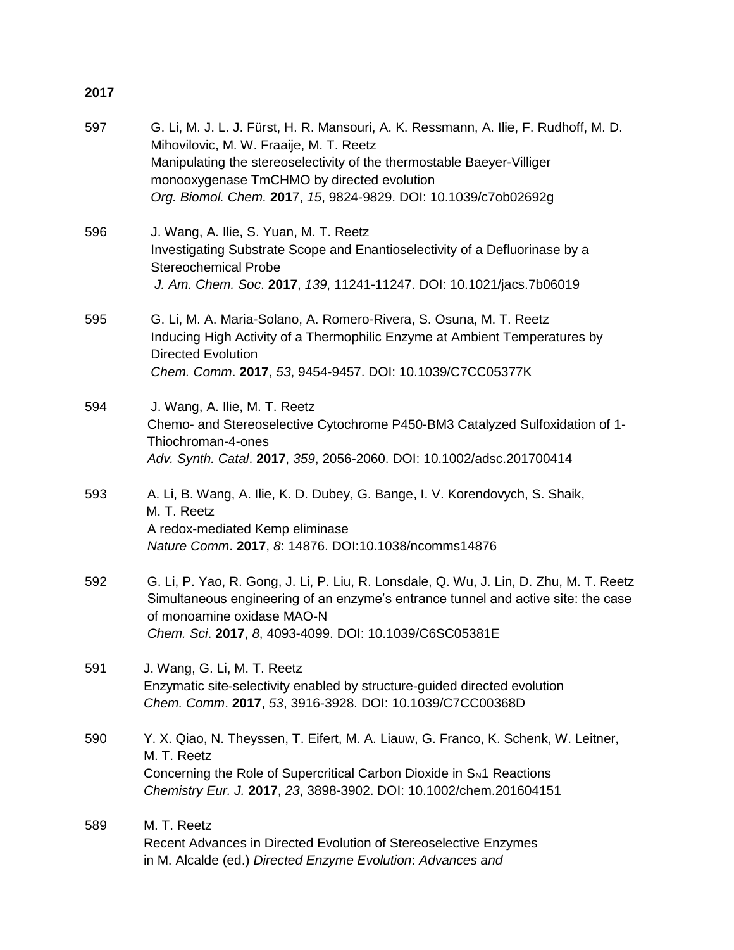| 597 | G. Li, M. J. L. J. Fürst, H. R. Mansouri, A. K. Ressmann, A. Ilie, F. Rudhoff, M. D.<br>Mihovilovic, M. W. Fraaije, M. T. Reetz<br>Manipulating the stereoselectivity of the thermostable Baeyer-Villiger<br>monooxygenase TmCHMO by directed evolution<br>Org. Biomol. Chem. 2017, 15, 9824-9829. DOI: 10.1039/c7ob02692g |
|-----|----------------------------------------------------------------------------------------------------------------------------------------------------------------------------------------------------------------------------------------------------------------------------------------------------------------------------|
| 596 | J. Wang, A. Ilie, S. Yuan, M. T. Reetz<br>Investigating Substrate Scope and Enantioselectivity of a Defluorinase by a<br><b>Stereochemical Probe</b><br>J. Am. Chem. Soc. 2017, 139, 11241-11247. DOI: 10.1021/jacs.7b06019                                                                                                |
| 595 | G. Li, M. A. Maria-Solano, A. Romero-Rivera, S. Osuna, M. T. Reetz<br>Inducing High Activity of a Thermophilic Enzyme at Ambient Temperatures by<br><b>Directed Evolution</b><br>Chem. Comm. 2017, 53, 9454-9457. DOI: 10.1039/C7CC05377K                                                                                  |
| 594 | J. Wang, A. Ilie, M. T. Reetz<br>Chemo- and Stereoselective Cytochrome P450-BM3 Catalyzed Sulfoxidation of 1-<br>Thiochroman-4-ones<br>Adv. Synth. Catal. 2017, 359, 2056-2060. DOI: 10.1002/adsc.201700414                                                                                                                |
| 593 | A. Li, B. Wang, A. Ilie, K. D. Dubey, G. Bange, I. V. Korendovych, S. Shaik,<br>M. T. Reetz<br>A redox-mediated Kemp eliminase<br>Nature Comm. 2017, 8: 14876. DOI:10.1038/ncomms14876                                                                                                                                     |
| 592 | G. Li, P. Yao, R. Gong, J. Li, P. Liu, R. Lonsdale, Q. Wu, J. Lin, D. Zhu, M. T. Reetz<br>Simultaneous engineering of an enzyme's entrance tunnel and active site: the case<br>of monoamine oxidase MAO-N<br>Chem. Sci. 2017, 8, 4093-4099. DOI: 10.1039/C6SC05381E                                                        |
| 591 | J. Wang, G. Li, M. T. Reetz<br>Enzymatic site-selectivity enabled by structure-guided directed evolution<br>Chem. Comm. 2017, 53, 3916-3928. DOI: 10.1039/C7CC00368D                                                                                                                                                       |
| 590 | Y. X. Qiao, N. Theyssen, T. Eifert, M. A. Liauw, G. Franco, K. Schenk, W. Leitner,<br>M. T. Reetz<br>Concerning the Role of Supercritical Carbon Dioxide in $S_N$ 1 Reactions<br>Chemistry Eur. J. 2017, 23, 3898-3902. DOI: 10.1002/chem.201604151                                                                        |
| 589 | M. T. Reetz<br>Recent Advances in Directed Evolution of Stereoselective Enzymes<br>in M. Alcalde (ed.) Directed Enzyme Evolution: Advances and                                                                                                                                                                             |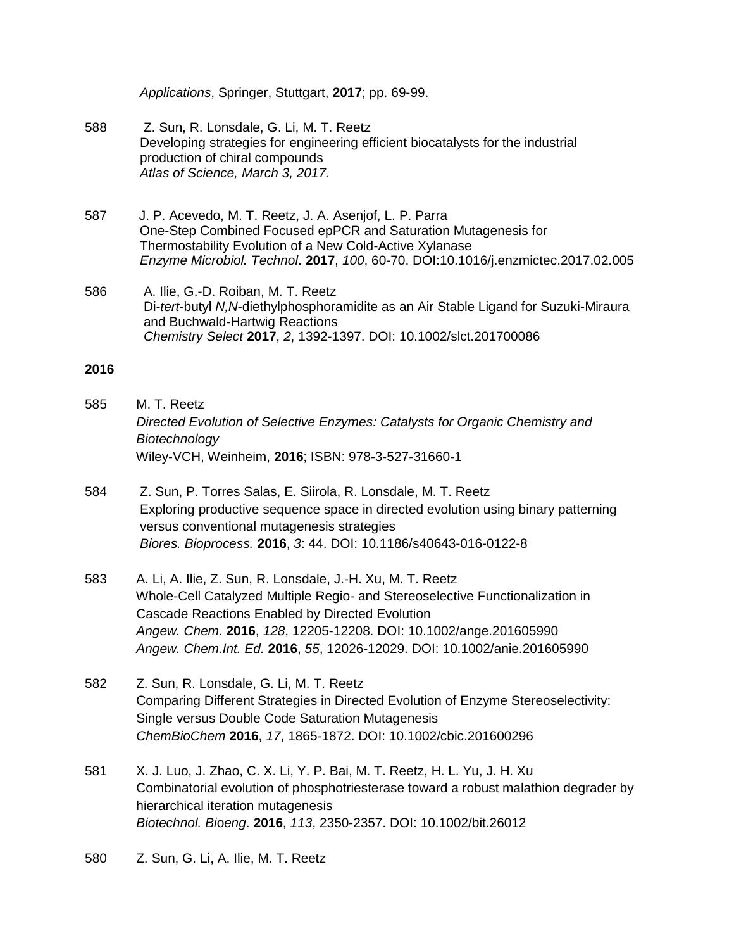*Applications*, Springer, Stuttgart, **2017**; pp. 69-99.

- 588 Z. Sun, R. Lonsdale, G. Li, M. T. Reetz Developing strategies for engineering efficient biocatalysts for the industrial production of chiral compounds *Atlas of Science, March 3, 2017.*
- 587 J. P. Acevedo, M. T. Reetz, J. A. Asenjof, L. P. Parra One-Step Combined Focused epPCR and Saturation Mutagenesis for Thermostability Evolution of a New Cold-Active Xylanase *Enzyme Microbiol. Technol*. **2017**, *100*, 60-70. DOI:10.1016/j.enzmictec.2017.02.005
- 586 A. Ilie, G.-D. Roiban, M. T. Reetz Di-*tert*-butyl *N,N*-diethylphosphoramidite as an Air Stable Ligand for Suzuki-Miraura and Buchwald-Hartwig Reactions *Chemistry Select* **2017**, *2*, 1392-1397. DOI: 10.1002/slct.201700086

- 585 M. T. Reetz *Directed Evolution of Selective Enzymes: Catalysts for Organic Chemistry and Biotechnology* Wiley-VCH, Weinheim, **2016**; ISBN: 978-3-527-31660-1
- 584 Z. Sun, P. Torres Salas, E. Siirola, R. Lonsdale, M. T. Reetz Exploring productive sequence space in directed evolution using binary patterning versus conventional mutagenesis strategies *Biores. Bioprocess.* **2016**, *3*: 44. DOI: 10.1186/s40643-016-0122-8
- 583 A. Li, A. Ilie, Z. Sun, R. Lonsdale, J.-H. Xu, M. T. Reetz Whole-Cell Catalyzed Multiple Regio- and Stereoselective Functionalization in Cascade Reactions Enabled by Directed Evolution *Angew. Chem.* **2016**, *128*, 12205-12208. DOI: 10.1002/ange.201605990 *Angew. Chem.Int. Ed.* **2016**, *55*, 12026-12029. DOI: 10.1002/anie.201605990
- 582 Z. Sun, R. Lonsdale, G. Li, M. T. Reetz Comparing Different Strategies in Directed Evolution of Enzyme Stereoselectivity: Single versus Double Code Saturation Mutagenesis *ChemBioChem* **2016**, *17*, 1865-1872. DOI: 10.1002/cbic.201600296
- 581 X. J. Luo, J. Zhao, C. X. Li, Y. P. Bai, M. T. Reetz, H. L. Yu, J. H. Xu Combinatorial evolution of phosphotriesterase toward a robust malathion degrader by hierarchical iteration mutagenesis *Biotechnol. Bi*o*eng*. **2016**, *113*, 2350-2357. DOI: 10.1002/bit.26012
- 580 Z. Sun, G. Li, A. Ilie, M. T. Reetz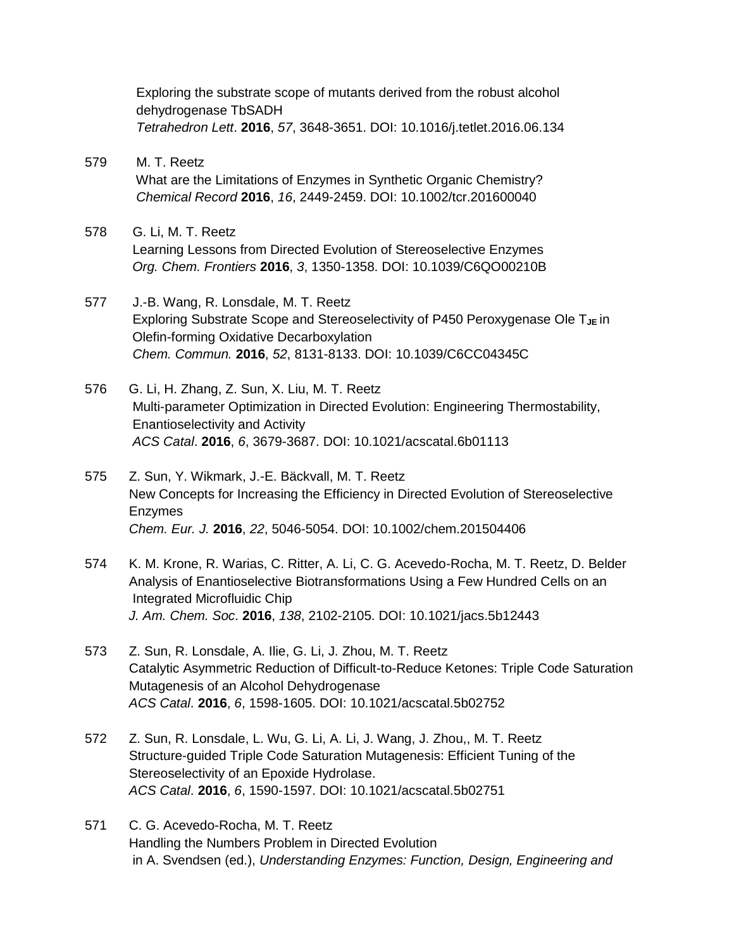Exploring the substrate scope of mutants derived from the robust alcohol dehydrogenase TbSADH *Tetrahedron Lett*. **2016**, *57*, 3648-3651. DOI: 10.1016/j.tetlet.2016.06.134

- 579 M. T. Reetz What are the Limitations of Enzymes in Synthetic Organic Chemistry? *Chemical Record* **2016**, *16*, 2449-2459. DOI: 10.1002/tcr.201600040
- 578 G. Li, M. T. Reetz Learning Lessons from Directed Evolution of Stereoselective Enzymes *Org. Chem. Frontiers* **2016**, *3*, 1350-1358. DOI: 10.1039/C6QO00210B
- 577 J.-B. Wang, R. Lonsdale, M. T. Reetz Exploring Substrate Scope and Stereoselectivity of P450 Peroxygenase Ole T<sub>JE</sub> in Olefin-forming Oxidative Decarboxylation  *Chem. Commun.* **2016**, *52*, 8131-8133. DOI: 10.1039/C6CC04345C
- 576 G. Li, H. Zhang, Z. Sun, X. Liu, M. T. Reetz Multi-parameter Optimization in Directed Evolution: Engineering Thermostability, Enantioselectivity and Activity *ACS Catal*. **2016**, *6*, 3679-3687. DOI: 10.1021/acscatal.6b01113
- 575 Z. Sun, Y. Wikmark, J.-E. Bäckvall, M. T. Reetz New Concepts for Increasing the Efficiency in Directed Evolution of Stereoselective Enzymes  *Chem. Eur. J.* **2016**, *22*, 5046-5054. DOI: 10.1002/chem.201504406
- 574 K. M. Krone, R. Warias, C. Ritter, A. Li, C. G. Acevedo-Rocha, M. T. Reetz, D. Belder Analysis of Enantioselective Biotransformations Using a Few Hundred Cells on an Integrated Microfluidic Chip  *J. Am. Chem. Soc*. **2016**, *138*, 2102-2105. DOI: 10.1021/jacs.5b12443
- 573 Z. Sun, R. Lonsdale, A. Ilie, G. Li, J. Zhou, M. T. Reetz Catalytic Asymmetric Reduction of Difficult-to-Reduce Ketones: Triple Code Saturation Mutagenesis of an Alcohol Dehydrogenase *ACS Catal*. **2016**, *6*, 1598-1605. DOI: 10.1021/acscatal.5b02752
- 572 Z. Sun, R. Lonsdale, L. Wu, G. Li, A. Li, J. Wang, J. Zhou,, M. T. Reetz Structure-guided Triple Code Saturation Mutagenesis: Efficient Tuning of the Stereoselectivity of an Epoxide Hydrolase. *ACS Catal*. **2016**, *6*, 1590-1597. DOI: 10.1021/acscatal.5b02751
- 571 C. G. Acevedo-Rocha, M. T. Reetz Handling the Numbers Problem in Directed Evolution in A. Svendsen (ed.), *Understanding Enzymes: Function, Design, Engineering and*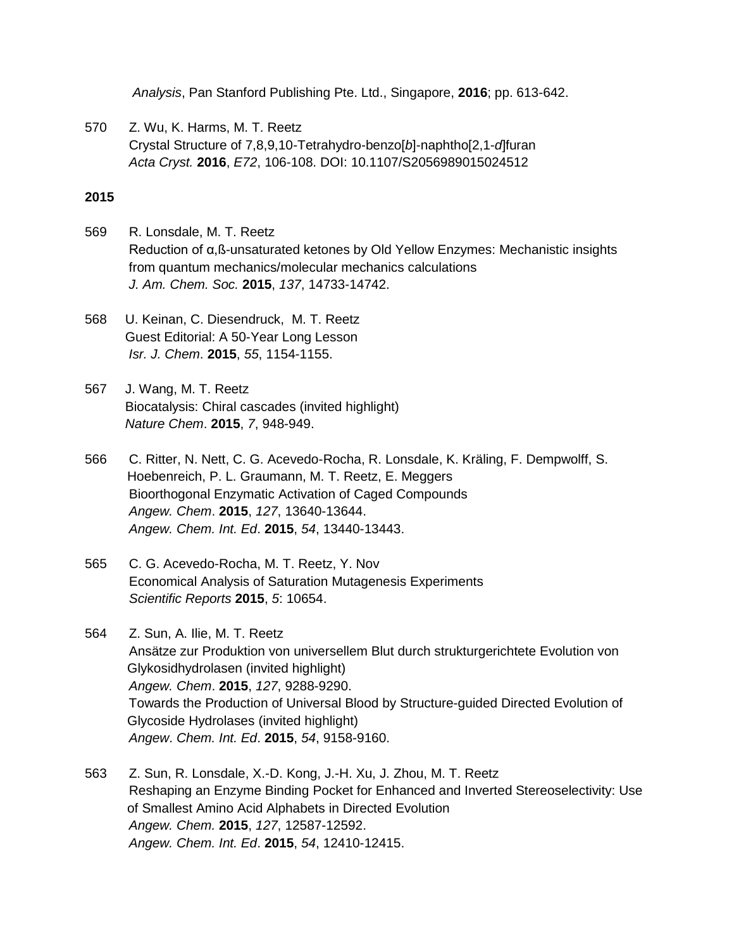*Analysis*, Pan Stanford Publishing Pte. Ltd., Singapore, **2016**; pp. 613-642.

570 Z. Wu, K. Harms, M. T. Reetz Crystal Structure of 7,8,9,10-Tetrahydro-benzo[*b*]-naphtho[2,1-*d*]furan *Acta Cryst.* **2016**, *E72*, 106-108. DOI: 10.1107/S2056989015024512

- 569 R. Lonsdale, M. T. Reetz Reduction of α,ß-unsaturated ketones by Old Yellow Enzymes: Mechanistic insights from quantum mechanics/molecular mechanics calculations *J. Am. Chem. Soc.* **2015**, *137*, 14733-14742.
- 568 U. Keinan, C. Diesendruck, M. T. Reetz Guest Editorial: A 50-Year Long Lesson *Isr. J. Chem*. **2015**, *55*, 1154-1155.
- 567 J. Wang, M. T. Reetz Biocatalysis: Chiral cascades (invited highlight) *Nature Chem*. **2015**, *7*, 948-949.
- 566 C. Ritter, N. Nett, C. G. Acevedo-Rocha, R. Lonsdale, K. Kräling, F. Dempwolff, S. Hoebenreich, P. L. Graumann, M. T. Reetz, E. Meggers Bioorthogonal Enzymatic Activation of Caged Compounds *Angew. Chem*. **2015**, *127*, 13640-13644. *Angew. Chem. Int. Ed*. **2015**, *54*, 13440-13443.
- 565 C. G. Acevedo-Rocha, M. T. Reetz, Y. Nov Economical Analysis of Saturation Mutagenesis Experiments *Scientific Reports* **2015**, *5*: 10654.
- 564 Z. Sun, A. Ilie, M. T. Reetz Ansätze zur Produktion von universellem Blut durch strukturgerichtete Evolution von Glykosidhydrolasen (invited highlight) *Angew. Chem*. **2015**, *127*, 9288-9290. Towards the Production of Universal Blood by Structure-guided Directed Evolution of Glycoside Hydrolases (invited highlight)  *Angew*. *Chem. Int. Ed*. **2015**, *54*, 9158-9160.
- 563 Z. Sun, R. Lonsdale, X.-D. Kong, J.-H. Xu, J. Zhou, M. T. Reetz Reshaping an Enzyme Binding Pocket for Enhanced and Inverted Stereoselectivity: Use of Smallest Amino Acid Alphabets in Directed Evolution *Angew. Chem.* **2015**, *127*, 12587-12592.  *Angew. Chem. Int. Ed*. **2015**, *54*, 12410-12415.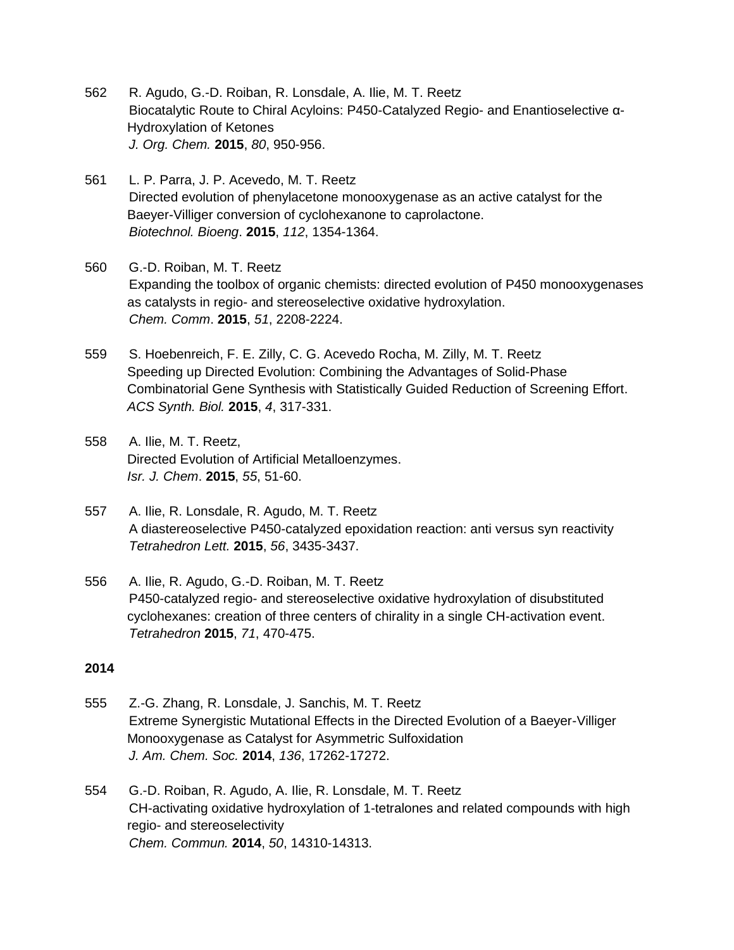- 562 R. Agudo, G.-D. Roiban, R. Lonsdale, A. Ilie, M. T. Reetz Biocatalytic Route to Chiral Acyloins: P450-Catalyzed Regio- and Enantioselective α-Hydroxylation of Ketones *J. Org. Chem.* **2015**, *80*, 950-956.
- 561 L. P. Parra, J. P. Acevedo, M. T. Reetz Directed evolution of phenylacetone monooxygenase as an active catalyst for the Baeyer-Villiger conversion of cyclohexanone to caprolactone. *Biotechnol. Bioeng*. **2015**, *112*, 1354-1364.
- 560 G.-D. Roiban, M. T. Reetz Expanding the toolbox of organic chemists: directed evolution of P450 monooxygenases as catalysts in regio- and stereoselective oxidative hydroxylation. *Chem. Comm*. **2015**, *51*, 2208-2224.
- 559 S. Hoebenreich, F. E. Zilly, C. G. Acevedo Rocha, M. Zilly, M. T. Reetz [Speeding up Directed Evolution: Combining the Advantages of Solid-Phase](http://scholar.google.com/citations?view_op=view_citation&hl=en&user=sfOoRdsAAAAJ&sortby=pubdate&citation_for_view=sfOoRdsAAAAJ:CCeGMaHljPEC)  [Combinatorial Gene Synthesis with Statistically Guided Reduction of Screening Effort.](http://scholar.google.com/citations?view_op=view_citation&hl=en&user=sfOoRdsAAAAJ&sortby=pubdate&citation_for_view=sfOoRdsAAAAJ:CCeGMaHljPEC) *ACS Synth. Biol.* **2015**, *4*, 317-331.
- 558 A. Ilie, M. T. Reetz, Directed Evolution of Artificial Metalloenzymes. *Isr. J. Chem*. **2015**, *55*, 51-60.
- 557 A. Ilie, R. Lonsdale, R. Agudo, M. T. Reetz A diastereoselective P450-catalyzed epoxidation reaction: anti versus syn reactivity *Tetrahedron Lett.* **2015**, *56*, 3435-3437.
- 556 A. Ilie, R. Agudo, G.-D. Roiban, M. T. Reetz P450-catalyzed regio- and stereoselective oxidative hydroxylation of disubstituted cyclohexanes: creation of three centers of chirality in a single CH-activation event. *Tetrahedron* **2015**, *71*, 470-475.

- 555 Z.-G. Zhang, R. Lonsdale, J. Sanchis, M. T. Reetz Extreme Synergistic Mutational Effects in the Directed Evolution of a Baeyer-Villiger Monooxygenase as Catalyst for Asymmetric Sulfoxidation *J. Am. Chem. Soc.* **2014**, *136*, 17262-17272.
- 554 G.-D. Roiban, R. Agudo, A. Ilie, R. Lonsdale, M. T. Reetz CH-activating oxidative hydroxylation of 1-tetralones and related compounds with high regio- and stereoselectivity *Chem. Commun.* **2014**, *50*, 14310-14313.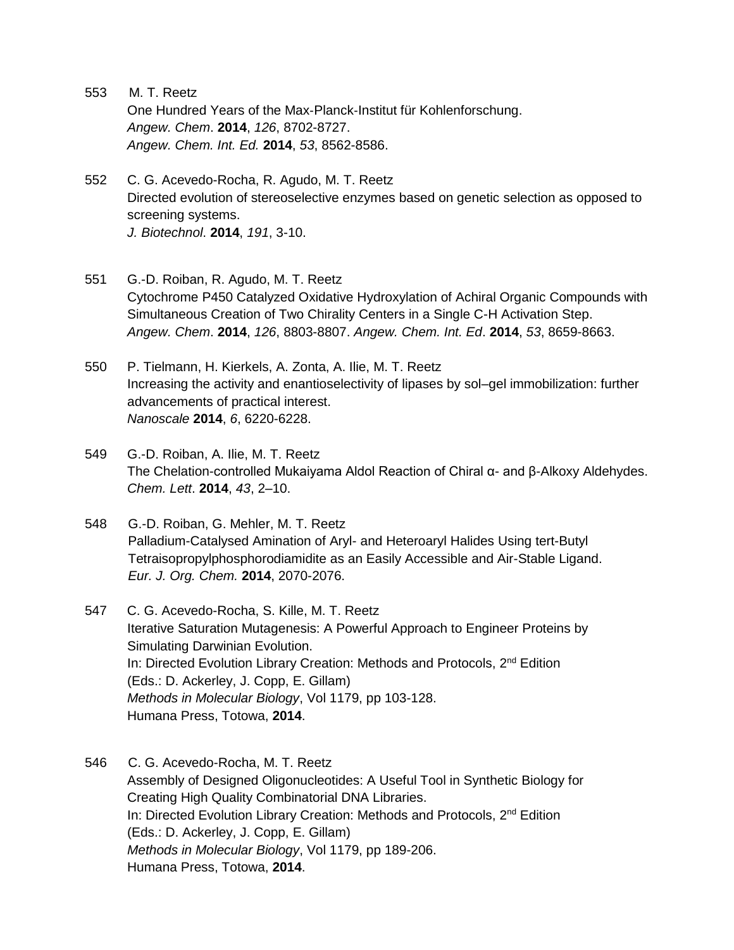- 553 M. T. Reetz [One Hundred Years of the Max](http://scholar.google.com/citations?view_op=view_citation&hl=en&user=sfOoRdsAAAAJ&sortby=pubdate&citation_for_view=sfOoRdsAAAAJ:IHkkN1K1AlAC)‐Planck‐Institut für Kohlenforschung. *Angew. Chem*. **2014**, *126*, 8702-8727. *Angew. Chem. Int. Ed.* **2014**, *53*, 8562-8586.
- 552 C. G. Acevedo-Rocha, R. Agudo, M. T. Reetz Directed evolution of stereoselective enzymes based on genetic selection as opposed to screening systems. *J. Biotechnol*. **2014**, *191*, 3-10.
- 551 G.-D. Roiban, R. Agudo, M. T. Reetz Cytochrome P450 Catalyzed Oxidative Hydroxylation of Achiral Organic Compounds with Simultaneous Creation of Two Chirality Centers in a Single C-H Activation Step. *Angew. Chem*. **2014**, *126*, 8803-8807. *Angew. Chem. Int. Ed*. **2014**, *53*, 8659-8663.
- 550 P. Tielmann, H. Kierkels, A. Zonta, A. Ilie, M. T. Reetz Increasing the activity and enantioselectivity of lipases by sol–gel immobilization: further advancements of practical interest. *Nanoscale* **2014**, *6*, 6220-6228.
- 549 G.-D. Roiban, A. Ilie, M. T. Reetz The Chelation-controlled Mukaiyama Aldol Reaction of Chiral α- and β-Alkoxy Aldehydes. *Chem. Lett*. **2014**, *43*, 2–10.
- 548 G.-D. Roiban, G. Mehler, M. T. Reetz Palladium-Catalysed Amination of Aryl- and Heteroaryl Halides Using tert-Butyl Tetraisopropylphosphorodiamidite as an Easily Accessible and Air-Stable Ligand. *Eur. J. Org. Chem.* **2014**, 2070-2076.
- 547 C. G. Acevedo-Rocha, S. Kille, M. T. Reetz Iterative Saturation Mutagenesis: A Powerful Approach to Engineer Proteins by Simulating Darwinian Evolution. In: Directed Evolution Library Creation: Methods and Protocols, 2<sup>nd</sup> Edition (Eds.: D. Ackerley, J. Copp, E. Gillam) *Methods in Molecular Biology*, Vol 1179, pp 103-128. Humana Press, Totowa, **2014**.
- 546 C. G. Acevedo-Rocha, M. T. Reetz Assembly of Designed Oligonucleotides: A Useful Tool in Synthetic Biology for Creating High Quality Combinatorial DNA Libraries. In: Directed Evolution Library Creation: Methods and Protocols, 2<sup>nd</sup> Edition (Eds.: D. Ackerley, J. Copp, E. Gillam) *Methods in Molecular Biology*, Vol 1179, pp 189-206. Humana Press, Totowa, **2014**.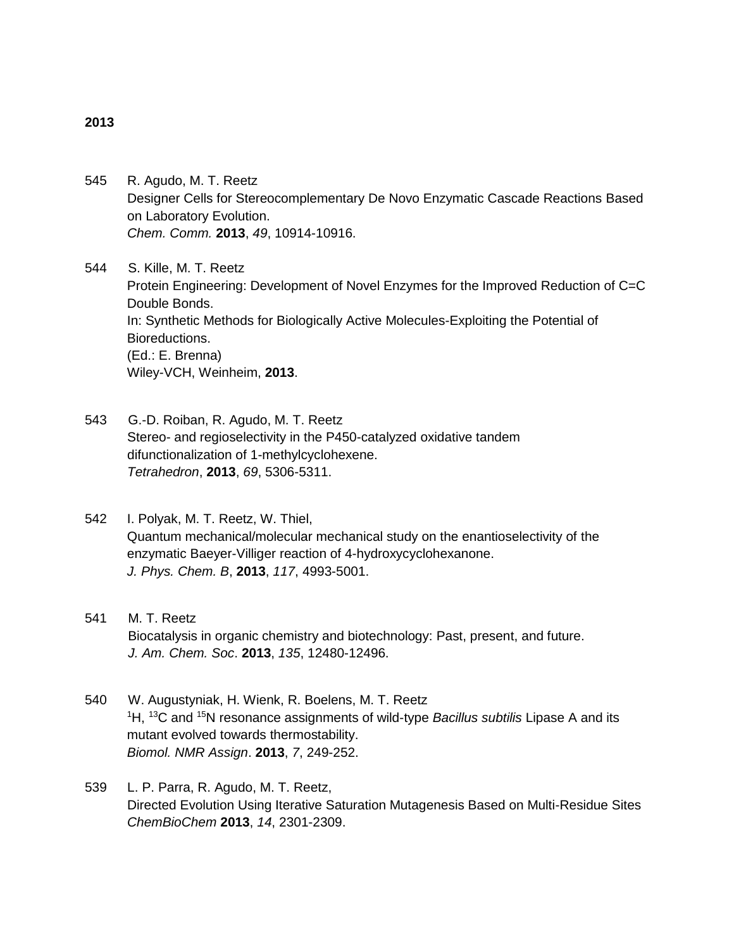#### **2013**

545 R. Agudo, M. T. Reetz Designer Cells for Stereocomplementary De Novo Enzymatic Cascade Reactions Based on Laboratory Evolution. *Chem. Comm.* **2013**, *49*, 10914-10916.

544 S. Kille, M. T. Reetz Protein Engineering: Development of Novel Enzymes for the Improved Reduction of C=C Double Bonds. In: Synthetic Methods for Biologically Active Molecules-Exploiting the Potential of Bioreductions. (Ed.: E. Brenna) Wiley-VCH, Weinheim, **2013**.

- 543 G.-D. Roiban, R. Agudo, M. T. Reetz Stereo- and regioselectivity in the P450-catalyzed oxidative tandem difunctionalization of 1-methylcyclohexene. *Tetrahedron*, **2013**, *69*, 5306-5311.
- 542 I. Polyak, M. T. Reetz, W. Thiel, Quantum mechanical/molecular mechanical study on the enantioselectivity of the enzymatic Baeyer-Villiger reaction of 4-hydroxycyclohexanone. *J. Phys. Chem. B*, **2013**, *117*, 4993-5001.
- 541 M. T. Reetz Biocatalysis in organic chemistry and biotechnology: Past, present, and future. *J. Am. Chem. Soc*. **2013**, *135*, 12480-12496.
- 540 W. Augustyniak, H. Wienk, R. Boelens, M. T. Reetz <sup>1</sup>H, <sup>13</sup>C and <sup>15</sup>N resonance assignments of wild-type *Bacillus subtilis* Lipase A and its mutant evolved towards thermostability. *Biomol. NMR Assign*. **2013**, *7*, 249-252.
- 539 L. P. Parra, R. Agudo, M. T. Reetz, Directed Evolution Using Iterative Saturation Mutagenesis Based on Multi-Residue Sites *ChemBioChem* **2013**, *14*, 2301-2309.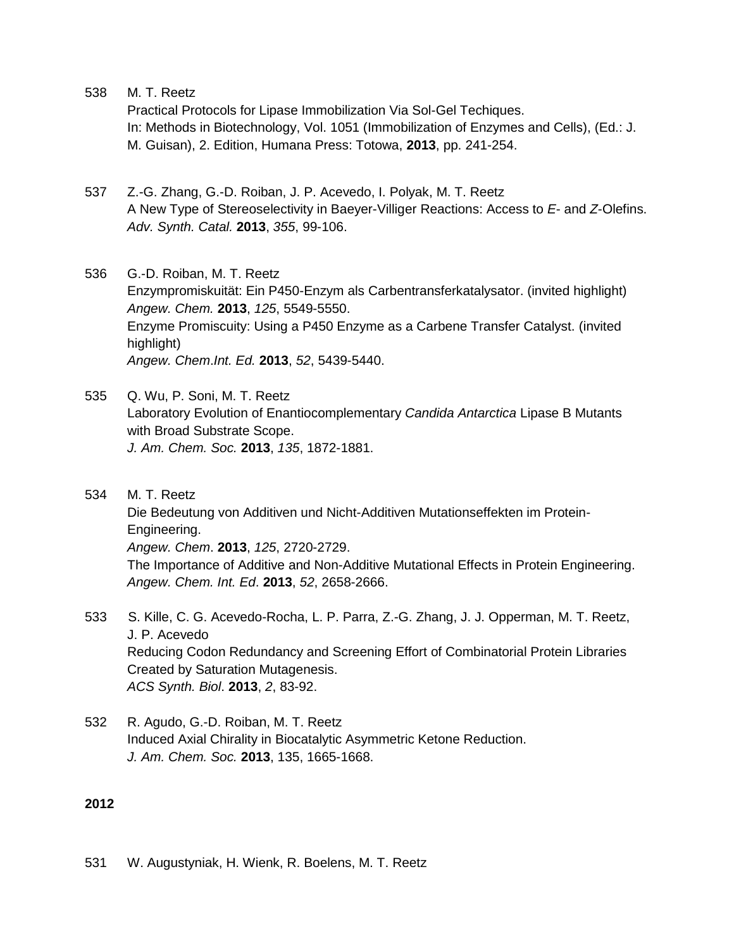Practical Protocols for Lipase Immobilization Via Sol-Gel Techiques. In: Methods in Biotechnology, Vol. 1051 (Immobilization of Enzymes and Cells), (Ed.: J. M. Guisan), 2. Edition, Humana Press: Totowa, **2013**, pp. 241-254.

- 537 Z.-G. Zhang, G.-D. Roiban, J. P. Acevedo, I. Polyak, M. T. Reetz A New Type of Stereoselectivity in Baeyer-Villiger Reactions: Access to *E*- and *Z*-Olefins. *Adv. Synth. Catal.* **2013**, *355*, 99-106.
- 536 G.-D. Roiban, M. T. Reetz Enzympromiskuität: Ein P450-Enzym als Carbentransferkatalysator. (invited highlight) *Angew. Chem.* **2013**, *125*, 5549-5550. Enzyme Promiscuity: Using a P450 Enzyme as a Carbene Transfer Catalyst. (invited highlight) *Angew. Chem*.*Int. Ed.* **2013**, *52*, 5439-5440.
- 535 Q. Wu, P. Soni, M. T. Reetz Laboratory Evolution of Enantiocomplementary *Candida Antarctica* Lipase B Mutants with Broad Substrate Scope. *J. Am. Chem. Soc.* **2013**, *135*, 1872-1881.
- 534 M. T. Reetz Die Bedeutung von Additiven und Nicht-Additiven Mutationseffekten im Protein-Engineering. *Angew. Chem*. **2013**, *125*, 2720-2729. The Importance of Additive and Non-Additive Mutational Effects in Protein Engineering. *Angew. Chem. Int. Ed*. **2013**, *52*, 2658-2666.
- 533 S. Kille, C. G. Acevedo-Rocha, L. P. Parra, Z.-G. Zhang, J. J. Opperman, M. T. Reetz, J. P. Acevedo Reducing Codon Redundancy and Screening Effort of Combinatorial Protein Libraries Created by Saturation Mutagenesis. *ACS Synth. Biol*. **2013**, *2*, 83-92.
- 532 R. Agudo, G.-D. Roiban, M. T. Reetz Induced Axial Chirality in Biocatalytic Asymmetric Ketone Reduction. *J. Am. Chem. Soc.* **2013**, 135, 1665-1668.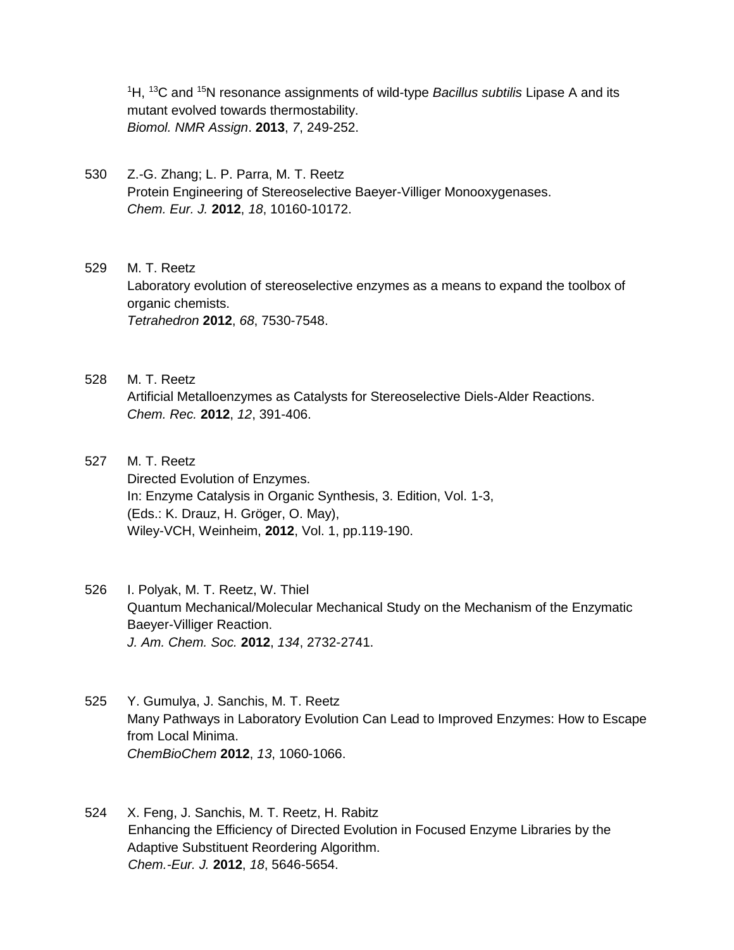<sup>1</sup>H, <sup>13</sup>C and <sup>15</sup>N resonance assignments of wild-type *Bacillus subtilis* Lipase A and its mutant evolved towards thermostability. *Biomol. NMR Assign*. **2013**, *7*, 249-252.

- 530 Z.-G. Zhang; L. P. Parra, M. T. Reetz Protein Engineering of Stereoselective Baeyer-Villiger Monooxygenases. *Chem. Eur. J.* **2012**, *18*, 10160-10172.
- 529 M. T. Reetz Laboratory evolution of stereoselective enzymes as a means to expand the toolbox of organic chemists. *Tetrahedron* **2012**, *68*, 7530-7548.
- 528 M. T. Reetz Artificial Metalloenzymes as Catalysts for Stereoselective Diels-Alder Reactions. *Chem. Rec.* **2012**, *12*, 391-406.
- 527 M. T. Reetz Directed Evolution of Enzymes. In: Enzyme Catalysis in Organic Synthesis, 3. Edition, Vol. 1-3, (Eds.: K. Drauz, H. Gröger, O. May), Wiley-VCH, Weinheim, **2012**, Vol. 1, pp.119-190.
- 526 I. Polyak, M. T. Reetz, W. Thiel Quantum Mechanical/Molecular Mechanical Study on the Mechanism of the Enzymatic Baeyer-Villiger Reaction. *J. Am. Chem. Soc.* **2012**, *134*, 2732-2741.
- 525 Y. Gumulya, J. Sanchis, M. T. Reetz Many Pathways in Laboratory Evolution Can Lead to Improved Enzymes: How to Escape from Local Minima. *ChemBioChem* **2012**, *13*, 1060-1066.
- 524 X. Feng, J. Sanchis, M. T. Reetz, H. Rabitz Enhancing the Efficiency of Directed Evolution in Focused Enzyme Libraries by the Adaptive Substituent Reordering Algorithm. *Chem.-Eur. J.* **2012**, *18*, 5646-5654.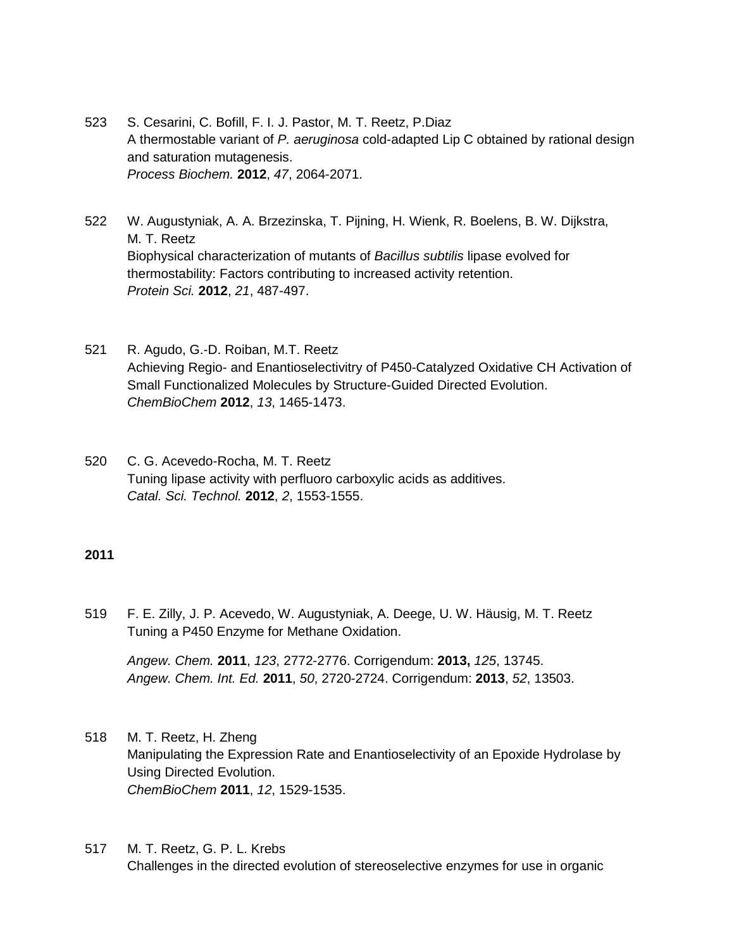- 523 S. Cesarini, C. Bofill, F. I. J. Pastor, M. T. Reetz, P.Diaz A thermostable variant of *P. aeruginosa* cold-adapted Lip C obtained by rational design and saturation mutagenesis. *Process Biochem.* **2012**, *47*, 2064-2071.
- 522 W. Augustyniak, A. A. Brzezinska, T. Pijning, H. Wienk, R. Boelens, B. W. Dijkstra, M. T. Reetz Biophysical characterization of mutants of *Bacillus subtilis* lipase evolved for thermostability: Factors contributing to increased activity retention. *Protein Sci.* **2012**, *21*, 487-497.
- 521 R. Agudo, G.-D. Roiban, M.T. Reetz Achieving Regio- and Enantioselectivitry of P450-Catalyzed Oxidative CH Activation of Small Functionalized Molecules by Structure-Guided Directed Evolution. *ChemBioChem* **2012**, *13*, 1465-1473.
- 520 C. G. Acevedo-Rocha, M. T. Reetz Tuning lipase activity with perfluoro carboxylic acids as additives. *Catal. Sci. Technol.* **2012**, *2*, 1553-1555.

### **2011**

519 F. E. Zilly, J. P. Acevedo, W. Augustyniak, A. Deege, U. W. Häusig, M. T. Reetz Tuning a P450 Enzyme for Methane Oxidation.

*Angew. Chem.* **2011**, *123*, 2772-2776. Corrigendum: **2013,** *125*, 13745. *Angew. Chem. Int. Ed.* **2011**, *50*, 2720-2724. Corrigendum: **2013**, *52*, 13503.

- 518 M. T. Reetz, H. Zheng Manipulating the Expression Rate and Enantioselectivity of an Epoxide Hydrolase by Using Directed Evolution. *ChemBioChem* **2011**, *12*, 1529-1535.
- 517 M. T. Reetz, G. P. L. Krebs Challenges in the directed evolution of stereoselective enzymes for use in organic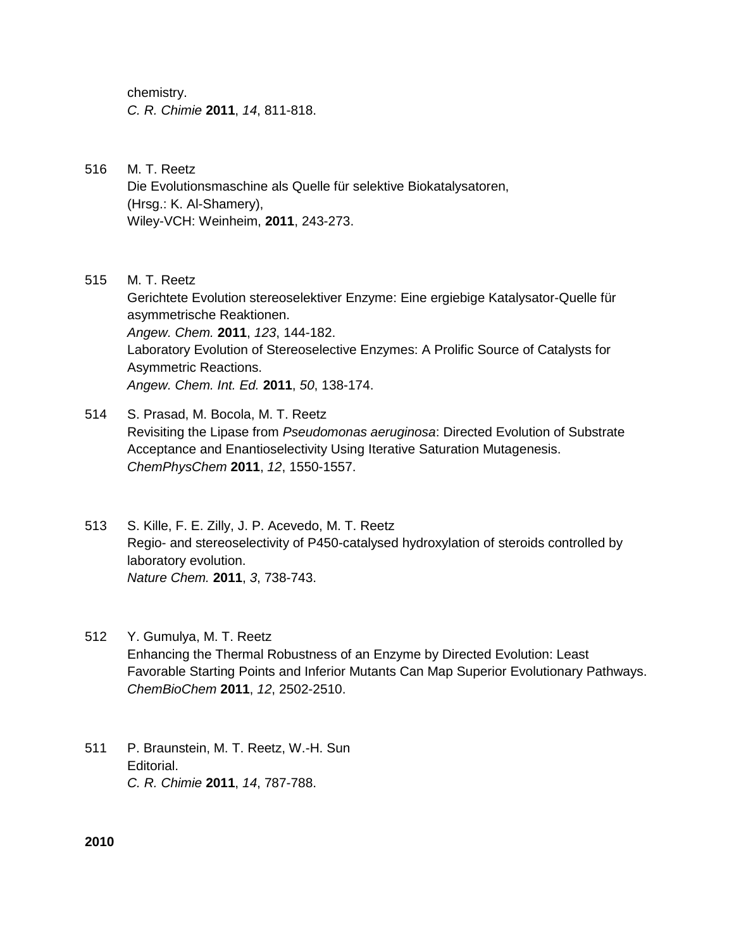chemistry. *C. R. Chimie* **2011**, *14*, 811-818.

- 516 M. T. Reetz Die Evolutionsmaschine als Quelle für selektive Biokatalysatoren, (Hrsg.: K. Al-Shamery), Wiley-VCH: Weinheim, **2011**, 243-273.
- 515 M. T. Reetz Gerichtete Evolution stereoselektiver Enzyme: Eine ergiebige Katalysator-Quelle für asymmetrische Reaktionen. *Angew. Chem.* **2011**, *123*, 144-182. Laboratory Evolution of Stereoselective Enzymes: A Prolific Source of Catalysts for Asymmetric Reactions. *Angew. Chem. Int. Ed.* **2011**, *50*, 138-174.
- 514 S. Prasad, M. Bocola, M. T. Reetz Revisiting the Lipase from *Pseudomonas aeruginosa*: Directed Evolution of Substrate Acceptance and Enantioselectivity Using Iterative Saturation Mutagenesis. *ChemPhysChem* **2011**, *12*, 1550-1557.
- 513 S. Kille, F. E. Zilly, J. P. Acevedo, M. T. Reetz Regio- and stereoselectivity of P450-catalysed hydroxylation of steroids controlled by laboratory evolution. *Nature Chem.* **2011**, *3*, 738-743.
- 512 Y. Gumulya, M. T. Reetz Enhancing the Thermal Robustness of an Enzyme by Directed Evolution: Least Favorable Starting Points and Inferior Mutants Can Map Superior Evolutionary Pathways. *ChemBioChem* **2011**, *12*, 2502-2510.
- 511 P. Braunstein, M. T. Reetz, W.-H. Sun Editorial. *C. R. Chimie* **2011**, *14*, 787-788.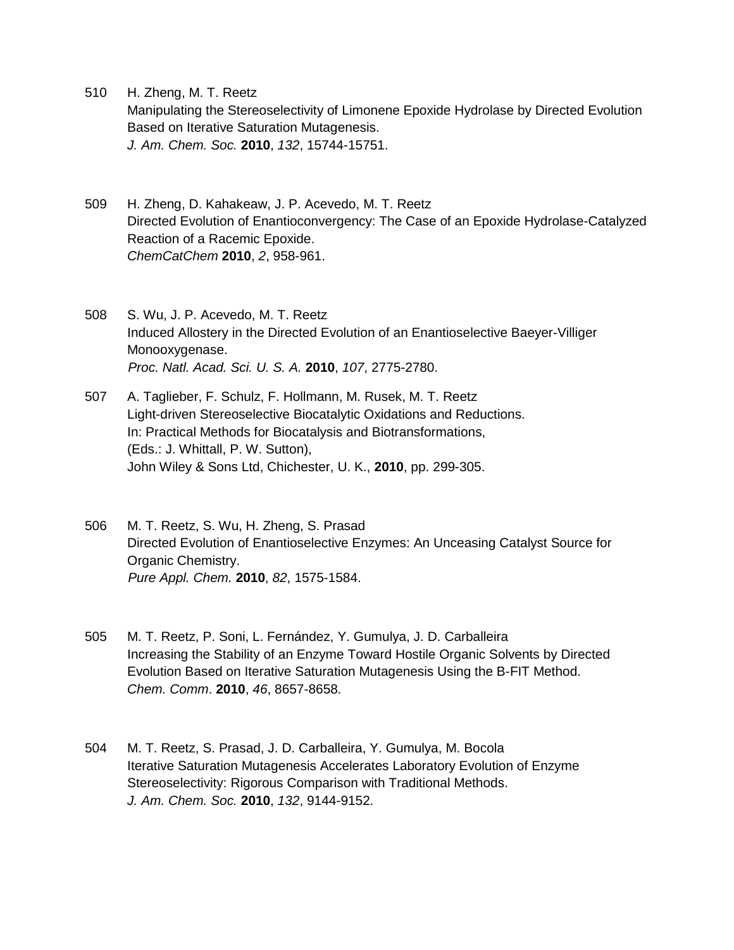510 H. Zheng, M. T. Reetz

Manipulating the Stereoselectivity of Limonene Epoxide Hydrolase by Directed Evolution Based on Iterative Saturation Mutagenesis. *J. Am. Chem. Soc.* **2010**, *132*, 15744-15751.

- 509 H. Zheng, D. Kahakeaw, J. P. Acevedo, M. T. Reetz Directed Evolution of Enantioconvergency: The Case of an Epoxide Hydrolase-Catalyzed Reaction of a Racemic Epoxide. *ChemCatChem* **2010**, *2*, 958-961.
- 508 S. Wu, J. P. Acevedo, M. T. Reetz Induced Allostery in the Directed Evolution of an Enantioselective Baeyer-Villiger Monooxygenase. *Proc. Natl. Acad. Sci. U. S. A.* **2010**, *107*, 2775-2780.
- 507 A. Taglieber, F. Schulz, F. Hollmann, M. Rusek, M. T. Reetz Light-driven Stereoselective Biocatalytic Oxidations and Reductions. In: Practical Methods for Biocatalysis and Biotransformations, (Eds.: J. Whittall, P. W. Sutton), John Wiley & Sons Ltd, Chichester, U. K., **2010**, pp. 299-305.
- 506 M. T. Reetz, S. Wu, H. Zheng, S. Prasad Directed Evolution of Enantioselective Enzymes: An Unceasing Catalyst Source for Organic Chemistry. *Pure Appl. Chem.* **2010**, *82*, 1575-1584.
- 505 M. T. Reetz, P. Soni, L. Fernández, Y. Gumulya, J. D. Carballeira Increasing the Stability of an Enzyme Toward Hostile Organic Solvents by Directed Evolution Based on Iterative Saturation Mutagenesis Using the B-FIT Method. *Chem. Comm*. **2010**, *46*, 8657-8658.
- 504 M. T. Reetz, S. Prasad, J. D. Carballeira, Y. Gumulya, M. Bocola Iterative Saturation Mutagenesis Accelerates Laboratory Evolution of Enzyme Stereoselectivity: Rigorous Comparison with Traditional Methods. *J. Am. Chem. Soc.* **2010**, *132*, 9144-9152.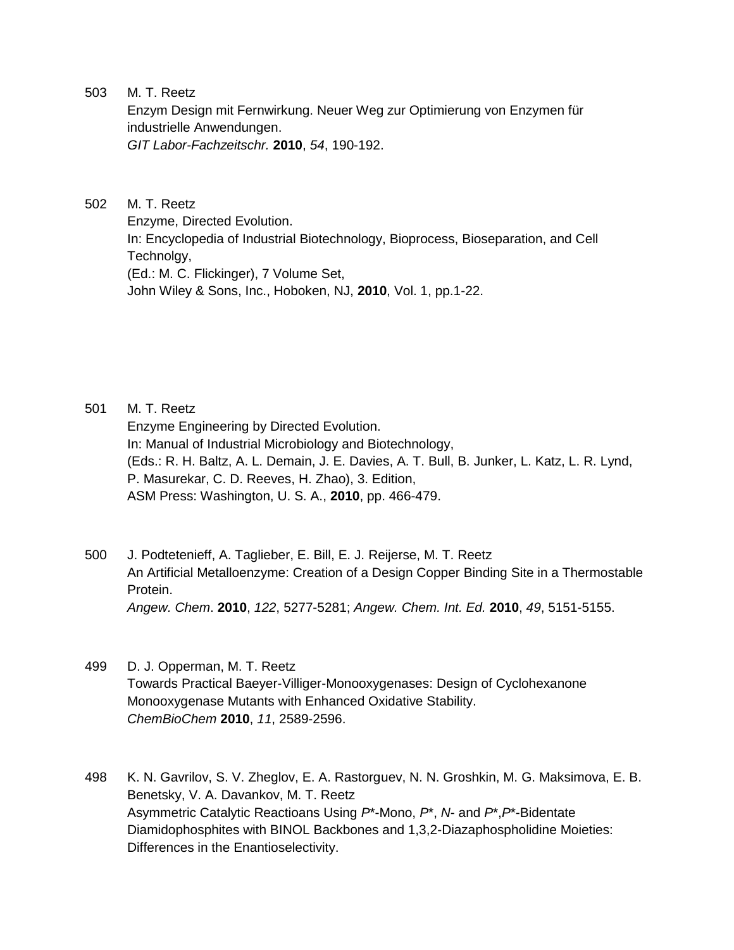Enzym Design mit Fernwirkung. Neuer Weg zur Optimierung von Enzymen für industrielle Anwendungen.

*GIT Labor-Fachzeitschr.* **2010**, *54*, 190-192.

502 M. T. Reetz

Enzyme, Directed Evolution. In: Encyclopedia of Industrial Biotechnology, Bioprocess, Bioseparation, and Cell Technolgy, (Ed.: M. C. Flickinger), 7 Volume Set, John Wiley & Sons, Inc., Hoboken, NJ, **2010**, Vol. 1, pp.1-22.

501 M. T. Reetz

Enzyme Engineering by Directed Evolution. In: Manual of Industrial Microbiology and Biotechnology, (Eds.: R. H. Baltz, A. L. Demain, J. E. Davies, A. T. Bull, B. Junker, L. Katz, L. R. Lynd, P. Masurekar, C. D. Reeves, H. Zhao), 3. Edition, ASM Press: Washington, U. S. A., **2010**, pp. 466-479.

- 500 J. Podtetenieff, A. Taglieber, E. Bill, E. J. Reijerse, M. T. Reetz An Artificial Metalloenzyme: Creation of a Design Copper Binding Site in a Thermostable Protein. *Angew. Chem*. **2010**, *122*, 5277-5281; *Angew. Chem. Int. Ed.* **2010**, *49*, 5151-5155.
- 499 D. J. Opperman, M. T. Reetz Towards Practical Baeyer-Villiger-Monooxygenases: Design of Cyclohexanone Monooxygenase Mutants with Enhanced Oxidative Stability. *ChemBioChem* **2010**, *11*, 2589-2596.
- 498 K. N. Gavrilov, S. V. Zheglov, E. A. Rastorguev, N. N. Groshkin, M. G. Maksimova, E. B. Benetsky, V. A. Davankov, M. T. Reetz Asymmetric Catalytic Reactioans Using *P*\*-Mono, *P*\*, *N*- and *P*\*,*P*\*-Bidentate Diamidophosphites with BINOL Backbones and 1,3,2-Diazaphospholidine Moieties: Differences in the Enantioselectivity.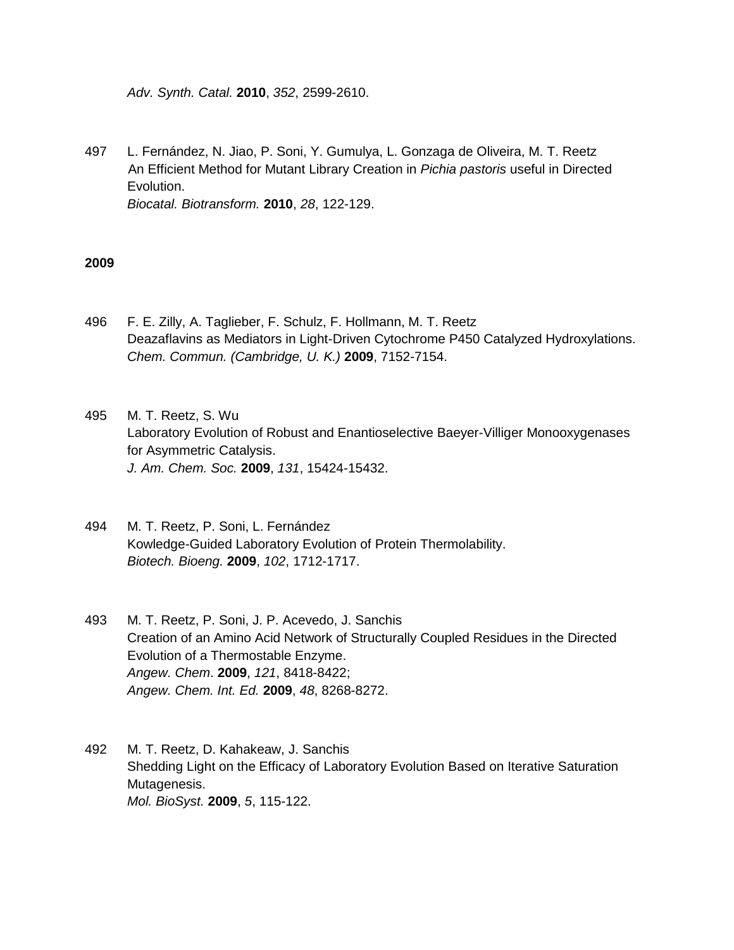*Adv. Synth. Catal.* **2010**, *352*, 2599-2610.

497 L. Fernández, N. Jiao, P. Soni, Y. Gumulya, L. Gonzaga de Oliveira, M. T. Reetz An Efficient Method for Mutant Library Creation in *Pichia pastoris* useful in Directed Evolution. *Biocatal. Biotransform.* **2010**, *28*, 122-129.

- 496 F. E. Zilly, A. Taglieber, F. Schulz, F. Hollmann, M. T. Reetz Deazaflavins as Mediators in Light-Driven Cytochrome P450 Catalyzed Hydroxylations. *Chem. Commun. (Cambridge, U. K.)* **2009**, 7152-7154.
- 495 M. T. Reetz, S. Wu Laboratory Evolution of Robust and Enantioselective Baeyer-Villiger Monooxygenases for Asymmetric Catalysis. *J. Am. Chem. Soc.* **2009**, *131*, 15424-15432.
- 494 M. T. Reetz, P. Soni, L. Fernández Kowledge-Guided Laboratory Evolution of Protein Thermolability. *Biotech. Bioeng.* **2009**, *102*, 1712-1717.
- 493 M. T. Reetz, P. Soni, J. P. Acevedo, J. Sanchis Creation of an Amino Acid Network of Structurally Coupled Residues in the Directed Evolution of a Thermostable Enzyme. *Angew. Chem*. **2009**, *121*, 8418-8422; *Angew. Chem. Int. Ed.* **2009**, *48*, 8268-8272.
- 492 M. T. Reetz, D. Kahakeaw, J. Sanchis Shedding Light on the Efficacy of Laboratory Evolution Based on Iterative Saturation Mutagenesis. *Mol. BioSyst.* **2009**, *5*, 115-122.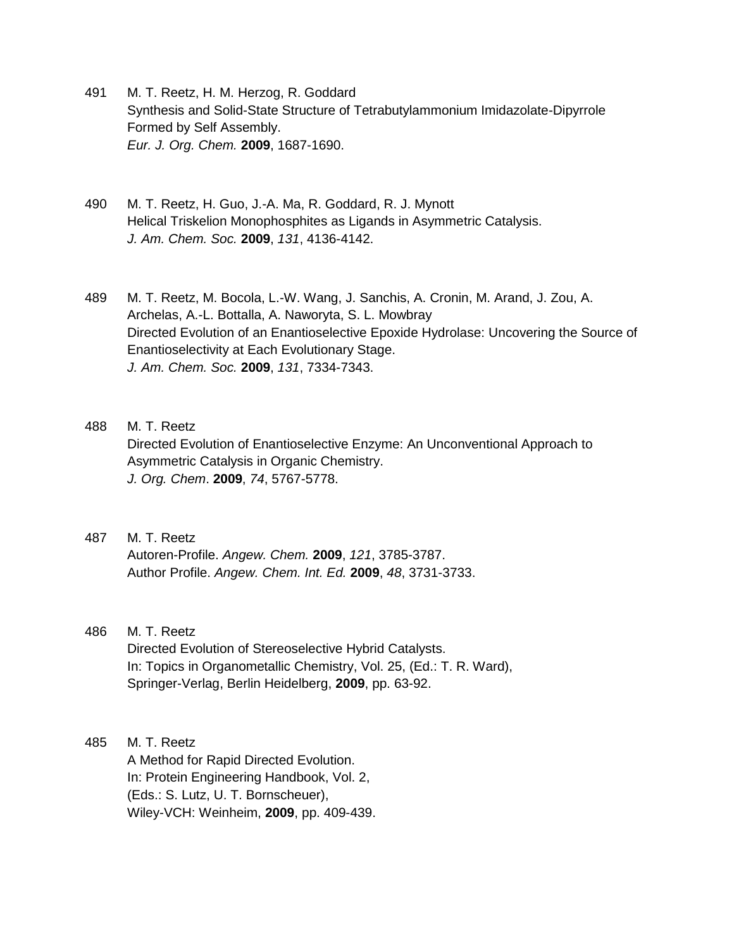- 491 M. T. Reetz, H. M. Herzog, R. Goddard Synthesis and Solid-State Structure of Tetrabutylammonium Imidazolate-Dipyrrole Formed by Self Assembly. *Eur. J. Org. Chem.* **2009**, 1687-1690.
- 490 M. T. Reetz, H. Guo, J.-A. Ma, R. Goddard, R. J. Mynott Helical Triskelion Monophosphites as Ligands in Asymmetric Catalysis. *J. Am. Chem. Soc.* **2009**, *131*, 4136-4142.
- 489 M. T. Reetz, M. Bocola, L.-W. Wang, J. Sanchis, A. Cronin, M. Arand, J. Zou, A. Archelas, A.-L. Bottalla, A. Naworyta, S. L. Mowbray Directed Evolution of an Enantioselective Epoxide Hydrolase: Uncovering the Source of Enantioselectivity at Each Evolutionary Stage. *J. Am. Chem. Soc.* **2009**, *131*, 7334-7343.
- 488 M. T. Reetz Directed Evolution of Enantioselective Enzyme: An Unconventional Approach to Asymmetric Catalysis in Organic Chemistry. *J. Org. Chem*. **2009**, *74*, 5767-5778.
- 487 M. T. Reetz Autoren-Profile. *Angew. Chem.* **2009**, *121*, 3785-3787. Author Profile. *Angew. Chem. Int. Ed.* **2009**, *48*, 3731-3733.

Directed Evolution of Stereoselective Hybrid Catalysts. In: Topics in Organometallic Chemistry, Vol. 25, (Ed.: T. R. Ward), Springer-Verlag, Berlin Heidelberg, **2009**, pp. 63-92.

## 485 M. T. Reetz

A Method for Rapid Directed Evolution. In: Protein Engineering Handbook, Vol. 2, (Eds.: S. Lutz, U. T. Bornscheuer), Wiley-VCH: Weinheim, **2009**, pp. 409-439.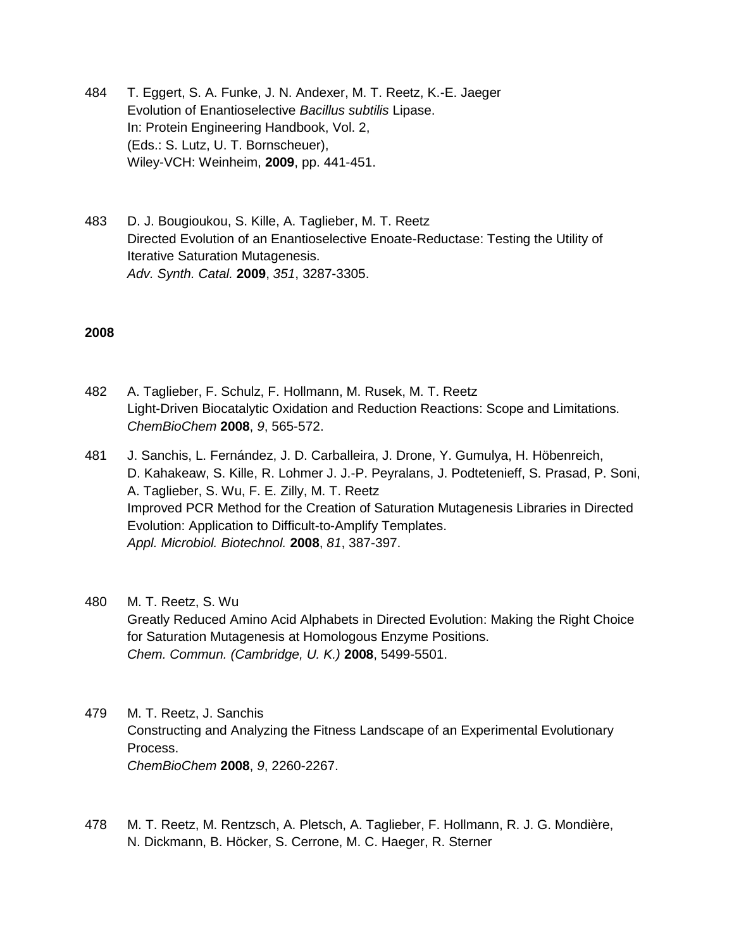- 484 T. Eggert, S. A. Funke, J. N. Andexer, M. T. Reetz, K.-E. Jaeger Evolution of Enantioselective *Bacillus subtilis* Lipase. In: Protein Engineering Handbook, Vol. 2, (Eds.: S. Lutz, U. T. Bornscheuer), Wiley-VCH: Weinheim, **2009**, pp. 441-451.
- 483 D. J. Bougioukou, S. Kille, A. Taglieber, M. T. Reetz Directed Evolution of an Enantioselective Enoate-Reductase: Testing the Utility of Iterative Saturation Mutagenesis. *Adv. Synth. Catal.* **2009**, *351*, 3287-3305.

### **2008**

- 482 A. Taglieber, F. Schulz, F. Hollmann, M. Rusek, M. T. Reetz Light-Driven Biocatalytic Oxidation and Reduction Reactions: Scope and Limitations. *ChemBioChem* **2008**, *9*, 565-572.
- 481 J. Sanchis, L. Fernández, J. D. Carballeira, J. Drone, Y. Gumulya, H. Höbenreich, D. Kahakeaw, S. Kille, R. Lohmer J. J.-P. Peyralans, J. Podtetenieff, S. Prasad, P. Soni, A. Taglieber, S. Wu, F. E. Zilly, M. T. Reetz Improved PCR Method for the Creation of Saturation Mutagenesis Libraries in Directed Evolution: Application to Difficult-to-Amplify Templates. *Appl. Microbiol. Biotechnol.* **2008**, *81*, 387-397.

# 480 M. T. Reetz, S. Wu

Greatly Reduced Amino Acid Alphabets in Directed Evolution: Making the Right Choice for Saturation Mutagenesis at Homologous Enzyme Positions. *Chem. Commun. (Cambridge, U. K.)* **2008**, 5499-5501.

- 479 M. T. Reetz, J. Sanchis Constructing and Analyzing the Fitness Landscape of an Experimental Evolutionary Process. *ChemBioChem* **2008**, *9*, 2260-2267.
- 478 M. T. Reetz, M. Rentzsch, A. Pletsch, A. Taglieber, F. Hollmann, R. J. G. Mondière, N. Dickmann, B. Höcker, S. Cerrone, M. C. Haeger, R. Sterner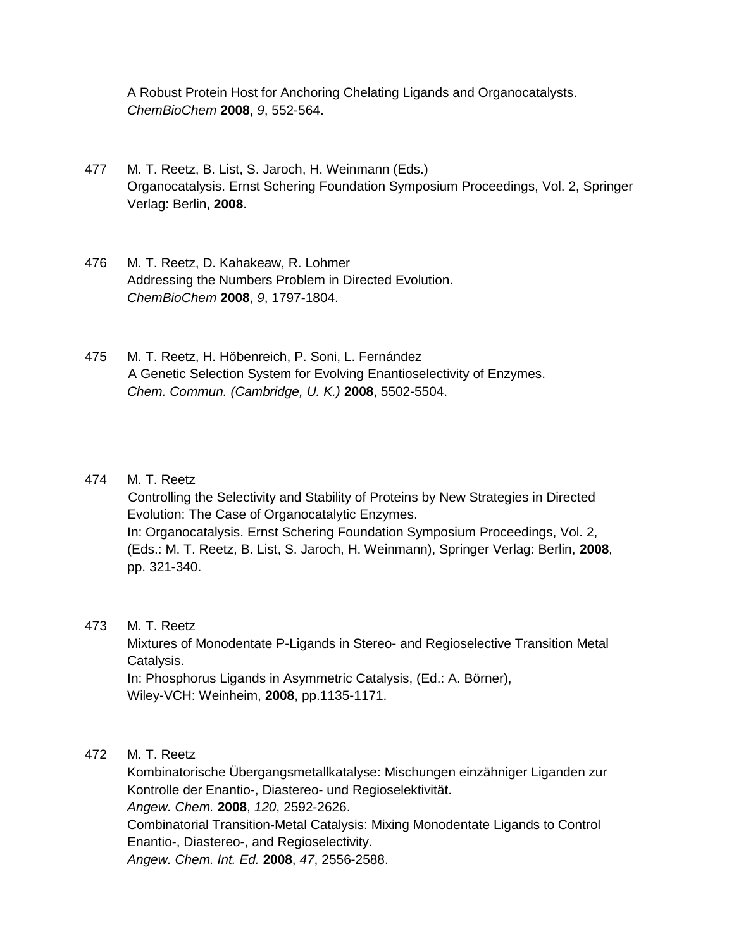A Robust Protein Host for Anchoring Chelating Ligands and Organocatalysts. *ChemBioChem* **2008**, *9*, 552-564.

- 477 M. T. Reetz, B. List, S. Jaroch, H. Weinmann (Eds.) Organocatalysis. Ernst Schering Foundation Symposium Proceedings, Vol. 2, Springer Verlag: Berlin, **2008**.
- 476 M. T. Reetz, D. Kahakeaw, R. Lohmer Addressing the Numbers Problem in Directed Evolution. *ChemBioChem* **2008**, *9*, 1797-1804.
- 475 M. T. Reetz, H. Höbenreich, P. Soni, L. Fernández A Genetic Selection System for Evolving Enantioselectivity of Enzymes. *Chem. Commun. (Cambridge, U. K.)* **2008**, 5502-5504.

### 474 M. T. Reetz

Controlling the Selectivity and Stability of Proteins by New Strategies in Directed Evolution: The Case of Organocatalytic Enzymes. In: Organocatalysis. Ernst Schering Foundation Symposium Proceedings, Vol. 2, (Eds.: M. T. Reetz, B. List, S. Jaroch, H. Weinmann), Springer Verlag: Berlin, **2008**, pp. 321-340.

### 473 M. T. Reetz

Mixtures of Monodentate P-Ligands in Stereo- and Regioselective Transition Metal Catalysis. In: Phosphorus Ligands in Asymmetric Catalysis, (Ed.: A. Börner), Wiley-VCH: Weinheim, **2008**, pp.1135-1171.

### 472 M. T. Reetz

Kombinatorische Übergangsmetallkatalyse: Mischungen einzähniger Liganden zur Kontrolle der Enantio-, Diastereo- und Regioselektivität. *Angew. Chem.* **2008**, *120*, 2592-2626. Combinatorial Transition-Metal Catalysis: Mixing Monodentate Ligands to Control Enantio-, Diastereo-, and Regioselectivity. *Angew. Chem. Int. Ed.* **2008**, *47*, 2556-2588.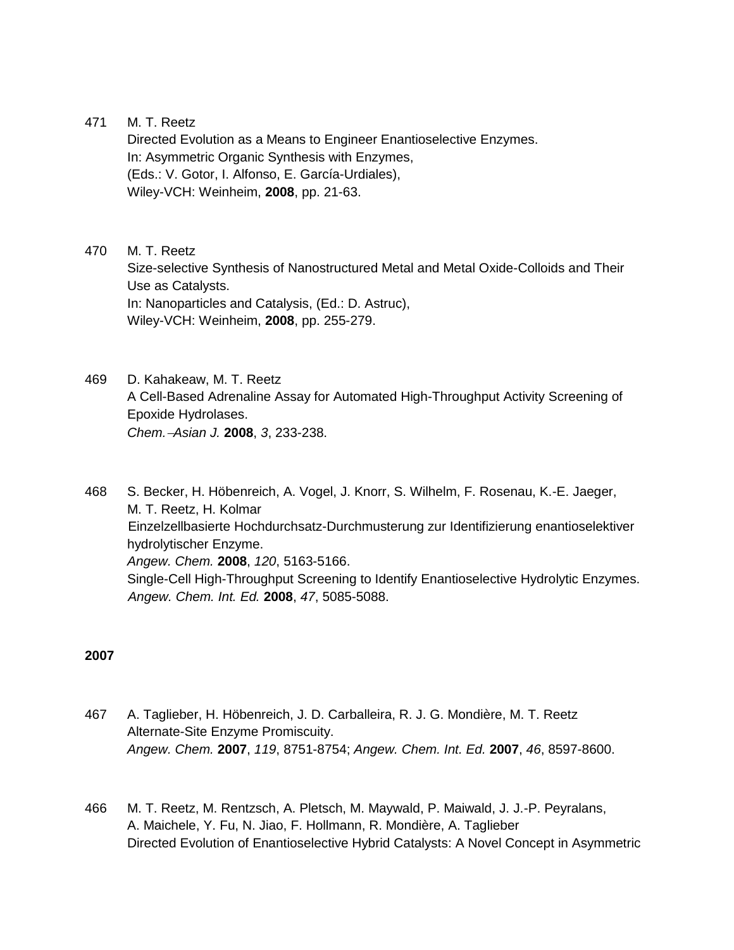Directed Evolution as a Means to Engineer Enantioselective Enzymes. In: Asymmetric Organic Synthesis with Enzymes, (Eds.: V. Gotor, I. Alfonso, E. García-Urdiales), Wiley-VCH: Weinheim, **2008**, pp. 21-63.

- 470 M. T. Reetz Size-selective Synthesis of Nanostructured Metal and Metal Oxide-Colloids and Their Use as Catalysts. In: Nanoparticles and Catalysis, (Ed.: D. Astruc), Wiley-VCH: Weinheim, **2008**, pp. 255-279.
- 469 D. Kahakeaw, M. T. Reetz A Cell-Based Adrenaline Assay for Automated High-Throughput Activity Screening of Epoxide Hydrolases. *Chem.Asian J.* **2008**, *3*, 233-238.

468 S. Becker, H. Höbenreich, A. Vogel, J. Knorr, S. Wilhelm, F. Rosenau, K.-E. Jaeger, M. T. Reetz, H. Kolmar Einzelzellbasierte Hochdurchsatz-Durchmusterung zur Identifizierung enantioselektiver hydrolytischer Enzyme. *Angew. Chem.* **2008**, *120*, 5163-5166. Single-Cell High-Throughput Screening to Identify Enantioselective Hydrolytic Enzymes. *Angew. Chem. Int. Ed.* **2008**, *47*, 5085-5088.

- 467 A. Taglieber, H. Höbenreich, J. D. Carballeira, R. J. G. Mondière, M. T. Reetz Alternate-Site Enzyme Promiscuity. *Angew. Chem.* **2007**, *119*, 8751-8754; *Angew. Chem. Int. Ed.* **2007**, *46*, 8597-8600.
- 466 M. T. Reetz, M. Rentzsch, A. Pletsch, M. Maywald, P. Maiwald, J. J.-P. Peyralans, A. Maichele, Y. Fu, N. Jiao, F. Hollmann, R. Mondière, A. Taglieber Directed Evolution of Enantioselective Hybrid Catalysts: A Novel Concept in Asymmetric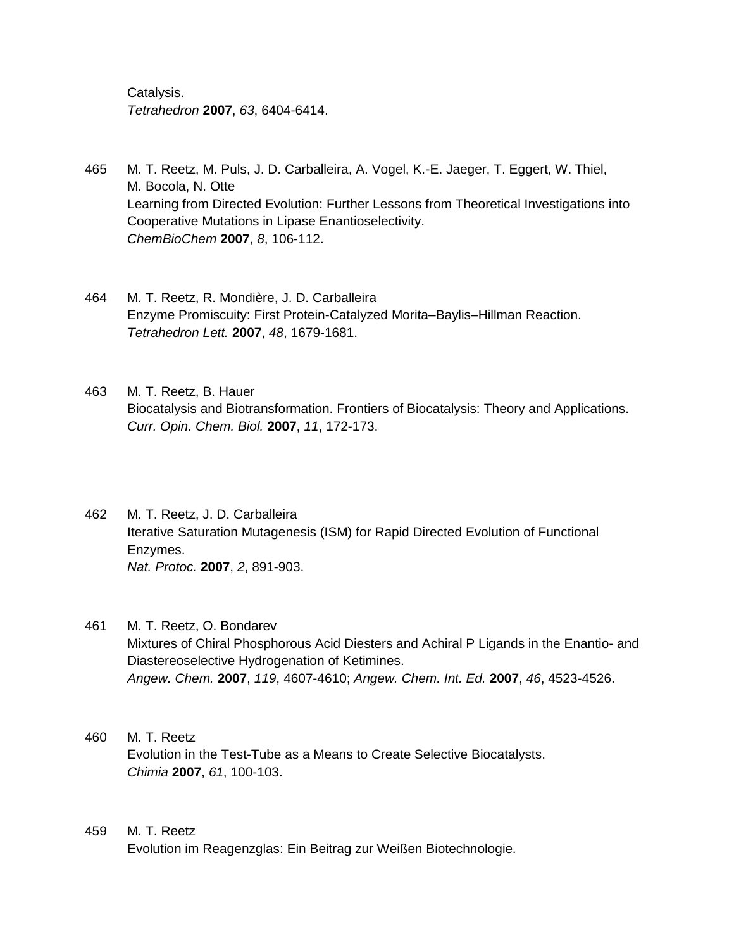Catalysis. *Tetrahedron* **2007**, *63*, 6404-6414.

- 465 M. T. Reetz, M. Puls, J. D. Carballeira, A. Vogel, K.-E. Jaeger, T. Eggert, W. Thiel, M. Bocola, N. Otte Learning from Directed Evolution: Further Lessons from Theoretical Investigations into Cooperative Mutations in Lipase Enantioselectivity. *ChemBioChem* **2007**, *8*, 106-112.
- 464 M. T. Reetz, R. Mondière, J. D. Carballeira Enzyme Promiscuity: First Protein-Catalyzed Morita–Baylis–Hillman Reaction. *Tetrahedron Lett.* **2007**, *48*, 1679-1681.
- 463 M. T. Reetz, B. Hauer Biocatalysis and Biotransformation. Frontiers of Biocatalysis: Theory and Applications. *Curr. Opin. Chem. Biol.* **2007**, *11*, 172-173.
- 462 M. T. Reetz, J. D. Carballeira Iterative Saturation Mutagenesis (ISM) for Rapid Directed Evolution of Functional Enzymes. *Nat. Protoc.* **2007**, *2*, 891-903.
- 461 M. T. Reetz, O. Bondarev Mixtures of Chiral Phosphorous Acid Diesters and Achiral P Ligands in the Enantio- and Diastereoselective Hydrogenation of Ketimines. *Angew. Chem.* **2007**, *119*, 4607-4610; *Angew. Chem. Int. Ed.* **2007**, *46*, 4523-4526.
- 460 M. T. Reetz Evolution in the Test-Tube as a Means to Create Selective Biocatalysts. *Chimia* **2007**, *61*, 100-103.
- 459 M. T. Reetz Evolution im Reagenzglas: Ein Beitrag zur Weißen Biotechnologie.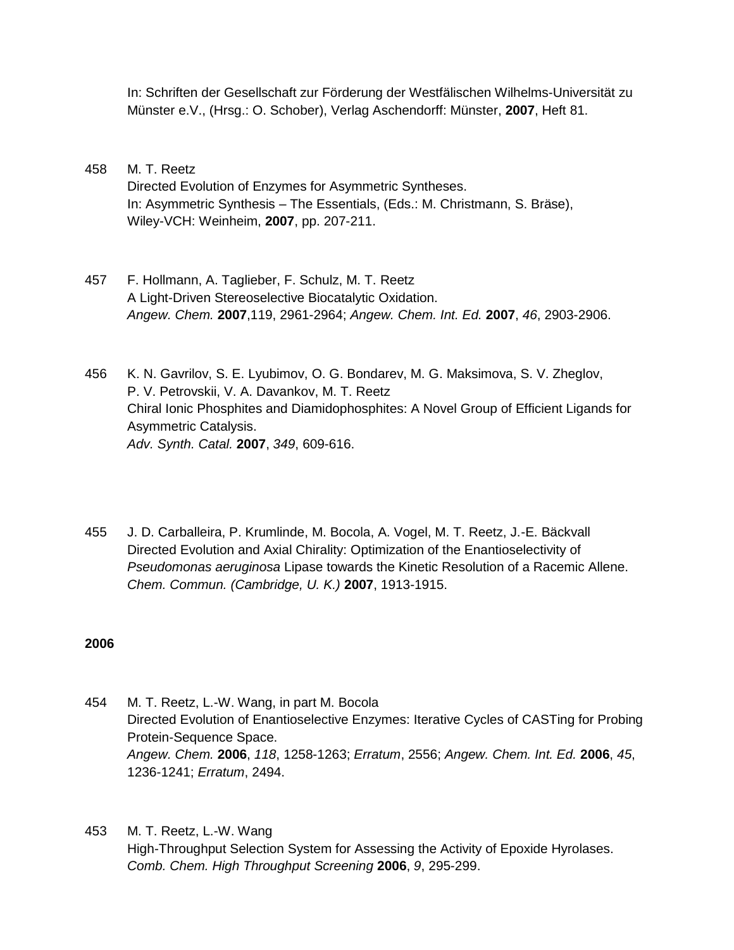In: Schriften der Gesellschaft zur Förderung der Westfälischen Wilhelms-Universität zu Münster e.V., (Hrsg.: O. Schober), Verlag Aschendorff: Münster, **2007**, Heft 81.

- 458 M. T. Reetz Directed Evolution of Enzymes for Asymmetric Syntheses. In: Asymmetric Synthesis – The Essentials, (Eds.: M. Christmann, S. Bräse), Wiley-VCH: Weinheim, **2007**, pp. 207-211.
- 457 F. Hollmann, A. Taglieber, F. Schulz, M. T. Reetz A Light-Driven Stereoselective Biocatalytic Oxidation. *Angew. Chem.* **2007**,119, 2961-2964; *Angew. Chem. Int. Ed.* **2007**, *46*, 2903-2906.
- 456 K. N. Gavrilov, S. E. Lyubimov, O. G. Bondarev, M. G. Maksimova, S. V. Zheglov, P. V. Petrovskii, V. A. Davankov, M. T. Reetz Chiral Ionic Phosphites and Diamidophosphites: A Novel Group of Efficient Ligands for Asymmetric Catalysis. *Adv. Synth. Catal.* **2007**, *349*, 609-616.
- 455 J. D. Carballeira, P. Krumlinde, M. Bocola, A. Vogel, M. T. Reetz, J.-E. Bäckvall Directed Evolution and Axial Chirality: Optimization of the Enantioselectivity of *Pseudomonas aeruginosa* Lipase towards the Kinetic Resolution of a Racemic Allene. *Chem. Commun. (Cambridge, U. K.)* **2007**, 1913-1915.

- 454 M. T. Reetz, L.-W. Wang, in part M. Bocola Directed Evolution of Enantioselective Enzymes: Iterative Cycles of CASTing for Probing Protein-Sequence Space. *Angew. Chem.* **2006**, *118*, 1258-1263; *Erratum*, 2556; *Angew. Chem. Int. Ed.* **2006**, *45*, 1236-1241; *Erratum*, 2494.
- 453 M. T. Reetz, L.-W. Wang High-Throughput Selection System for Assessing the Activity of Epoxide Hyrolases. *Comb. Chem. High Throughput Screening* **2006**, *9*, 295-299.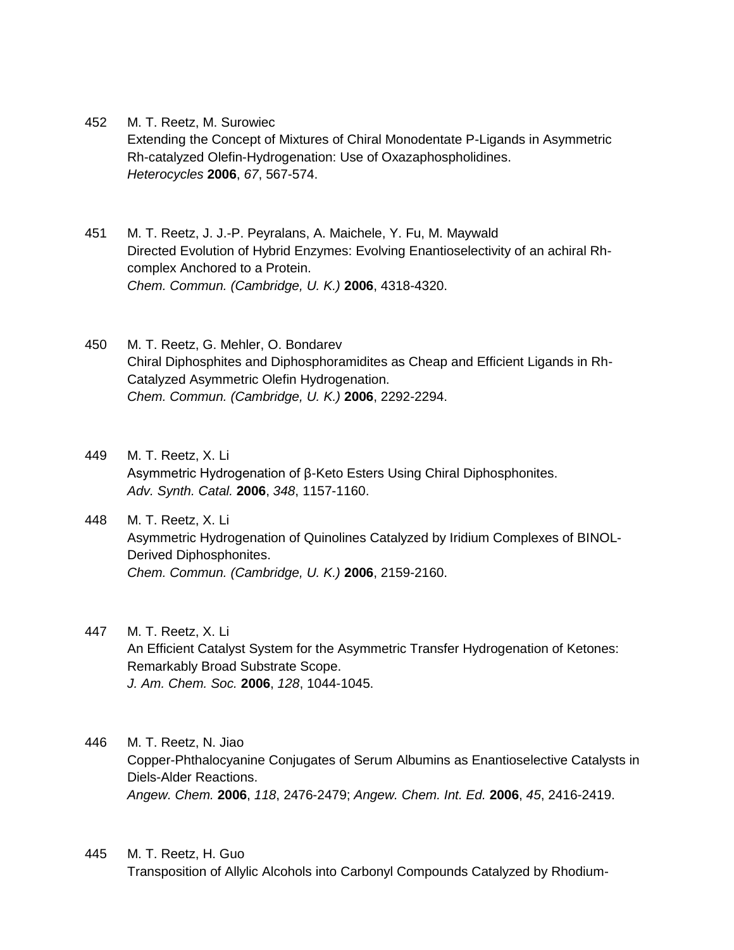- 452 M. T. Reetz, M. Surowiec Extending the Concept of Mixtures of Chiral Monodentate P-Ligands in Asymmetric Rh-catalyzed Olefin-Hydrogenation: Use of Oxazaphospholidines. *Heterocycles* **2006**, *67*, 567-574.
- 451 M. T. Reetz, J. J.-P. Peyralans, A. Maichele, Y. Fu, M. Maywald Directed Evolution of Hybrid Enzymes: Evolving Enantioselectivity of an achiral Rhcomplex Anchored to a Protein. *Chem. Commun. (Cambridge, U. K.)* **2006**, 4318-4320.
- 450 M. T. Reetz, G. Mehler, O. Bondarev Chiral Diphosphites and Diphosphoramidites as Cheap and Efficient Ligands in Rh-Catalyzed Asymmetric Olefin Hydrogenation. *Chem. Commun. (Cambridge, U. K.)* **2006**, 2292-2294.
- 449 M. T. Reetz, X. Li Asymmetric Hydrogenation of β-Keto Esters Using Chiral Diphosphonites. *Adv. Synth. Catal.* **2006**, *348*, 1157-1160.
- 448 M. T. Reetz, X. Li Asymmetric Hydrogenation of Quinolines Catalyzed by Iridium Complexes of BINOL-Derived Diphosphonites. *Chem. Commun. (Cambridge, U. K.)* **2006**, 2159-2160.
- 447 M. T. Reetz, X. Li An Efficient Catalyst System for the Asymmetric Transfer Hydrogenation of Ketones: Remarkably Broad Substrate Scope. *J. Am. Chem. Soc.* **2006**, *128*, 1044-1045.
- 446 M. T. Reetz, N. Jiao Copper-Phthalocyanine Conjugates of Serum Albumins as Enantioselective Catalysts in Diels-Alder Reactions. *Angew. Chem.* **2006**, *118*, 2476-2479; *Angew. Chem. Int. Ed.* **2006**, *45*, 2416-2419.
- 445 M. T. Reetz, H. Guo Transposition of Allylic Alcohols into Carbonyl Compounds Catalyzed by Rhodium-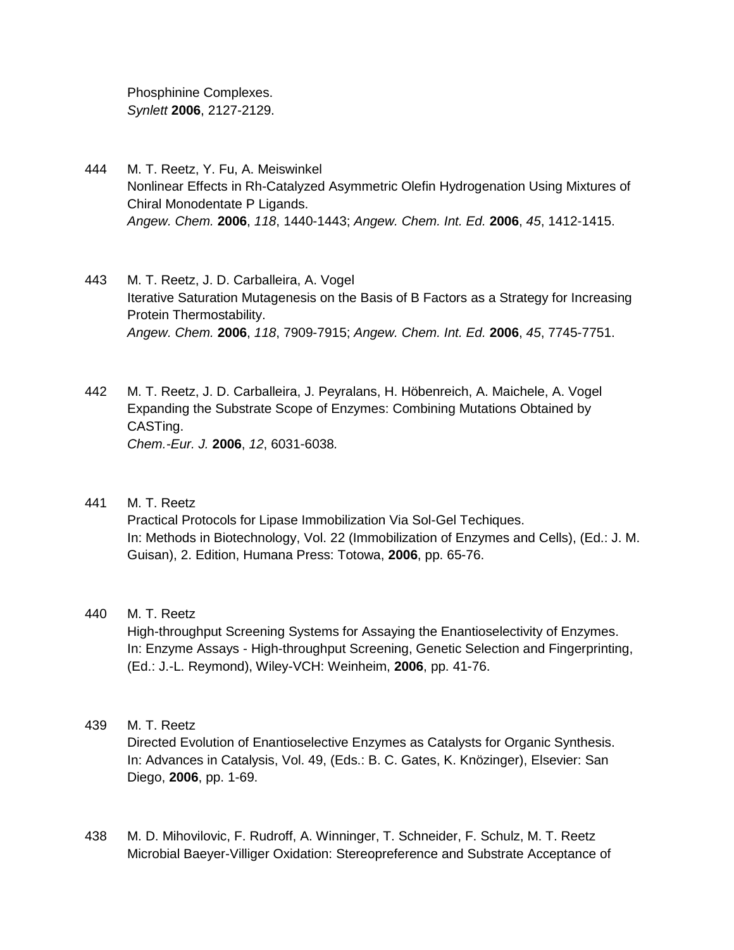Phosphinine Complexes. *Synlett* **2006**, 2127-2129.

- 444 M. T. Reetz, Y. Fu, A. Meiswinkel Nonlinear Effects in Rh-Catalyzed Asymmetric Olefin Hydrogenation Using Mixtures of Chiral Monodentate P Ligands. *Angew. Chem.* **2006**, *118*, 1440-1443; *Angew. Chem. Int. Ed.* **2006**, *45*, 1412-1415.
- 443 M. T. Reetz, J. D. Carballeira, A. Vogel Iterative Saturation Mutagenesis on the Basis of B Factors as a Strategy for Increasing Protein Thermostability. *Angew. Chem.* **2006**, *118*, 7909-7915; *Angew. Chem. Int. Ed.* **2006**, *45*, 7745-7751.
- 442 M. T. Reetz, J. D. Carballeira, J. Peyralans, H. Höbenreich, A. Maichele, A. Vogel Expanding the Substrate Scope of Enzymes: Combining Mutations Obtained by CASTing. *Chem.-Eur. J.* **2006**, *12*, 6031-6038*.*
- 441 M. T. Reetz Practical Protocols for Lipase Immobilization Via Sol-Gel Techiques. In: Methods in Biotechnology, Vol. 22 (Immobilization of Enzymes and Cells), (Ed.: J. M. Guisan), 2. Edition, Humana Press: Totowa, **2006**, pp. 65-76.

### 440 M. T. Reetz

High-throughput Screening Systems for Assaying the Enantioselectivity of Enzymes. In: Enzyme Assays - High-throughput Screening, Genetic Selection and Fingerprinting, (Ed.: J.-L. Reymond), Wiley-VCH: Weinheim, **2006**, pp. 41-76.

### 439 M. T. Reetz

Directed Evolution of Enantioselective Enzymes as Catalysts for Organic Synthesis. In: Advances in Catalysis, Vol. 49, (Eds.: B. C. Gates, K. Knözinger), Elsevier: San Diego, **2006**, pp. 1-69.

438 M. D. Mihovilovic, F. Rudroff, A. Winninger, T. Schneider, F. Schulz, M. T. Reetz Microbial Baeyer-Villiger Oxidation: Stereopreference and Substrate Acceptance of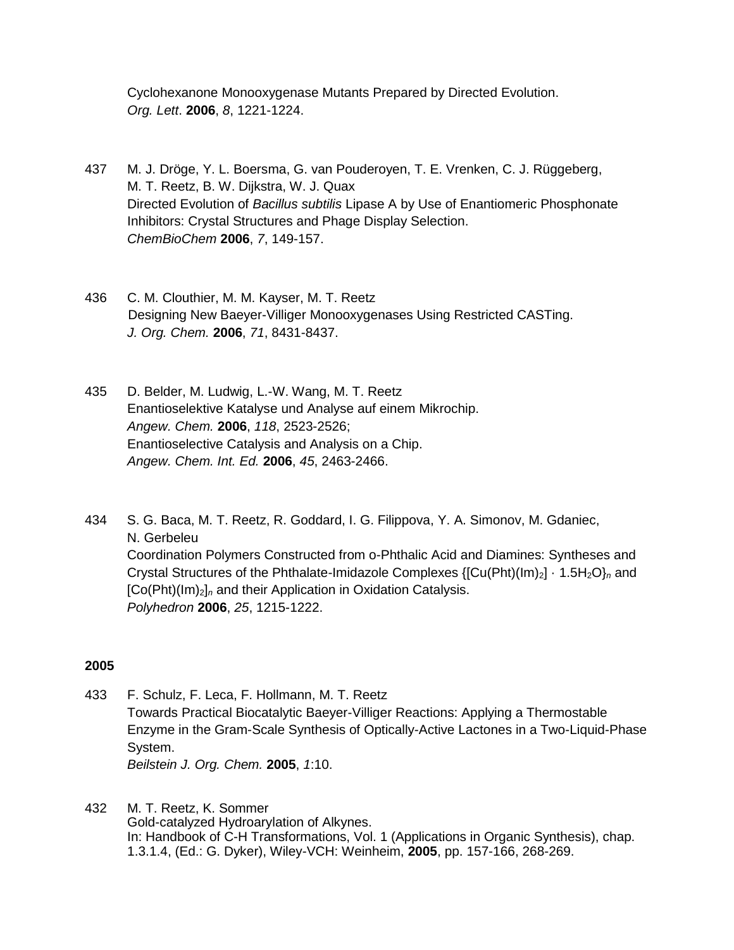Cyclohexanone Monooxygenase Mutants Prepared by Directed Evolution. *Org. Lett*. **2006**, *8*, 1221-1224.

- 437 M. J. Dröge, Y. L. Boersma, G. van Pouderoyen, T. E. Vrenken, C. J. Rüggeberg, M. T. Reetz, B. W. Dijkstra, W. J. Quax Directed Evolution of *Bacillus subtilis* Lipase A by Use of Enantiomeric Phosphonate Inhibitors: Crystal Structures and Phage Display Selection. *ChemBioChem* **2006**, *7*, 149-157.
- 436 C. M. Clouthier, M. M. Kayser, M. T. Reetz Designing New Baeyer-Villiger Monooxygenases Using Restricted CASTing. *J. Org. Chem.* **2006**, *71*, 8431-8437.
- 435 D. Belder, M. Ludwig, L.-W. Wang, M. T. Reetz Enantioselektive Katalyse und Analyse auf einem Mikrochip. *Angew. Chem.* **2006**, *118*, 2523-2526; Enantioselective Catalysis and Analysis on a Chip. *Angew. Chem. Int. Ed.* **2006**, *45*, 2463-2466.
- 434 S. G. Baca, M. T. Reetz, R. Goddard, I. G. Filippova, Y. A. Simonov, M. Gdaniec, N. Gerbeleu Coordination Polymers Constructed from o-Phthalic Acid and Diamines: Syntheses and Crystal Structures of the Phthalate-Imidazole Complexes {[Cu(Pht)(Im)<sub>2</sub>] · 1.5H<sub>2</sub>O}<sub>n</sub> and [Co(Pht)(Im)2]*<sup>n</sup>* and their Application in Oxidation Catalysis. *Polyhedron* **2006**, *25*, 1215-1222.

- 433 F. Schulz, F. Leca, F. Hollmann, M. T. Reetz Towards Practical Biocatalytic Baeyer-Villiger Reactions: Applying a Thermostable Enzyme in the Gram-Scale Synthesis of Optically-Active Lactones in a Two-Liquid-Phase System. *Beilstein J. Org. Chem.* **2005**, *1*:10.
- 432 M. T. Reetz, K. Sommer Gold-catalyzed Hydroarylation of Alkynes. In: Handbook of C-H Transformations, Vol. 1 (Applications in Organic Synthesis), chap. 1.3.1.4, (Ed.: G. Dyker), Wiley-VCH: Weinheim, **2005**, pp. 157-166, 268-269.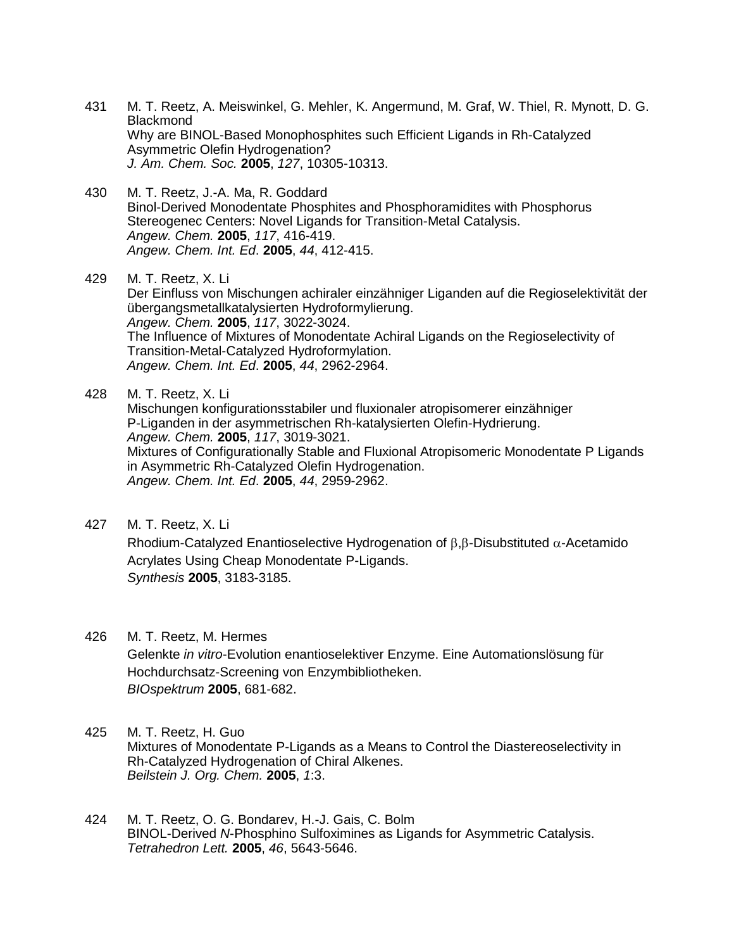- 431 M. T. Reetz, A. Meiswinkel, G. Mehler, K. Angermund, M. Graf, W. Thiel, R. Mynott, D. G. **Blackmond** Why are BINOL-Based Monophosphites such Efficient Ligands in Rh-Catalyzed Asymmetric Olefin Hydrogenation? *J. Am. Chem. Soc.* **2005**, *127*, 10305-10313.
- 430 M. T. Reetz, J.-A. Ma, R. Goddard Binol-Derived Monodentate Phosphites and Phosphoramidites with Phosphorus Stereogenec Centers: Novel Ligands for Transition-Metal Catalysis. *Angew. Chem.* **2005**, *117*, 416-419. *Angew. Chem. Int. Ed*. **2005**, *44*, 412-415.

429 M. T. Reetz, X. Li Der Einfluss von Mischungen achiraler einzähniger Liganden auf die Regioselektivität der übergangsmetallkatalysierten Hydroformylierung. *Angew. Chem.* **2005**, *117*, 3022-3024. The Influence of Mixtures of Monodentate Achiral Ligands on the Regioselectivity of Transition-Metal-Catalyzed Hydroformylation. *Angew. Chem. Int. Ed*. **2005**, *44*, 2962-2964.

428 M. T. Reetz, X. Li Mischungen konfigurationsstabiler und fluxionaler atropisomerer einzähniger P-Liganden in der asymmetrischen Rh-katalysierten Olefin-Hydrierung. *Angew. Chem.* **2005**, *117*, 3019-3021. Mixtures of Configurationally Stable and Fluxional Atropisomeric Monodentate P Ligands in Asymmetric Rh-Catalyzed Olefin Hydrogenation. *Angew. Chem. Int. Ed*. **2005**, *44*, 2959-2962.

427 M. T. Reetz, X. Li

Rhodium-Catalyzed Enantioselective Hydrogenation of  $\beta$ , $\beta$ -Disubstituted  $\alpha$ -Acetamido Acrylates Using Cheap Monodentate P-Ligands. *Synthesis* **2005**, 3183-3185.

426 M. T. Reetz, M. Hermes Gelenkte *in vitro*-Evolution enantioselektiver Enzyme. Eine Automationslösung für Hochdurchsatz-Screening von Enzymbibliotheken. *BIOspektrum* **2005**, 681-682.

- 425 M. T. Reetz, H. Guo Mixtures of Monodentate P-Ligands as a Means to Control the Diastereoselectivity in Rh-Catalyzed Hydrogenation of Chiral Alkenes. *Beilstein J. Org. Chem.* **2005**, *1*:3.
- 424 M. T. Reetz, O. G. Bondarev, H.-J. Gais, C. Bolm BINOL-Derived *N*-Phosphino Sulfoximines as Ligands for Asymmetric Catalysis. *Tetrahedron Lett.* **2005**, *46*, 5643-5646.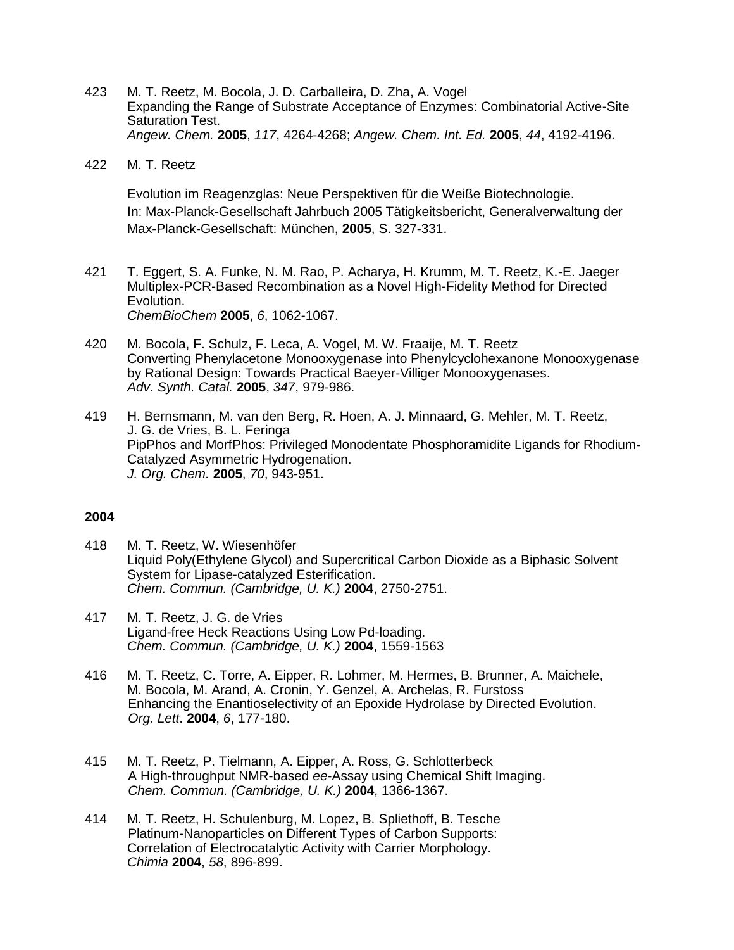- 423 M. T. Reetz, M. Bocola, J. D. Carballeira, D. Zha, A. Vogel Expanding the Range of Substrate Acceptance of Enzymes: Combinatorial Active-Site Saturation Test. *Angew. Chem.* **2005**, *117*, 4264-4268; *Angew. Chem. Int. Ed.* **2005**, *44*, 4192-4196.
- 422 M. T. Reetz

Evolution im Reagenzglas: Neue Perspektiven für die Weiße Biotechnologie. In: Max-Planck-Gesellschaft Jahrbuch 2005 Tätigkeitsbericht, Generalverwaltung der Max-Planck-Gesellschaft: München, **2005**, S. 327-331.

- 421 T. Eggert, S. A. Funke, N. M. Rao, P. Acharya, H. Krumm, M. T. Reetz, K.-E. Jaeger Multiplex-PCR-Based Recombination as a Novel High-Fidelity Method for Directed Evolution. *ChemBioChem* **2005**, *6*, 1062-1067.
- 420 M. Bocola, F. Schulz, F. Leca, A. Vogel, M. W. Fraaije, M. T. Reetz Converting Phenylacetone Monooxygenase into Phenylcyclohexanone Monooxygenase by Rational Design: Towards Practical Baeyer-Villiger Monooxygenases. *Adv. Synth. Catal.* **2005**, *347*, 979-986.

419 H. Bernsmann, M. van den Berg, R. Hoen, A. J. Minnaard, G. Mehler, M. T. Reetz, J. G. de Vries, B. L. Feringa PipPhos and MorfPhos: Privileged Monodentate Phosphoramidite Ligands for Rhodium-Catalyzed Asymmetric Hydrogenation. *J. Org. Chem.* **2005**, *70*, 943-951.

- 418 M. T. Reetz, W. Wiesenhöfer Liquid Poly(Ethylene Glycol) and Supercritical Carbon Dioxide as a Biphasic Solvent System for Lipase-catalyzed Esterification. *Chem. Commun. (Cambridge, U. K.)* **2004**, 2750-2751.
- 417 M. T. Reetz, J. G. de Vries Ligand-free Heck Reactions Using Low Pd-loading. *Chem. Commun. (Cambridge, U. K.)* **2004**, 1559-1563
- 416 M. T. Reetz, C. Torre, A. Eipper, R. Lohmer, M. Hermes, B. Brunner, A. Maichele, M. Bocola, M. Arand, A. Cronin, Y. Genzel, A. Archelas, R. Furstoss Enhancing the Enantioselectivity of an Epoxide Hydrolase by Directed Evolution. *Org. Lett*. **2004**, *6*, 177-180.
- 415 M. T. Reetz, P. Tielmann, A. Eipper, A. Ross, G. Schlotterbeck A High-throughput NMR-based *ee*-Assay using Chemical Shift Imaging. *Chem. Commun. (Cambridge, U. K.)* **2004**, 1366-1367.
- 414 M. T. Reetz, H. Schulenburg, M. Lopez, B. Spliethoff, B. Tesche Platinum-Nanoparticles on Different Types of Carbon Supports: Correlation of Electrocatalytic Activity with Carrier Morphology. *Chimia* **2004**, *58*, 896-899.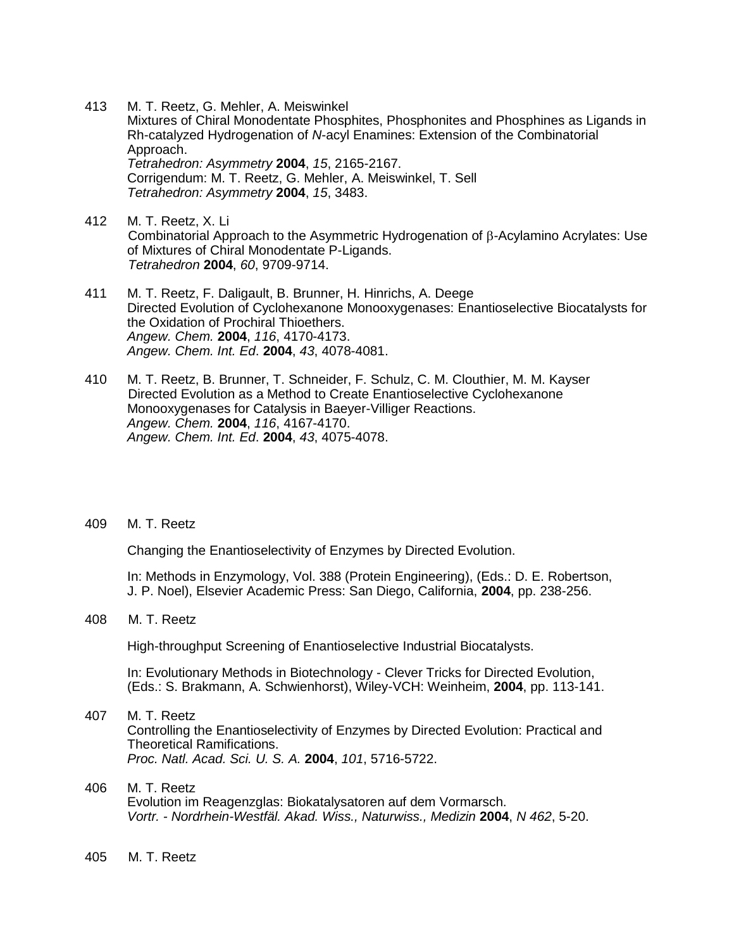- 413 M. T. Reetz, G. Mehler, A. Meiswinkel Mixtures of Chiral Monodentate Phosphites, Phosphonites and Phosphines as Ligands in Rh-catalyzed Hydrogenation of *N*-acyl Enamines: Extension of the Combinatorial Approach. *Tetrahedron: Asymmetry* **2004**, *15*, 2165-2167. Corrigendum: M. T. Reetz, G. Mehler, A. Meiswinkel, T. Sell *Tetrahedron: Asymmetry* **2004**, *15*, 3483.
- 412 M. T. Reetz, X. Li Combinatorial Approach to the Asymmetric Hydrogenation of  $\beta$ -Acylamino Acrylates: Use of Mixtures of Chiral Monodentate P-Ligands. *Tetrahedron* **2004**, *60*, 9709-9714.
- 411 M. T. Reetz, F. Daligault, B. Brunner, H. Hinrichs, A. Deege Directed Evolution of Cyclohexanone Monooxygenases: Enantioselective Biocatalysts for the Oxidation of Prochiral Thioethers. *Angew. Chem.* **2004**, *116*, 4170-4173. *Angew. Chem. Int. Ed*. **2004**, *43*, 4078-4081.
- 410 M. T. Reetz, B. Brunner, T. Schneider, F. Schulz, C. M. Clouthier, M. M. Kayser Directed Evolution as a Method to Create Enantioselective Cyclohexanone Monooxygenases for Catalysis in Baeyer-Villiger Reactions. *Angew. Chem.* **2004**, *116*, 4167-4170. *Angew. Chem. Int. Ed*. **2004**, *43*, 4075-4078.

Changing the Enantioselectivity of Enzymes by Directed Evolution.

In: Methods in Enzymology, Vol. 388 (Protein Engineering), (Eds.: D. E. Robertson, J. P. Noel), Elsevier Academic Press: San Diego, California, **2004**, pp. 238-256.

408 M. T. Reetz

High-throughput Screening of Enantioselective Industrial Biocatalysts.

In: Evolutionary Methods in Biotechnology - Clever Tricks for Directed Evolution, (Eds.: S. Brakmann, A. Schwienhorst), Wiley-VCH: Weinheim, **2004**, pp. 113-141.

#### 407 M. T. Reetz

Controlling the Enantioselectivity of Enzymes by Directed Evolution: Practical and Theoretical Ramifications. *Proc. Natl. Acad. Sci. U. S. A.* **2004**, *101*, 5716-5722.

#### 406 M. T. Reetz

Evolution im Reagenzglas: Biokatalysatoren auf dem Vormarsch. *Vortr. - Nordrhein-Westfäl. Akad. Wiss., Naturwiss., Medizin* **2004**, *N 462*, 5-20.

405 M. T. Reetz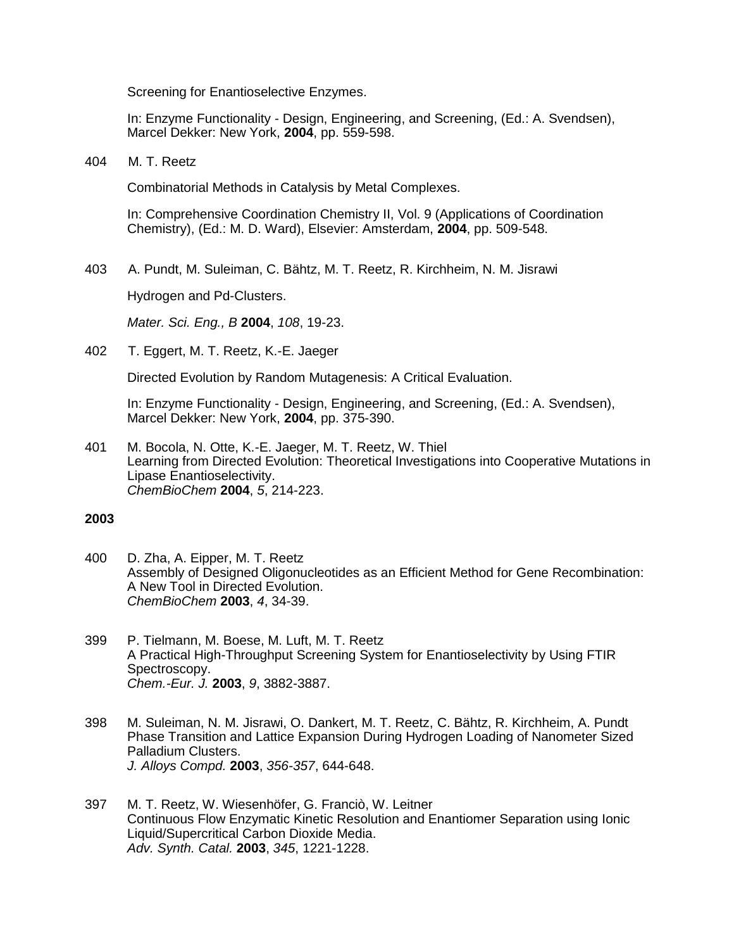Screening for Enantioselective Enzymes.

In: Enzyme Functionality - Design, Engineering, and Screening, (Ed.: A. Svendsen), Marcel Dekker: New York, **2004**, pp. 559-598.

404 M. T. Reetz

Combinatorial Methods in Catalysis by Metal Complexes.

In: Comprehensive Coordination Chemistry II, Vol. 9 (Applications of Coordination Chemistry), (Ed.: M. D. Ward), Elsevier: Amsterdam, **2004**, pp. 509-548.

403 A. Pundt, M. Suleiman, C. Bähtz, M. T. Reetz, R. Kirchheim, N. M. Jisrawi

Hydrogen and Pd-Clusters.

*Mater. Sci. Eng., B* **2004**, *108*, 19-23.

402 T. Eggert, M. T. Reetz, K.-E. Jaeger

Directed Evolution by Random Mutagenesis: A Critical Evaluation.

In: Enzyme Functionality - Design, Engineering, and Screening, (Ed.: A. Svendsen), Marcel Dekker: New York, **2004**, pp. 375-390.

401 M. Bocola, N. Otte, K.-E. Jaeger, M. T. Reetz, W. Thiel Learning from Directed Evolution: Theoretical Investigations into Cooperative Mutations in Lipase Enantioselectivity. *ChemBioChem* **2004**, *5*, 214-223.

- 400 D. Zha, A. Eipper, M. T. Reetz Assembly of Designed Oligonucleotides as an Efficient Method for Gene Recombination: A New Tool in Directed Evolution. *ChemBioChem* **2003**, *4*, 34-39.
- 399 P. Tielmann, M. Boese, M. Luft, M. T. Reetz A Practical High-Throughput Screening System for Enantioselectivity by Using FTIR Spectroscopy. *Chem.-Eur. J.* **2003**, *9*, 3882-3887.
- 398 M. Suleiman, N. M. Jisrawi, O. Dankert, M. T. Reetz, C. Bähtz, R. Kirchheim, A. Pundt Phase Transition and Lattice Expansion During Hydrogen Loading of Nanometer Sized Palladium Clusters. *J. Alloys Compd.* **2003**, *356-357*, 644-648.
- 397 M. T. Reetz, W. Wiesenhöfer, G. Franciò, W. Leitner Continuous Flow Enzymatic Kinetic Resolution and Enantiomer Separation using Ionic Liquid/Supercritical Carbon Dioxide Media. *Adv. Synth. Catal.* **2003**, *345*, 1221-1228.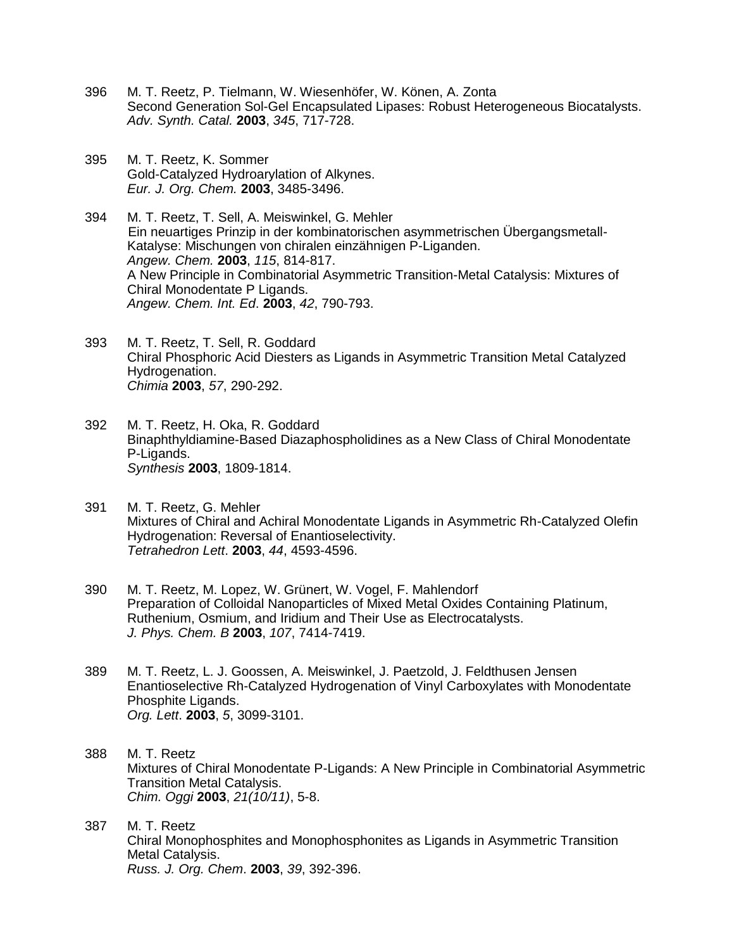- 396 M. T. Reetz, P. Tielmann, W. Wiesenhöfer, W. Könen, A. Zonta Second Generation Sol-Gel Encapsulated Lipases: Robust Heterogeneous Biocatalysts. *Adv. Synth. Catal.* **2003**, *345*, 717-728.
- 395 M. T. Reetz, K. Sommer Gold-Catalyzed Hydroarylation of Alkynes. *Eur. J. Org. Chem.* **2003**, 3485-3496.

394 M. T. Reetz, T. Sell, A. Meiswinkel, G. Mehler Ein neuartiges Prinzip in der kombinatorischen asymmetrischen Übergangsmetall-Katalyse: Mischungen von chiralen einzähnigen P-Liganden. *Angew. Chem.* **2003**, *115*, 814-817. A New Principle in Combinatorial Asymmetric Transition-Metal Catalysis: Mixtures of Chiral Monodentate P Ligands. *Angew. Chem. Int. Ed*. **2003**, *42*, 790-793.

- 393 M. T. Reetz, T. Sell, R. Goddard Chiral Phosphoric Acid Diesters as Ligands in Asymmetric Transition Metal Catalyzed Hydrogenation. *Chimia* **2003**, *57*, 290-292.
- 392 M. T. Reetz, H. Oka, R. Goddard Binaphthyldiamine-Based Diazaphospholidines as a New Class of Chiral Monodentate P-Ligands. *Synthesis* **2003**, 1809-1814.
- 391 M. T. Reetz, G. Mehler Mixtures of Chiral and Achiral Monodentate Ligands in Asymmetric Rh-Catalyzed Olefin Hydrogenation: Reversal of Enantioselectivity. *Tetrahedron Lett*. **2003**, *44*, 4593-4596.
- 390 M. T. Reetz, M. Lopez, W. Grünert, W. Vogel, F. Mahlendorf Preparation of Colloidal Nanoparticles of Mixed Metal Oxides Containing Platinum, Ruthenium, Osmium, and Iridium and Their Use as Electrocatalysts. *J. Phys. Chem. B* **2003**, *107*, 7414-7419.
- 389 M. T. Reetz, L. J. Goossen, A. Meiswinkel, J. Paetzold, J. Feldthusen Jensen Enantioselective Rh-Catalyzed Hydrogenation of Vinyl Carboxylates with Monodentate Phosphite Ligands. *Org. Lett*. **2003**, *5*, 3099-3101.
- 388 M. T. Reetz Mixtures of Chiral Monodentate P-Ligands: A New Principle in Combinatorial Asymmetric Transition Metal Catalysis. *Chim. Oggi* **2003**, *21(10/11)*, 5-8.
- 387 M. T. Reetz Chiral Monophosphites and Monophosphonites as Ligands in Asymmetric Transition Metal Catalysis. *Russ. J. Org. Chem*. **2003**, *39*, 392-396.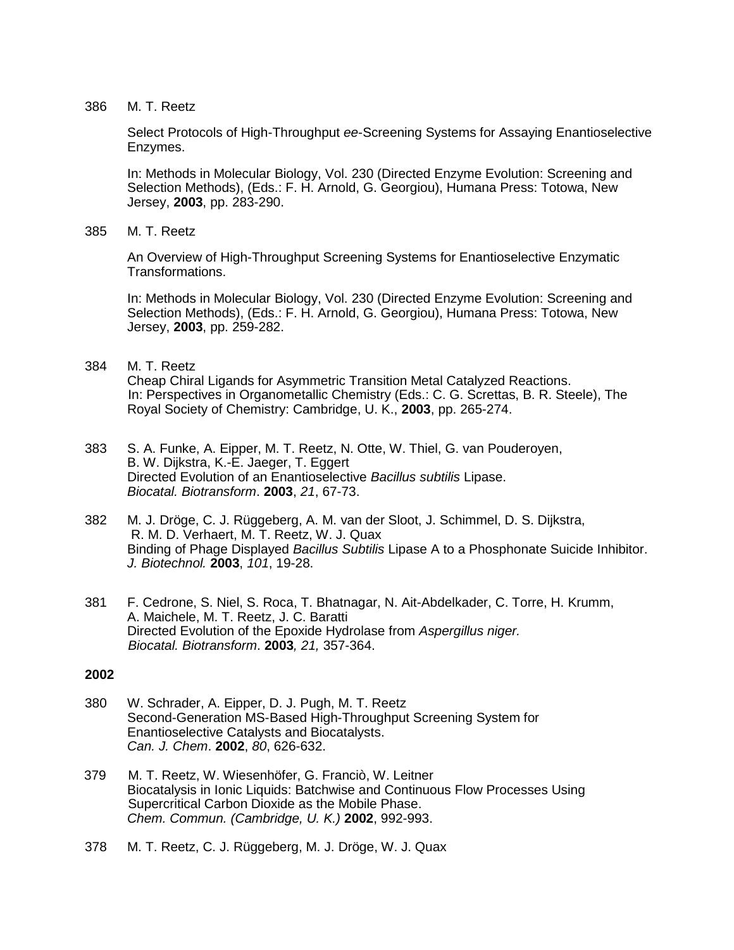Select Protocols of High-Throughput *ee*-Screening Systems for Assaying Enantioselective Enzymes.

In: Methods in Molecular Biology, Vol. 230 (Directed Enzyme Evolution: Screening and Selection Methods), (Eds.: F. H. Arnold, G. Georgiou), Humana Press: Totowa, New Jersey, **2003**, pp. 283-290.

#### 385 M. T. Reetz

An Overview of High-Throughput Screening Systems for Enantioselective Enzymatic Transformations.

In: Methods in Molecular Biology, Vol. 230 (Directed Enzyme Evolution: Screening and Selection Methods), (Eds.: F. H. Arnold, G. Georgiou), Humana Press: Totowa, New Jersey, **2003**, pp. 259-282.

#### 384 M. T. Reetz

Cheap Chiral Ligands for Asymmetric Transition Metal Catalyzed Reactions. In: Perspectives in Organometallic Chemistry (Eds.: C. G. Screttas, B. R. Steele), The Royal Society of Chemistry: Cambridge, U. K., **2003**, pp. 265-274.

- 383 S. A. Funke, A. Eipper, M. T. Reetz, N. Otte, W. Thiel, G. van Pouderoyen, B. W. Dijkstra, K.-E. Jaeger, T. Eggert Directed Evolution of an Enantioselective *Bacillus subtilis* Lipase. *Biocatal. Biotransform*. **2003**, *21*, 67-73.
- 382 M. J. Dröge, C. J. Rüggeberg, A. M. van der Sloot, J. Schimmel, D. S. Dijkstra, R. M. D. Verhaert, M. T. Reetz, W. J. Quax Binding of Phage Displayed *Bacillus Subtilis* Lipase A to a Phosphonate Suicide Inhibitor. *J. Biotechnol.* **2003**, *101*, 19-28.
- 381 F. Cedrone, S. Niel, S. Roca, T. Bhatnagar, N. Ait-Abdelkader, C. Torre, H. Krumm, A. Maichele, M. T. Reetz, J. C. Baratti Directed Evolution of the Epoxide Hydrolase from *Aspergillus niger. Biocatal. Biotransform*. **2003***, 21,* 357-364.

- 380 W. Schrader, A. Eipper, D. J. Pugh, M. T. Reetz Second-Generation MS-Based High-Throughput Screening System for Enantioselective Catalysts and Biocatalysts. *Can. J. Chem*. **2002**, *80*, 626-632.
- 379 M. T. Reetz, W. Wiesenhöfer, G. Franciò, W. Leitner Biocatalysis in Ionic Liquids: Batchwise and Continuous Flow Processes Using Supercritical Carbon Dioxide as the Mobile Phase. *Chem. Commun. (Cambridge, U. K.)* **2002**, 992-993.
- 378 M. T. Reetz, C. J. Rüggeberg, M. J. Dröge, W. J. Quax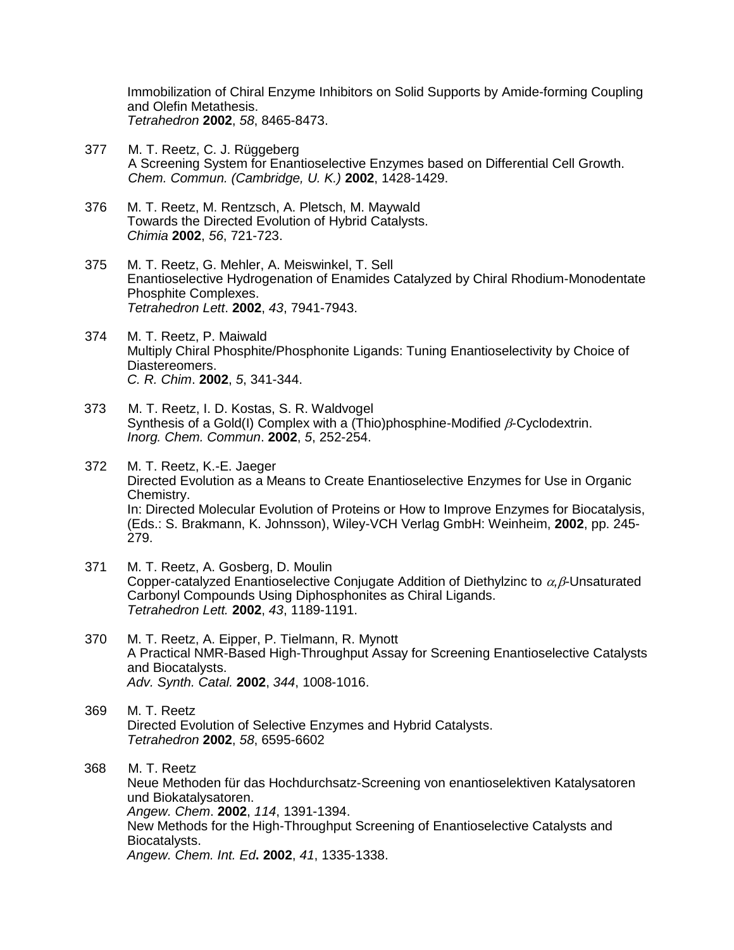Immobilization of Chiral Enzyme Inhibitors on Solid Supports by Amide-forming Coupling and Olefin Metathesis. *Tetrahedron* **2002**, *58*, 8465-8473.

- 377 M. T. Reetz, C. J. Rüggeberg A Screening System for Enantioselective Enzymes based on Differential Cell Growth. *Chem. Commun. (Cambridge, U. K.)* **2002**, 1428-1429.
- 376 M. T. Reetz, M. Rentzsch, A. Pletsch, M. Maywald Towards the Directed Evolution of Hybrid Catalysts. *Chimia* **2002**, *56*, 721-723.
- 375 M. T. Reetz, G. Mehler, A. Meiswinkel, T. Sell Enantioselective Hydrogenation of Enamides Catalyzed by Chiral Rhodium-Monodentate Phosphite Complexes. *Tetrahedron Lett*. **2002**, *43*, 7941-7943.
- 374 M. T. Reetz, P. Maiwald Multiply Chiral Phosphite/Phosphonite Ligands: Tuning Enantioselectivity by Choice of Diastereomers. *C. R. Chim*. **2002**, *5*, 341-344.
- 373 M. T. Reetz, I. D. Kostas, S. R. Waldvogel Synthesis of a Gold(I) Complex with a (Thio)phosphine-Modified  $\beta$ -Cyclodextrin. *Inorg. Chem. Commun*. **2002**, *5*, 252-254.
- 372 M. T. Reetz, K.-E. Jaeger Directed Evolution as a Means to Create Enantioselective Enzymes for Use in Organic Chemistry. In: Directed Molecular Evolution of Proteins or How to Improve Enzymes for Biocatalysis, (Eds.: S. Brakmann, K. Johnsson), Wiley-VCH Verlag GmbH: Weinheim, **2002**, pp. 245- 279.
- 371 M. T. Reetz, A. Gosberg, D. Moulin Copper-catalyzed Enantioselective Conjugate Addition of Diethylzinc to  $\alpha$ .  $\beta$ -Unsaturated Carbonyl Compounds Using Diphosphonites as Chiral Ligands. *Tetrahedron Lett.* **2002**, *43*, 1189-1191.
- 370 M. T. Reetz, A. Eipper, P. Tielmann, R. Mynott A Practical NMR-Based High-Throughput Assay for Screening Enantioselective Catalysts and Biocatalysts. *Adv. Synth. Catal.* **2002**, *344*, 1008-1016.
- 369 M. T. Reetz Directed Evolution of Selective Enzymes and Hybrid Catalysts. *Tetrahedron* **2002**, *58*, 6595-6602
- 368 M. T. Reetz Neue Methoden für das Hochdurchsatz-Screening von enantioselektiven Katalysatoren und Biokatalysatoren. *Angew. Chem*. **2002**, *114*, 1391-1394. New Methods for the High-Throughput Screening of Enantioselective Catalysts and Biocatalysts. *Angew. Chem. Int. Ed***. 2002**, *41*, 1335-1338.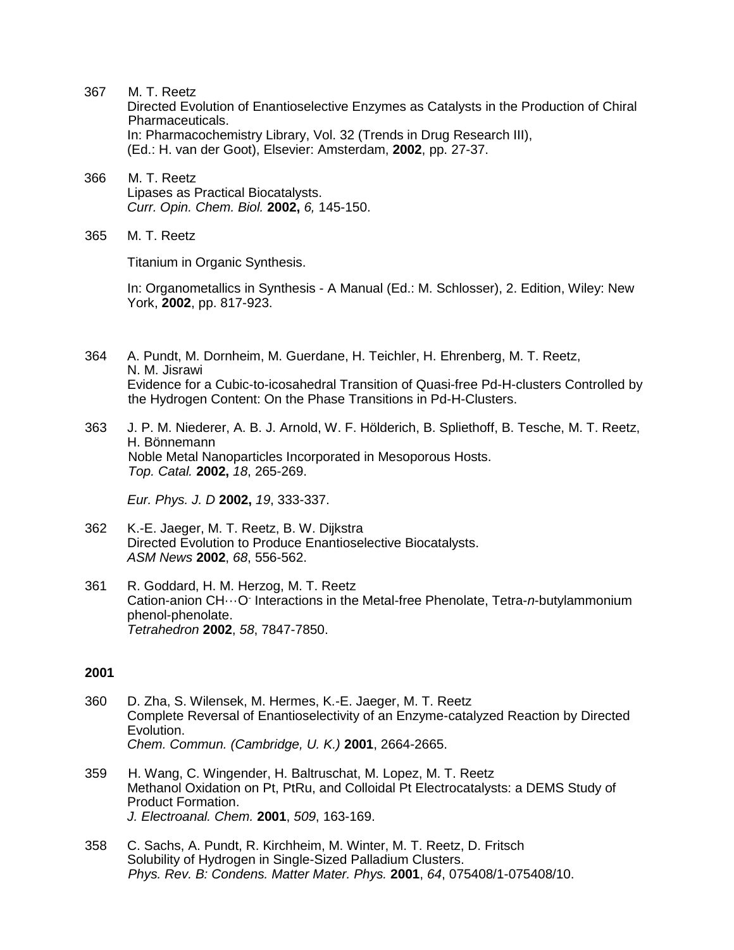Directed Evolution of Enantioselective Enzymes as Catalysts in the Production of Chiral Pharmaceuticals. In: Pharmacochemistry Library, Vol. 32 (Trends in Drug Research III), (Ed.: H. van der Goot), Elsevier: Amsterdam, **2002**, pp. 27-37.

- 366 M. T. Reetz Lipases as Practical Biocatalysts. *Curr. Opin. Chem. Biol.* **2002,** *6,* 145-150.
- 365 M. T. Reetz

Titanium in Organic Synthesis.

In: Organometallics in Synthesis - A Manual (Ed.: M. Schlosser), 2. Edition, Wiley: New York, **2002**, pp. 817-923.

- 364 A. Pundt, M. Dornheim, M. Guerdane, H. Teichler, H. Ehrenberg, M. T. Reetz, N. M. Jisrawi Evidence for a Cubic-to-icosahedral Transition of Quasi-free Pd-H-clusters Controlled by the Hydrogen Content: On the Phase Transitions in Pd-H-Clusters.
- 363 J. P. M. Niederer, A. B. J. Arnold, W. F. Hölderich, B. Spliethoff, B. Tesche, M. T. Reetz, H. Bönnemann Noble Metal Nanoparticles Incorporated in Mesoporous Hosts. *Top. Catal.* **2002,** *18*, 265-269.

*Eur. Phys. J. D* **2002,** *19*, 333-337.

- 362 K.-E. Jaeger, M. T. Reetz, B. W. Dijkstra Directed Evolution to Produce Enantioselective Biocatalysts. *ASM News* **2002**, *68*, 556-562.
- 361 R. Goddard, H. M. Herzog, M. T. Reetz Cation-anion CH...O<sup>-</sup> Interactions in the Metal-free Phenolate, Tetra-n-butylammonium phenol-phenolate. *Tetrahedron* **2002**, *58*, 7847-7850.

- 360 D. Zha, S. Wilensek, M. Hermes, K.-E. Jaeger, M. T. Reetz Complete Reversal of Enantioselectivity of an Enzyme-catalyzed Reaction by Directed Evolution. *Chem. Commun. (Cambridge, U. K.)* **2001**, 2664-2665.
- 359 H. Wang, C. Wingender, H. Baltruschat, M. Lopez, M. T. Reetz Methanol Oxidation on Pt, PtRu, and Colloidal Pt Electrocatalysts: a DEMS Study of Product Formation. *J. Electroanal. Chem.* **2001**, *509*, 163-169.
- 358 C. Sachs, A. Pundt, R. Kirchheim, M. Winter, M. T. Reetz, D. Fritsch Solubility of Hydrogen in Single-Sized Palladium Clusters. *Phys. Rev. B: Condens. Matter Mater. Phys.* **2001**, *64*, 075408/1-075408/10.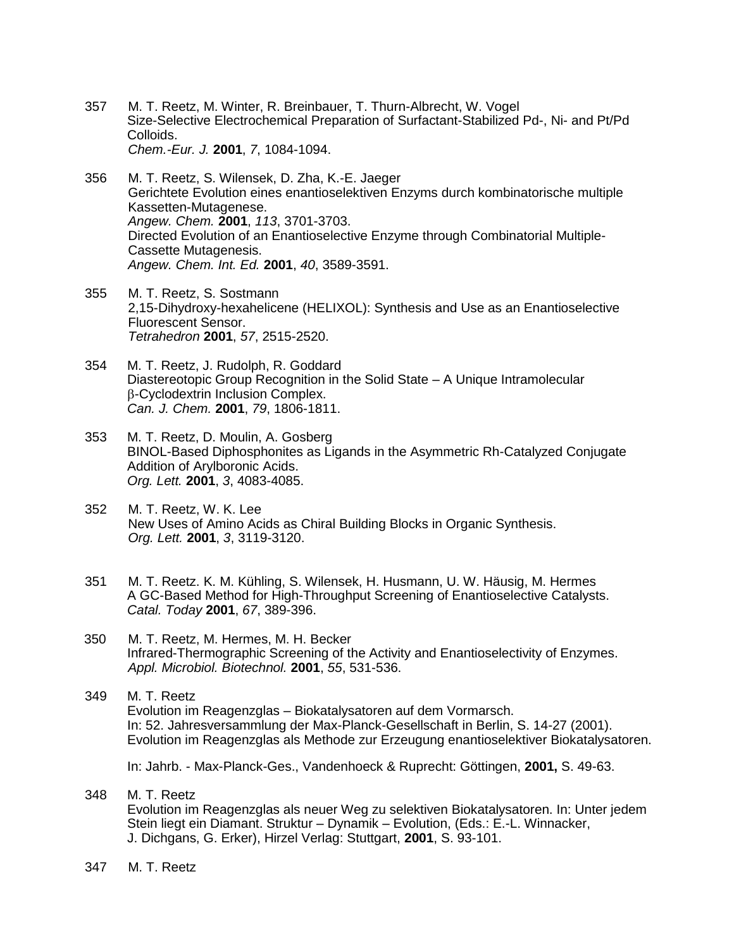- 357 M. T. Reetz, M. Winter, R. Breinbauer, T. Thurn-Albrecht, W. Vogel Size-Selective Electrochemical Preparation of Surfactant-Stabilized Pd-, Ni- and Pt/Pd Colloids. *Chem.-Eur. J.* **2001**, *7*, 1084-1094.
- 356 M. T. Reetz, S. Wilensek, D. Zha, K.-E. Jaeger Gerichtete Evolution eines enantioselektiven Enzyms durch kombinatorische multiple Kassetten-Mutagenese. *Angew. Chem.* **2001**, *113*, 3701-3703. Directed Evolution of an Enantioselective Enzyme through Combinatorial Multiple-Cassette Mutagenesis. *Angew. Chem. Int. Ed.* **2001**, *40*, 3589-3591.
- 355 M. T. Reetz, S. Sostmann 2,15-Dihydroxy-hexahelicene (HELIXOL): Synthesis and Use as an Enantioselective Fluorescent Sensor. *Tetrahedron* **2001**, *57*, 2515-2520.
- 354 M. T. Reetz, J. Rudolph, R. Goddard Diastereotopic Group Recognition in the Solid State – A Unique Intramolecular B-Cyclodextrin Inclusion Complex. *Can. J. Chem.* **2001**, *79*, 1806-1811.
- 353 M. T. Reetz, D. Moulin, A. Gosberg BINOL-Based Diphosphonites as Ligands in the Asymmetric Rh-Catalyzed Conjugate Addition of Arylboronic Acids. *Org. Lett.* **2001**, *3*, 4083-4085.
- 352 M. T. Reetz, W. K. Lee New Uses of Amino Acids as Chiral Building Blocks in Organic Synthesis. *Org. Lett.* **2001**, *3*, 3119-3120.
- 351 M. T. Reetz. K. M. Kühling, S. Wilensek, H. Husmann, U. W. Häusig, M. Hermes A GC-Based Method for High-Throughput Screening of Enantioselective Catalysts. *Catal. Today* **2001**, *67*, 389-396.
- 350 M. T. Reetz, M. Hermes, M. H. Becker Infrared-Thermographic Screening of the Activity and Enantioselectivity of Enzymes. *Appl. Microbiol. Biotechnol.* **2001**, *55*, 531-536.
- 349 M. T. Reetz Evolution im Reagenzglas – Biokatalysatoren auf dem Vormarsch. In: 52. Jahresversammlung der Max-Planck-Gesellschaft in Berlin, S. 14-27 (2001). Evolution im Reagenzglas als Methode zur Erzeugung enantioselektiver Biokatalysatoren.

In: Jahrb. - Max-Planck-Ges., Vandenhoeck & Ruprecht: Göttingen, **2001,** S. 49-63.

- 348 M. T. Reetz Evolution im Reagenzglas als neuer Weg zu selektiven Biokatalysatoren. In: Unter jedem Stein liegt ein Diamant. Struktur – Dynamik – Evolution, (Eds.: E.-L. Winnacker, J. Dichgans, G. Erker), Hirzel Verlag: Stuttgart, **2001**, S. 93-101.
- 347 M. T. Reetz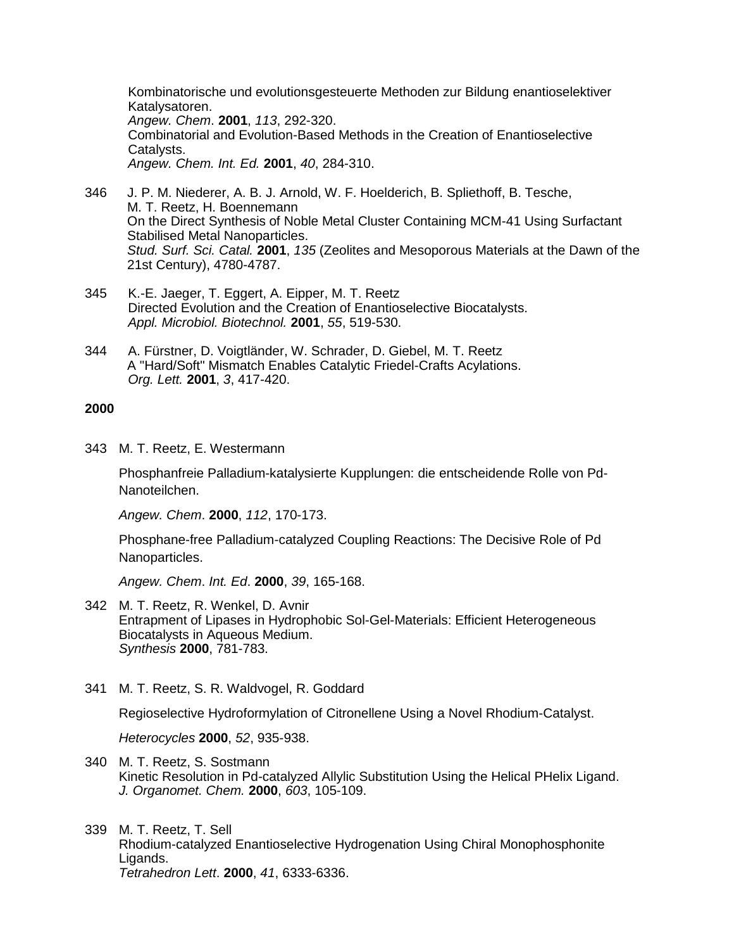Kombinatorische und evolutionsgesteuerte Methoden zur Bildung enantioselektiver Katalysatoren. *Angew. Chem*. **2001**, *113*, 292-320. Combinatorial and Evolution-Based Methods in the Creation of Enantioselective Catalysts. *Angew. Chem. Int. Ed.* **2001**, *40*, 284-310.

- 346 J. P. M. Niederer, A. B. J. Arnold, W. F. Hoelderich, B. Spliethoff, B. Tesche, M. T. Reetz, H. Boennemann On the Direct Synthesis of Noble Metal Cluster Containing MCM-41 Using Surfactant Stabilised Metal Nanoparticles. *Stud. Surf. Sci. Catal.* **2001**, *135* (Zeolites and Mesoporous Materials at the Dawn of the 21st Century), 4780-4787.
- 345 K.-E. Jaeger, T. Eggert, A. Eipper, M. T. Reetz Directed Evolution and the Creation of Enantioselective Biocatalysts. *Appl. Microbiol. Biotechnol.* **2001**, *55*, 519-530.
- 344 A. Fürstner, D. Voigtländer, W. Schrader, D. Giebel, M. T. Reetz A "Hard/Soft" Mismatch Enables Catalytic Friedel-Crafts Acylations. *Org. Lett.* **2001**, *3*, 417-420.

## **2000**

343 M. T. Reetz, E. Westermann

Phosphanfreie Palladium-katalysierte Kupplungen: die entscheidende Rolle von Pd-Nanoteilchen.

*Angew. Chem*. **2000**, *112*, 170-173.

Phosphane-free Palladium-catalyzed Coupling Reactions: The Decisive Role of Pd Nanoparticles.

*Angew. Chem*. *Int. Ed*. **2000**, *39*, 165-168.

- 342 M. T. Reetz, R. Wenkel, D. Avnir Entrapment of Lipases in Hydrophobic Sol-Gel-Materials: Efficient Heterogeneous Biocatalysts in Aqueous Medium. *Synthesis* **2000**, 781-783.
- 341 M. T. Reetz, S. R. Waldvogel, R. Goddard

Regioselective Hydroformylation of Citronellene Using a Novel Rhodium-Catalyst.

*Heterocycles* **2000**, *52*, 935-938.

- 340 M. T. Reetz, S. Sostmann Kinetic Resolution in Pd-catalyzed Allylic Substitution Using the Helical PHelix Ligand. *J. Organomet. Chem.* **2000**, *603*, 105-109.
- 339 M. T. Reetz, T. Sell Rhodium-catalyzed Enantioselective Hydrogenation Using Chiral Monophosphonite Ligands. *Tetrahedron Lett*. **2000**, *41*, 6333-6336.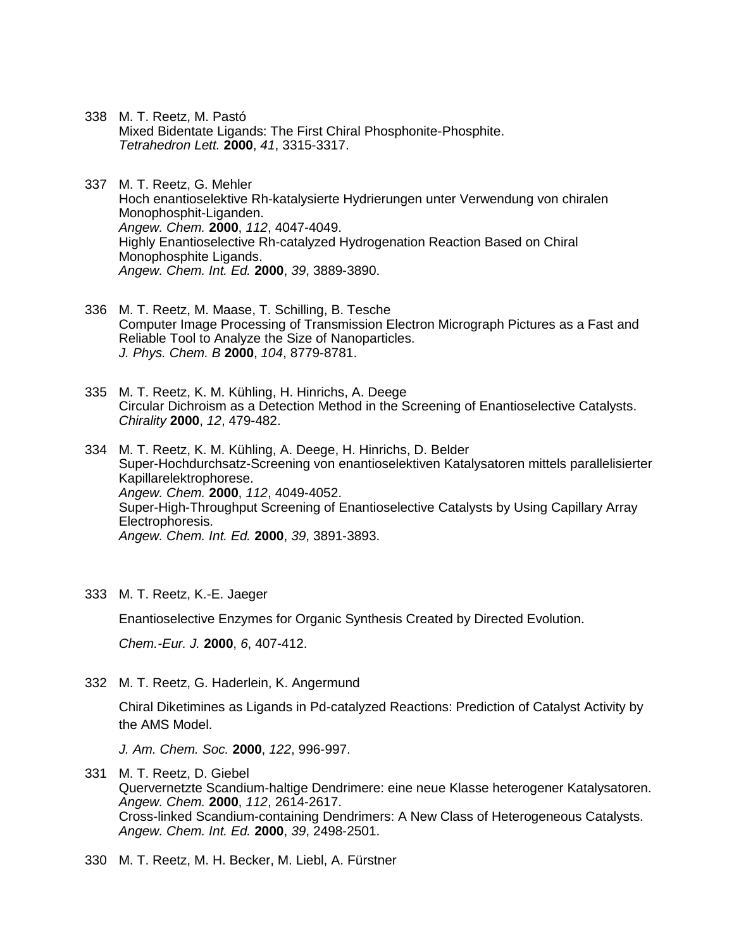- 338 M. T. Reetz, M. Pastó Mixed Bidentate Ligands: The First Chiral Phosphonite-Phosphite. *Tetrahedron Lett.* **2000**, *41*, 3315-3317.
- 337 M. T. Reetz, G. Mehler Hoch enantioselektive Rh-katalysierte Hydrierungen unter Verwendung von chiralen Monophosphit-Liganden. *Angew. Chem.* **2000**, *112*, 4047-4049. Highly Enantioselective Rh-catalyzed Hydrogenation Reaction Based on Chiral Monophosphite Ligands. *Angew. Chem. Int. Ed.* **2000**, *39*, 3889-3890.
- 336 M. T. Reetz, M. Maase, T. Schilling, B. Tesche Computer Image Processing of Transmission Electron Micrograph Pictures as a Fast and Reliable Tool to Analyze the Size of Nanoparticles. *J. Phys. Chem. B* **2000**, *104*, 8779-8781.
- 335 M. T. Reetz, K. M. Kühling, H. Hinrichs, A. Deege Circular Dichroism as a Detection Method in the Screening of Enantioselective Catalysts. *Chirality* **2000**, *12*, 479-482.
- 334 M. T. Reetz, K. M. Kühling, A. Deege, H. Hinrichs, D. Belder Super-Hochdurchsatz-Screening von enantioselektiven Katalysatoren mittels parallelisierter Kapillarelektrophorese. *Angew. Chem.* **2000**, *112*, 4049-4052. Super-High-Throughput Screening of Enantioselective Catalysts by Using Capillary Array Electrophoresis. *Angew. Chem. Int. Ed.* **2000**, *39*, 3891-3893.
- 333 M. T. Reetz, K.-E. Jaeger

Enantioselective Enzymes for Organic Synthesis Created by Directed Evolution.

*Chem.-Eur. J.* **2000**, *6*, 407-412.

332 M. T. Reetz, G. Haderlein, K. Angermund

Chiral Diketimines as Ligands in Pd-catalyzed Reactions: Prediction of Catalyst Activity by the AMS Model.

*J. Am. Chem. Soc.* **2000**, *122*, 996-997.

- 331 M. T. Reetz, D. Giebel Quervernetzte Scandium-haltige Dendrimere: eine neue Klasse heterogener Katalysatoren. *Angew. Chem.* **2000**, *112*, 2614-2617. Cross-linked Scandium-containing Dendrimers: A New Class of Heterogeneous Catalysts. *Angew. Chem. Int. Ed.* **2000**, *39*, 2498-2501.
- 330 M. T. Reetz, M. H. Becker, M. Liebl, A. Fürstner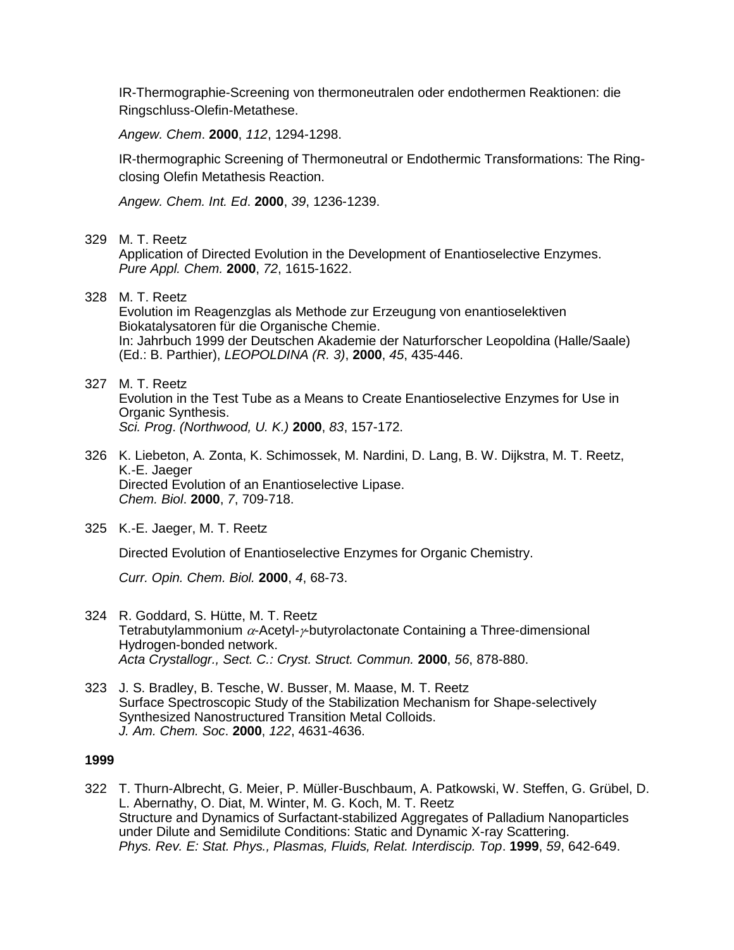IR-Thermographie-Screening von thermoneutralen oder endothermen Reaktionen: die Ringschluss-Olefin-Metathese.

*Angew. Chem*. **2000**, *112*, 1294-1298.

IR-thermographic Screening of Thermoneutral or Endothermic Transformations: The Ringclosing Olefin Metathesis Reaction.

*Angew. Chem. Int. Ed*. **2000**, *39*, 1236-1239.

# 329 M. T. Reetz

Application of Directed Evolution in the Development of Enantioselective Enzymes. *Pure Appl. Chem.* **2000**, *72*, 1615-1622.

# 328 M. T. Reetz

Evolution im Reagenzglas als Methode zur Erzeugung von enantioselektiven Biokatalysatoren für die Organische Chemie. In: Jahrbuch 1999 der Deutschen Akademie der Naturforscher Leopoldina (Halle/Saale) (Ed.: B. Parthier), *LEOPOLDINA (R. 3)*, **2000**, *45*, 435-446.

#### 327 M. T. Reetz

Evolution in the Test Tube as a Means to Create Enantioselective Enzymes for Use in Organic Synthesis. *Sci. Prog*. *(Northwood, U. K.)* **2000**, *83*, 157-172.

326 K. Liebeton, A. Zonta, K. Schimossek, M. Nardini, D. Lang, B. W. Dijkstra, M. T. Reetz, K.-E. Jaeger Directed Evolution of an Enantioselective Lipase. *Chem. Biol*. **2000**, *7*, 709-718.

## 325 K.-E. Jaeger, M. T. Reetz

Directed Evolution of Enantioselective Enzymes for Organic Chemistry.

*Curr. Opin. Chem. Biol.* **2000**, *4*, 68-73.

- 324 R. Goddard, S. Hütte, M. T. Reetz Tetrabutylammonium  $\alpha$ -Acetyl- $\gamma$ -butyrolactonate Containing a Three-dimensional Hydrogen-bonded network. *Acta Crystallogr., Sect. C.: Cryst. Struct. Commun.* **2000**, *56*, 878-880.
- 323 J. S. Bradley, B. Tesche, W. Busser, M. Maase, M. T. Reetz Surface Spectroscopic Study of the Stabilization Mechanism for Shape-selectively Synthesized Nanostructured Transition Metal Colloids. *J. Am. Chem. Soc*. **2000**, *122*, 4631-4636.

# **1999**

322 T. Thurn-Albrecht, G. Meier, P. Müller-Buschbaum, A. Patkowski, W. Steffen, G. Grübel, D. L. Abernathy, O. Diat, M. Winter, M. G. Koch, M. T. Reetz Structure and Dynamics of Surfactant-stabilized Aggregates of Palladium Nanoparticles under Dilute and Semidilute Conditions: Static and Dynamic X-ray Scattering. *Phys. Rev. E: Stat. Phys., Plasmas, Fluids, Relat. Interdiscip. Top*. **1999**, *59*, 642-649.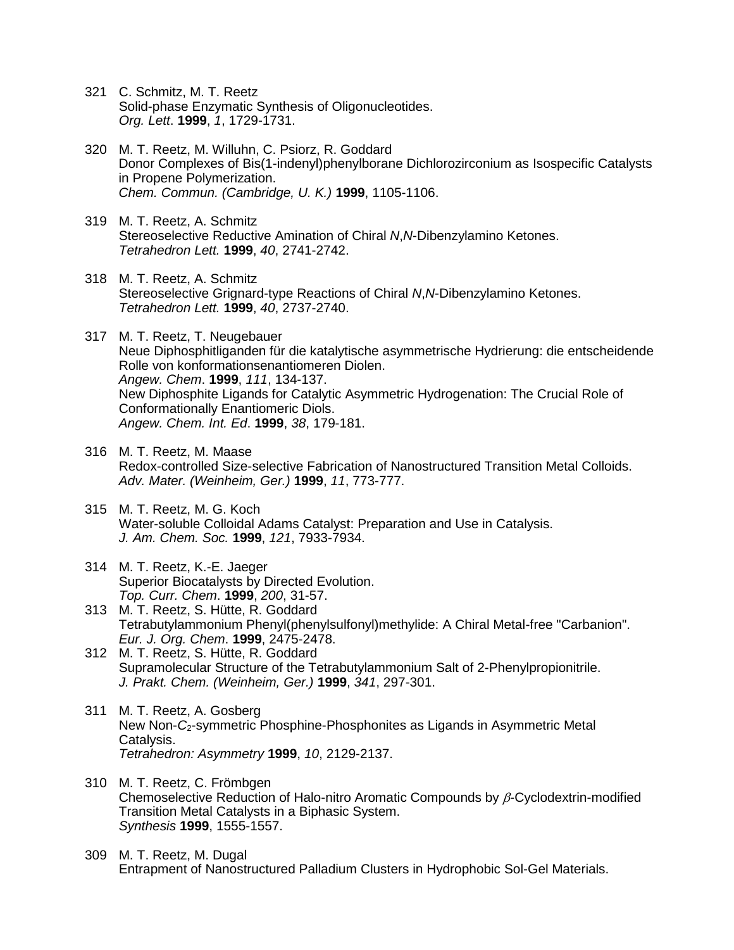- 321 C. Schmitz, M. T. Reetz Solid-phase Enzymatic Synthesis of Oligonucleotides. *Org. Lett*. **1999**, *1*, 1729-1731.
- 320 M. T. Reetz, M. Willuhn, C. Psiorz, R. Goddard Donor Complexes of Bis(1-indenyl)phenylborane Dichlorozirconium as Isospecific Catalysts in Propene Polymerization. *Chem. Commun. (Cambridge, U. K.)* **1999**, 1105-1106.
- 319 M. T. Reetz, A. Schmitz Stereoselective Reductive Amination of Chiral *N*,*N*-Dibenzylamino Ketones. *Tetrahedron Lett.* **1999**, *40*, 2741-2742.
- 318 M. T. Reetz, A. Schmitz Stereoselective Grignard-type Reactions of Chiral *N*,*N*-Dibenzylamino Ketones. *Tetrahedron Lett.* **1999**, *40*, 2737-2740.
- 317 M. T. Reetz, T. Neugebauer Neue Diphosphitliganden für die katalytische asymmetrische Hydrierung: die entscheidende Rolle von konformationsenantiomeren Diolen. *Angew. Chem*. **1999**, *111*, 134-137. New Diphosphite Ligands for Catalytic Asymmetric Hydrogenation: The Crucial Role of Conformationally Enantiomeric Diols. *Angew. Chem. Int. Ed*. **1999**, *38*, 179-181.
- 316 M. T. Reetz, M. Maase Redox-controlled Size-selective Fabrication of Nanostructured Transition Metal Colloids. *Adv. Mater. (Weinheim, Ger.)* **1999**, *11*, 773-777.
- 315 M. T. Reetz, M. G. Koch Water-soluble Colloidal Adams Catalyst: Preparation and Use in Catalysis. *J. Am. Chem. Soc.* **1999**, *121*, 7933-7934.
- 314 M. T. Reetz, K.-E. Jaeger Superior Biocatalysts by Directed Evolution. *Top. Curr. Chem*. **1999**, *200*, 31-57.
- 313 M. T. Reetz, S. Hütte, R. Goddard Tetrabutylammonium Phenyl(phenylsulfonyl)methylide: A Chiral Metal-free "Carbanion". *Eur. J. Org. Chem*. **1999**, 2475-2478.
- 312 M. T. Reetz, S. Hütte, R. Goddard Supramolecular Structure of the Tetrabutylammonium Salt of 2-Phenylpropionitrile. *J. Prakt. Chem. (Weinheim, Ger.)* **1999**, *341*, 297-301.
- 311 M. T. Reetz, A. Gosberg New Non-*C*2-symmetric Phosphine-Phosphonites as Ligands in Asymmetric Metal Catalysis. *Tetrahedron: Asymmetry* **1999**, *10*, 2129-2137.
- 310 M. T. Reetz, C. Frömbgen Chemoselective Reduction of Halo-nitro Aromatic Compounds by  $\beta$ -Cyclodextrin-modified Transition Metal Catalysts in a Biphasic System. *Synthesis* **1999**, 1555-1557.
- 309 M. T. Reetz, M. Dugal Entrapment of Nanostructured Palladium Clusters in Hydrophobic Sol-Gel Materials.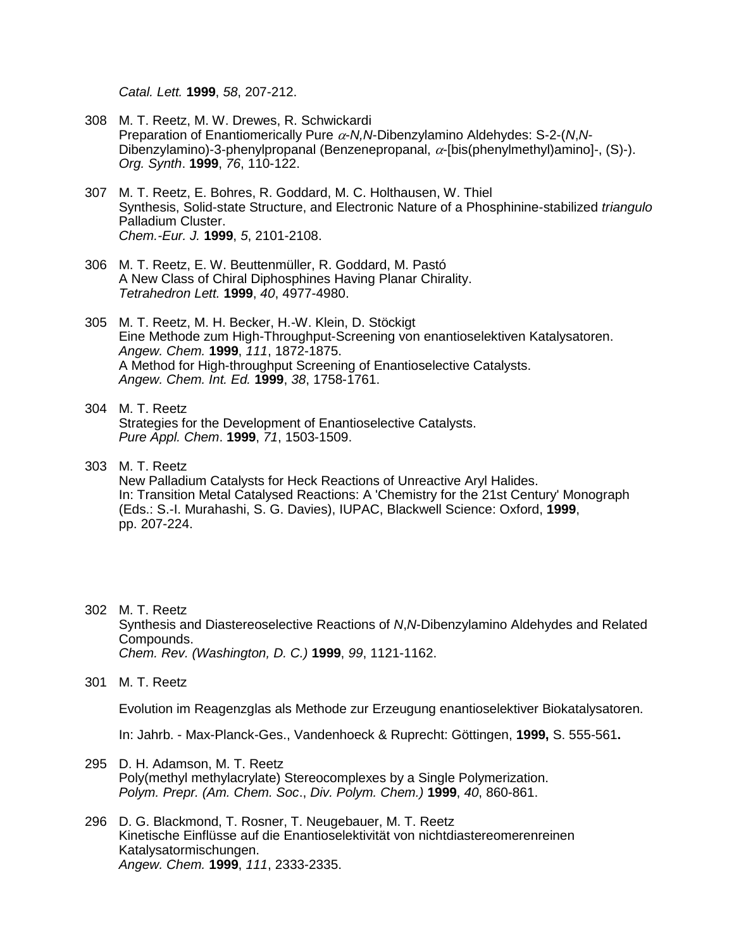*Catal. Lett.* **1999**, *58*, 207-212.

- 308 M. T. Reetz, M. W. Drewes, R. Schwickardi Preparation of Enantiomerically Pure  $\alpha$ -*N,N*-Dibenzylamino Aldehydes: S-2-(*N,N*-Dibenzylamino)-3-phenylpropanal (Benzenepropanal,  $\alpha$ -[bis(phenylmethyl)amino]-, (S)-). *Org. Synth*. **1999**, *76*, 110-122.
- 307 M. T. Reetz, E. Bohres, R. Goddard, M. C. Holthausen, W. Thiel Synthesis, Solid-state Structure, and Electronic Nature of a Phosphinine-stabilized *triangulo* Palladium Cluster. *Chem.-Eur. J.* **1999**, *5*, 2101-2108.
- 306 M. T. Reetz, E. W. Beuttenmüller, R. Goddard, M. Pastó A New Class of Chiral Diphosphines Having Planar Chirality. *Tetrahedron Lett.* **1999**, *40*, 4977-4980.
- 305 M. T. Reetz, M. H. Becker, H.-W. Klein, D. Stöckigt Eine Methode zum High-Throughput-Screening von enantioselektiven Katalysatoren. *Angew. Chem.* **1999**, *111*, 1872-1875. A Method for High-throughput Screening of Enantioselective Catalysts. *Angew. Chem. Int. Ed.* **1999**, *38*, 1758-1761.
- 304 M. T. Reetz Strategies for the Development of Enantioselective Catalysts. *Pure Appl. Chem*. **1999**, *71*, 1503-1509.
- 303 M. T. Reetz New Palladium Catalysts for Heck Reactions of Unreactive Aryl Halides. In: Transition Metal Catalysed Reactions: A 'Chemistry for the 21st Century' Monograph (Eds.: S.-I. Murahashi, S. G. Davies), IUPAC, Blackwell Science: Oxford, **1999**, pp. 207-224.
- 302 M. T. Reetz Synthesis and Diastereoselective Reactions of *N*,*N*-Dibenzylamino Aldehydes and Related Compounds. *Chem. Rev. (Washington, D. C.)* **1999**, *99*, 1121-1162.
- 301 M. T. Reetz

Evolution im Reagenzglas als Methode zur Erzeugung enantioselektiver Biokatalysatoren.

In: Jahrb. - Max-Planck-Ges., Vandenhoeck & Ruprecht: Göttingen, **1999,** S. 555-561**.**

- 295 D. H. Adamson, M. T. Reetz Poly(methyl methylacrylate) Stereocomplexes by a Single Polymerization. *Polym. Prepr. (Am. Chem. Soc*., *Div. Polym. Chem.)* **1999**, *40*, 860-861.
- 296 D. G. Blackmond, T. Rosner, T. Neugebauer, M. T. Reetz Kinetische Einflüsse auf die Enantioselektivität von nichtdiastereomerenreinen Katalysatormischungen. *Angew. Chem.* **1999**, *111*, 2333-2335.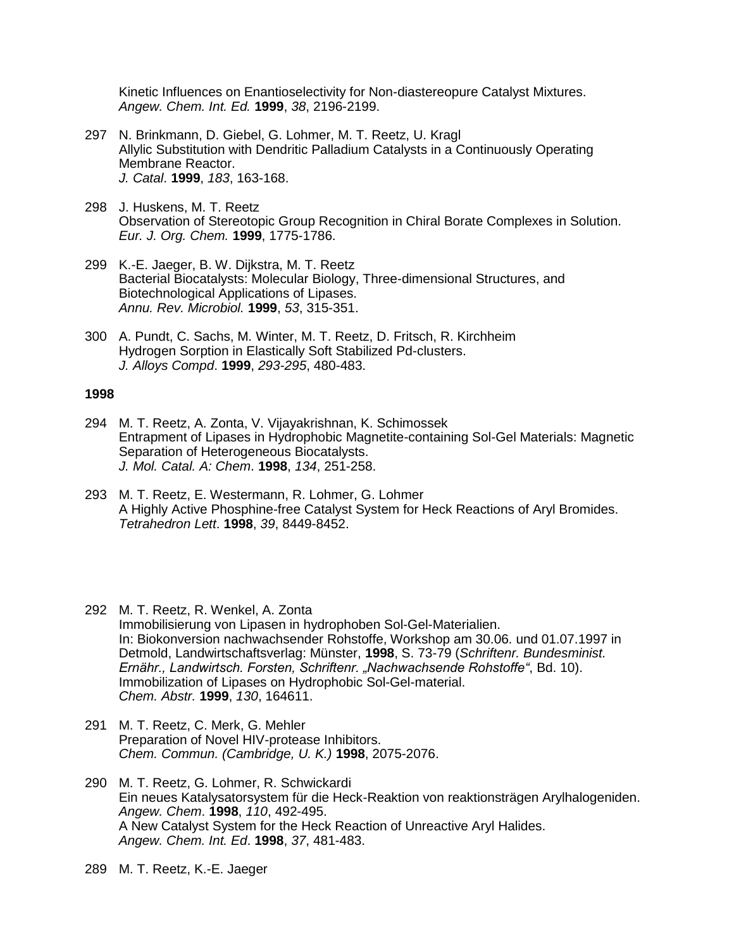Kinetic Influences on Enantioselectivity for Non-diastereopure Catalyst Mixtures. *Angew. Chem. Int. Ed.* **1999**, *38*, 2196-2199.

- 297 N. Brinkmann, D. Giebel, G. Lohmer, M. T. Reetz, U. Kragl Allylic Substitution with Dendritic Palladium Catalysts in a Continuously Operating Membrane Reactor. *J. Catal*. **1999**, *183*, 163-168.
- 298 J. Huskens, M. T. Reetz Observation of Stereotopic Group Recognition in Chiral Borate Complexes in Solution. *Eur. J. Org. Chem.* **1999**, 1775-1786.
- 299 K.-E. Jaeger, B. W. Dijkstra, M. T. Reetz Bacterial Biocatalysts: Molecular Biology, Three-dimensional Structures, and Biotechnological Applications of Lipases. *Annu. Rev. Microbiol.* **1999**, *53*, 315-351.
- 300 A. Pundt, C. Sachs, M. Winter, M. T. Reetz, D. Fritsch, R. Kirchheim Hydrogen Sorption in Elastically Soft Stabilized Pd-clusters. *J. Alloys Compd*. **1999**, *293-295*, 480-483.

- 294 M. T. Reetz, A. Zonta, V. Vijayakrishnan, K. Schimossek Entrapment of Lipases in Hydrophobic Magnetite-containing Sol-Gel Materials: Magnetic Separation of Heterogeneous Biocatalysts. *J. Mol. Catal. A: Chem*. **1998**, *134*, 251-258.
- 293 M. T. Reetz, E. Westermann, R. Lohmer, G. Lohmer A Highly Active Phosphine-free Catalyst System for Heck Reactions of Aryl Bromides. *Tetrahedron Lett*. **1998**, *39*, 8449-8452.
- 292 M. T. Reetz, R. Wenkel, A. Zonta Immobilisierung von Lipasen in hydrophoben Sol-Gel-Materialien. In: Biokonversion nachwachsender Rohstoffe, Workshop am 30.06. und 01.07.1997 in Detmold, Landwirtschaftsverlag: Münster, **1998**, S. 73-79 (*Schriftenr. Bundesminist. Ernähr., Landwirtsch. Forsten, Schriftenr. "Nachwachsende Rohstoffe"*, Bd. 10). Immobilization of Lipases on Hydrophobic Sol-Gel-material. *Chem. Abstr.* **1999**, *130*, 164611.
- 291 M. T. Reetz, C. Merk, G. Mehler Preparation of Novel HIV-protease Inhibitors. *Chem. Commun. (Cambridge, U. K.)* **1998**, 2075-2076.
- 290 M. T. Reetz, G. Lohmer, R. Schwickardi Ein neues Katalysatorsystem für die Heck-Reaktion von reaktionsträgen Arylhalogeniden. *Angew. Chem*. **1998**, *110*, 492-495. A New Catalyst System for the Heck Reaction of Unreactive Aryl Halides. *Angew. Chem. Int. Ed*. **1998**, *37*, 481-483.
- 289 M. T. Reetz, K.-E. Jaeger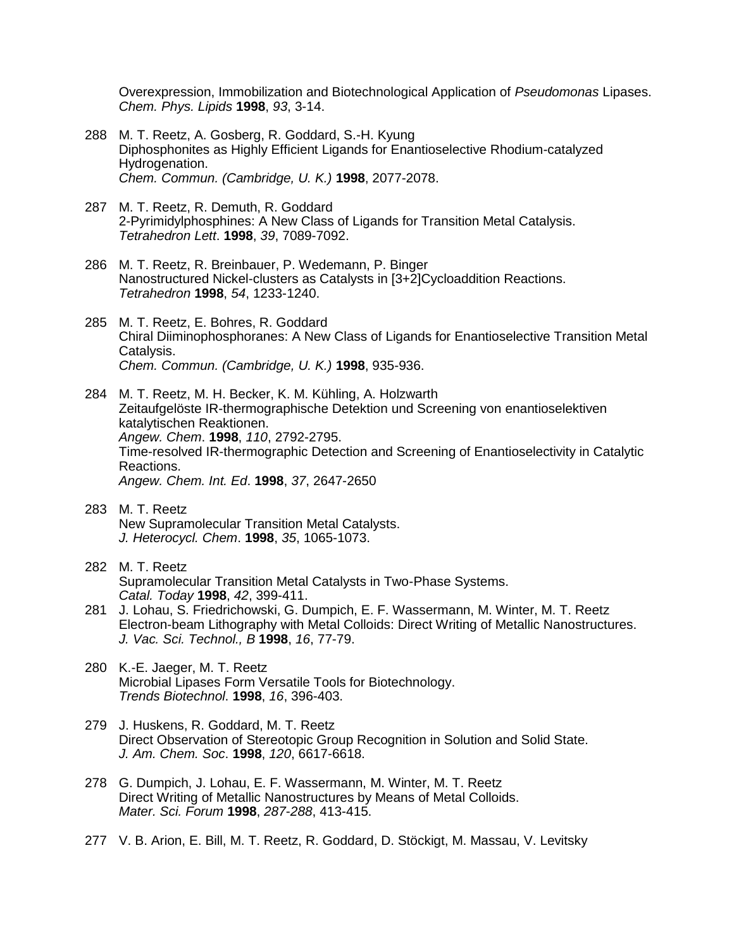Overexpression, Immobilization and Biotechnological Application of *Pseudomonas* Lipases. *Chem. Phys. Lipids* **1998**, *93*, 3-14.

- 288 M. T. Reetz, A. Gosberg, R. Goddard, S.-H. Kyung Diphosphonites as Highly Efficient Ligands for Enantioselective Rhodium-catalyzed Hydrogenation. *Chem. Commun. (Cambridge, U. K.)* **1998**, 2077-2078.
- 287 M. T. Reetz, R. Demuth, R. Goddard 2-Pyrimidylphosphines: A New Class of Ligands for Transition Metal Catalysis. *Tetrahedron Lett*. **1998**, *39*, 7089-7092.
- 286 M. T. Reetz, R. Breinbauer, P. Wedemann, P. Binger Nanostructured Nickel-clusters as Catalysts in [3+2]Cycloaddition Reactions. *Tetrahedron* **1998**, *54*, 1233-1240.
- 285 M. T. Reetz, E. Bohres, R. Goddard Chiral Diiminophosphoranes: A New Class of Ligands for Enantioselective Transition Metal Catalysis. *Chem. Commun. (Cambridge, U. K.)* **1998**, 935-936.
- 284 M. T. Reetz, M. H. Becker, K. M. Kühling, A. Holzwarth Zeitaufgelöste IR-thermographische Detektion und Screening von enantioselektiven katalytischen Reaktionen. *Angew. Chem*. **1998**, *110*, 2792-2795. Time-resolved IR-thermographic Detection and Screening of Enantioselectivity in Catalytic Reactions. *Angew. Chem. Int. Ed*. **1998**, *37*, 2647-2650
- 283 M. T. Reetz New Supramolecular Transition Metal Catalysts. *J. Heterocycl. Chem*. **1998**, *35*, 1065-1073.
- 282 M. T. Reetz Supramolecular Transition Metal Catalysts in Two-Phase Systems. *Catal. Today* **1998**, *42*, 399-411.
- 281 J. Lohau, S. Friedrichowski, G. Dumpich, E. F. Wassermann, M. Winter, M. T. Reetz Electron-beam Lithography with Metal Colloids: Direct Writing of Metallic Nanostructures. *J. Vac. Sci. Technol., B* **1998**, *16*, 77-79.
- 280 K.-E. Jaeger, M. T. Reetz Microbial Lipases Form Versatile Tools for Biotechnology. *Trends Biotechnol*. **1998**, *16*, 396-403.
- 279 J. Huskens, R. Goddard, M. T. Reetz Direct Observation of Stereotopic Group Recognition in Solution and Solid State. *J. Am. Chem. Soc*. **1998**, *120*, 6617-6618.
- 278 G. Dumpich, J. Lohau, E. F. Wassermann, M. Winter, M. T. Reetz Direct Writing of Metallic Nanostructures by Means of Metal Colloids. *Mater. Sci. Forum* **1998**, *287*-*288*, 413-415.
- 277 V. B. Arion, E. Bill, M. T. Reetz, R. Goddard, D. Stöckigt, M. Massau, V. Levitsky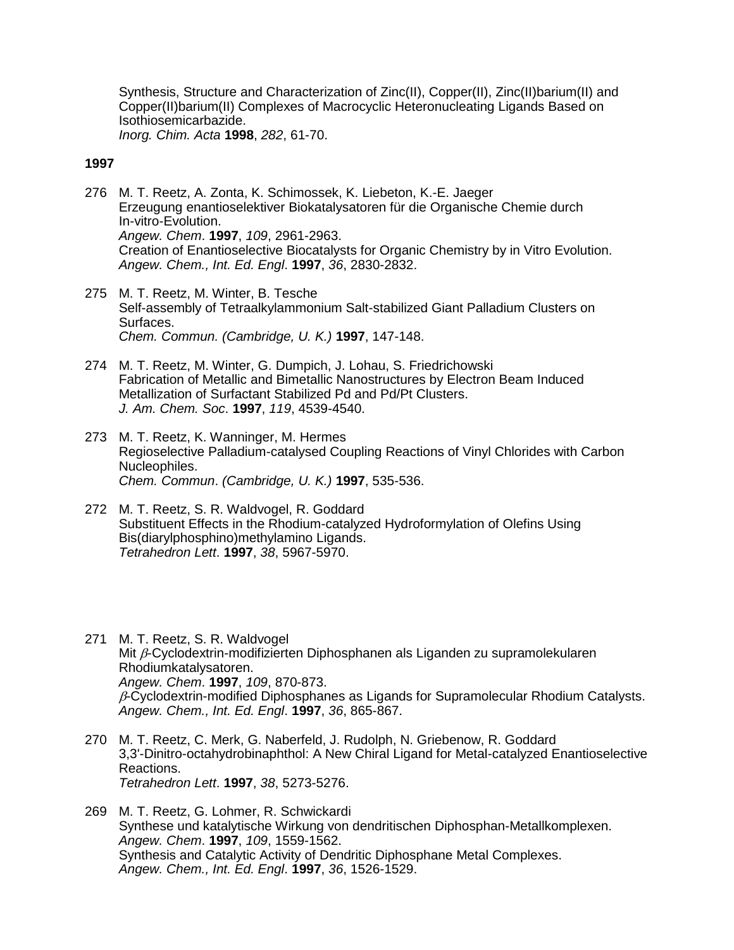Synthesis, Structure and Characterization of Zinc(II), Copper(II), Zinc(II)barium(II) and Copper(II)barium(II) Complexes of Macrocyclic Heteronucleating Ligands Based on Isothiosemicarbazide. *Inorg. Chim. Acta* **1998**, *282*, 61-70.

- 276 M. T. Reetz, A. Zonta, K. Schimossek, K. Liebeton, K.-E. Jaeger Erzeugung enantioselektiver Biokatalysatoren für die Organische Chemie durch In-vitro-Evolution. *Angew. Chem*. **1997**, *109*, 2961-2963. Creation of Enantioselective Biocatalysts for Organic Chemistry by in Vitro Evolution. *Angew. Chem., Int. Ed. Engl*. **1997**, *36*, 2830-2832.
- 275 M. T. Reetz, M. Winter, B. Tesche Self-assembly of Tetraalkylammonium Salt-stabilized Giant Palladium Clusters on Surfaces. *Chem. Commun. (Cambridge, U. K.)* **1997**, 147-148.
- 274 M. T. Reetz, M. Winter, G. Dumpich, J. Lohau, S. Friedrichowski Fabrication of Metallic and Bimetallic Nanostructures by Electron Beam Induced Metallization of Surfactant Stabilized Pd and Pd/Pt Clusters. *J. Am. Chem. Soc*. **1997**, *119*, 4539-4540.
- 273 M. T. Reetz, K. Wanninger, M. Hermes Regioselective Palladium-catalysed Coupling Reactions of Vinyl Chlorides with Carbon Nucleophiles. *Chem. Commun*. *(Cambridge, U. K.)* **1997**, 535-536.
- 272 M. T. Reetz, S. R. Waldvogel, R. Goddard Substituent Effects in the Rhodium-catalyzed Hydroformylation of Olefins Using Bis(diarylphosphino)methylamino Ligands. *Tetrahedron Lett*. **1997**, *38*, 5967-5970.
- 271 M. T. Reetz, S. R. Waldvogel Mit  $\beta$ -Cyclodextrin-modifizierten Diphosphanen als Liganden zu supramolekularen Rhodiumkatalysatoren. *Angew. Chem*. **1997**, *109*, 870-873.  $\beta$ -Cyclodextrin-modified Diphosphanes as Ligands for Supramolecular Rhodium Catalysts. *Angew. Chem., Int. Ed. Engl*. **1997**, *36*, 865-867.
- 270 M. T. Reetz, C. Merk, G. Naberfeld, J. Rudolph, N. Griebenow, R. Goddard 3,3'-Dinitro-octahydrobinaphthol: A New Chiral Ligand for Metal-catalyzed Enantioselective Reactions. *Tetrahedron Lett*. **1997**, *38*, 5273-5276.
- 269 M. T. Reetz, G. Lohmer, R. Schwickardi Synthese und katalytische Wirkung von dendritischen Diphosphan-Metallkomplexen. *Angew. Chem*. **1997**, *109*, 1559-1562. Synthesis and Catalytic Activity of Dendritic Diphosphane Metal Complexes. *Angew. Chem., Int. Ed. Engl*. **1997**, *36*, 1526-1529.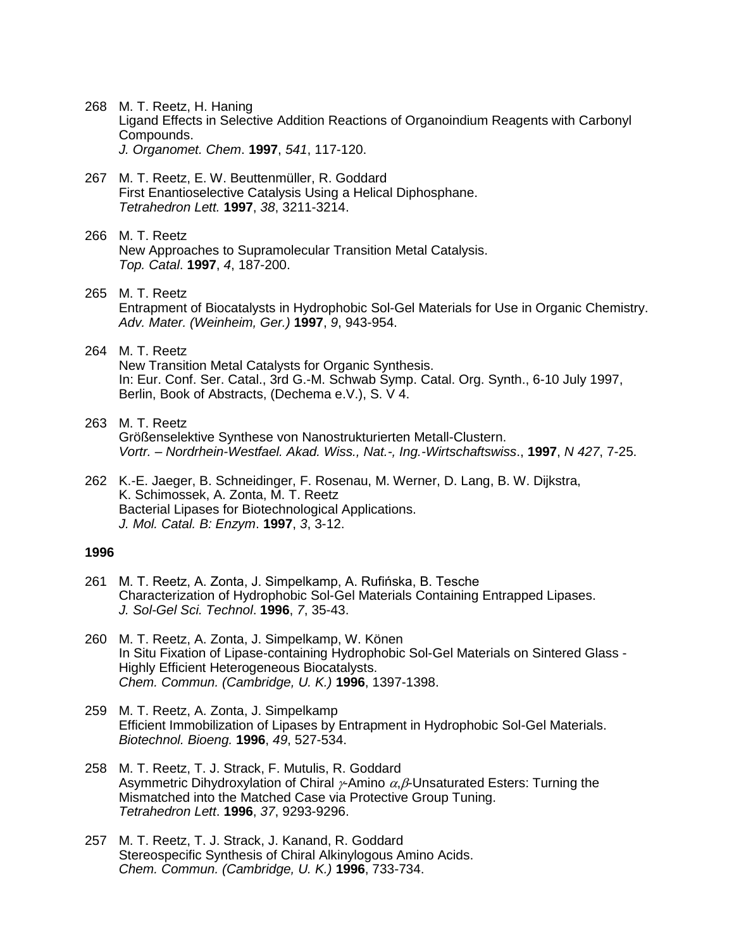- 268 M. T. Reetz, H. Haning Ligand Effects in Selective Addition Reactions of Organoindium Reagents with Carbonyl Compounds. *J. Organomet. Chem*. **1997**, *541*, 117-120.
- 267 M. T. Reetz, E. W. Beuttenmüller, R. Goddard First Enantioselective Catalysis Using a Helical Diphosphane. *Tetrahedron Lett.* **1997**, *38*, 3211-3214.
- 266 M. T. Reetz New Approaches to Supramolecular Transition Metal Catalysis. *Top. Catal*. **1997**, *4*, 187-200.
- 265 M. T. Reetz Entrapment of Biocatalysts in Hydrophobic Sol-Gel Materials for Use in Organic Chemistry. *Adv. Mater. (Weinheim, Ger.)* **1997**, *9*, 943-954.
- 264 M. T. Reetz

New Transition Metal Catalysts for Organic Synthesis. In: Eur. Conf. Ser. Catal., 3rd G.-M. Schwab Symp. Catal. Org. Synth., 6-10 July 1997, Berlin, Book of Abstracts, (Dechema e.V.), S. V 4.

- 263 M. T. Reetz Größenselektive Synthese von Nanostrukturierten Metall-Clustern. *Vortr. – Nordrhein-Westfael. Akad. Wiss., Nat.-, Ing.-Wirtschaftswiss*., **1997**, *N 427*, 7-25.
- 262 K.-E. Jaeger, B. Schneidinger, F. Rosenau, M. Werner, D. Lang, B. W. Dijkstra, K. Schimossek, A. Zonta, M. T. Reetz Bacterial Lipases for Biotechnological Applications. *J. Mol. Catal. B: Enzym*. **1997**, *3*, 3-12.

- 261 M. T. Reetz, A. Zonta, J. Simpelkamp, A. Rufińska, B. Tesche Characterization of Hydrophobic Sol-Gel Materials Containing Entrapped Lipases. *J. Sol-Gel Sci. Technol*. **1996**, *7*, 35-43.
- 260 M. T. Reetz, A. Zonta, J. Simpelkamp, W. Könen In Situ Fixation of Lipase-containing Hydrophobic Sol-Gel Materials on Sintered Glass - Highly Efficient Heterogeneous Biocatalysts. *Chem. Commun. (Cambridge, U. K.)* **1996**, 1397-1398.
- 259 M. T. Reetz, A. Zonta, J. Simpelkamp Efficient Immobilization of Lipases by Entrapment in Hydrophobic Sol-Gel Materials. *Biotechnol. Bioeng.* **1996**, *49*, 527-534.
- 258 M. T. Reetz, T. J. Strack, F. Mutulis, R. Goddard Asymmetric Dihydroxylation of Chiral  $\gamma$ Amino  $\alpha$ ,  $\beta$ -Unsaturated Esters: Turning the Mismatched into the Matched Case via Protective Group Tuning. *Tetrahedron Lett*. **1996**, *37*, 9293-9296.
- 257 M. T. Reetz, T. J. Strack, J. Kanand, R. Goddard Stereospecific Synthesis of Chiral Alkinylogous Amino Acids. *Chem. Commun. (Cambridge, U. K.)* **1996**, 733-734.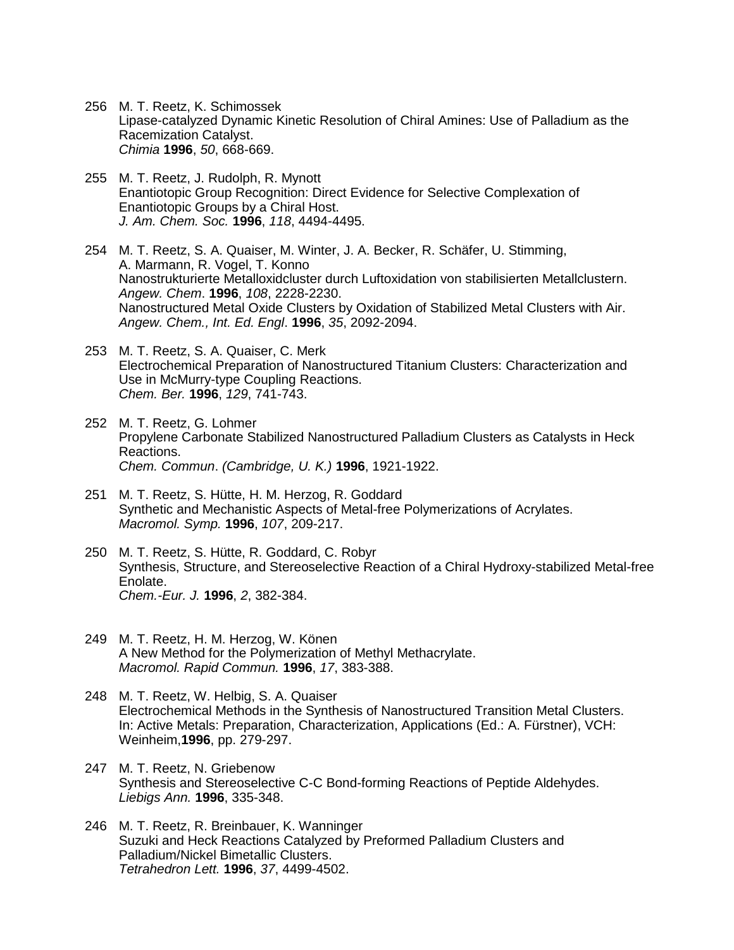- 256 M. T. Reetz, K. Schimossek Lipase-catalyzed Dynamic Kinetic Resolution of Chiral Amines: Use of Palladium as the Racemization Catalyst. *Chimia* **1996**, *50*, 668-669.
- 255 M. T. Reetz, J. Rudolph, R. Mynott Enantiotopic Group Recognition: Direct Evidence for Selective Complexation of Enantiotopic Groups by a Chiral Host. *J. Am. Chem. Soc.* **1996**, *118*, 4494-4495.
- 254 M. T. Reetz, S. A. Quaiser, M. Winter, J. A. Becker, R. Schäfer, U. Stimming, A. Marmann, R. Vogel, T. Konno Nanostrukturierte Metalloxidcluster durch Luftoxidation von stabilisierten Metallclustern. *Angew. Chem*. **1996**, *108*, 2228-2230. Nanostructured Metal Oxide Clusters by Oxidation of Stabilized Metal Clusters with Air. *Angew. Chem., Int. Ed. Engl*. **1996**, *35*, 2092-2094.
- 253 M. T. Reetz, S. A. Quaiser, C. Merk Electrochemical Preparation of Nanostructured Titanium Clusters: Characterization and Use in McMurry-type Coupling Reactions. *Chem. Ber.* **1996**, *129*, 741-743.
- 252 M. T. Reetz, G. Lohmer Propylene Carbonate Stabilized Nanostructured Palladium Clusters as Catalysts in Heck Reactions. *Chem. Commun*. *(Cambridge, U. K.)* **1996**, 1921-1922.
- 251 M. T. Reetz, S. Hütte, H. M. Herzog, R. Goddard Synthetic and Mechanistic Aspects of Metal-free Polymerizations of Acrylates. *Macromol. Symp.* **1996**, *107*, 209-217.
- 250 M. T. Reetz, S. Hütte, R. Goddard, C. Robyr Synthesis, Structure, and Stereoselective Reaction of a Chiral Hydroxy-stabilized Metal-free Enolate. *Chem.-Eur. J.* **1996**, *2*, 382-384.
- 249 M. T. Reetz, H. M. Herzog, W. Könen A New Method for the Polymerization of Methyl Methacrylate. *Macromol. Rapid Commun.* **1996**, *17*, 383-388.
- 248 M. T. Reetz, W. Helbig, S. A. Quaiser Electrochemical Methods in the Synthesis of Nanostructured Transition Metal Clusters. In: Active Metals: Preparation, Characterization, Applications (Ed.: A. Fürstner), VCH: Weinheim,**1996**, pp. 279-297.
- 247 M. T. Reetz, N. Griebenow Synthesis and Stereoselective C-C Bond-forming Reactions of Peptide Aldehydes. *Liebigs Ann.* **1996**, 335-348.
- 246 M. T. Reetz, R. Breinbauer, K. Wanninger Suzuki and Heck Reactions Catalyzed by Preformed Palladium Clusters and Palladium/Nickel Bimetallic Clusters. *Tetrahedron Lett.* **1996**, *37*, 4499-4502.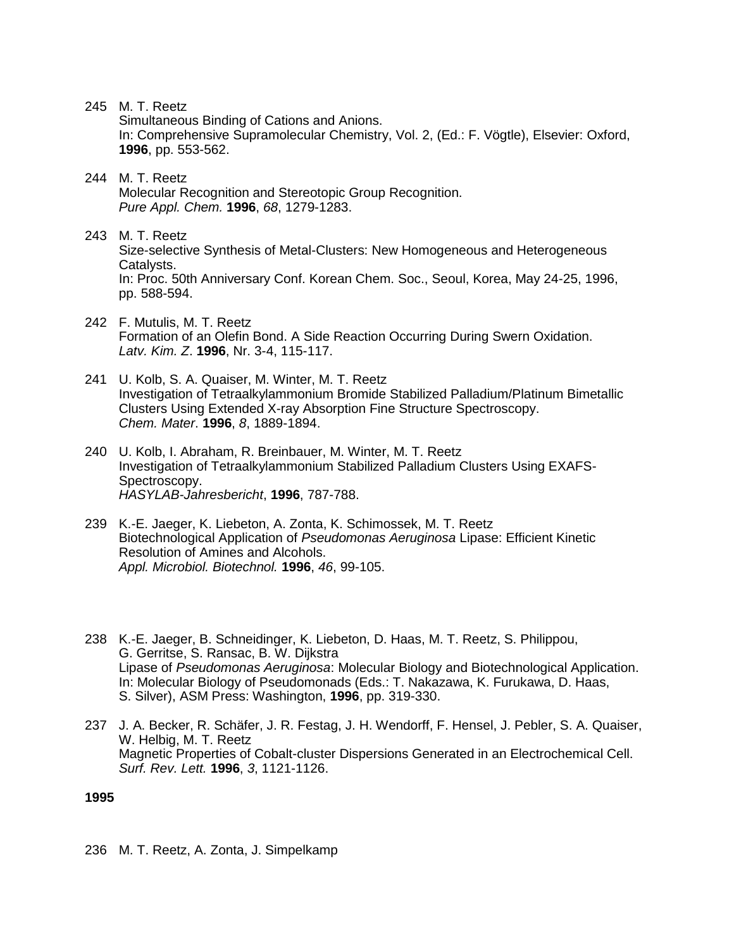245 M. T. Reetz

Simultaneous Binding of Cations and Anions. In: Comprehensive Supramolecular Chemistry, Vol. 2, (Ed.: F. Vögtle), Elsevier: Oxford, **1996**, pp. 553-562.

- 244 M. T. Reetz Molecular Recognition and Stereotopic Group Recognition. *Pure Appl. Chem.* **1996**, *68*, 1279-1283.
- 243 M. T. Reetz Size-selective Synthesis of Metal-Clusters: New Homogeneous and Heterogeneous Catalysts. In: Proc. 50th Anniversary Conf. Korean Chem. Soc., Seoul, Korea, May 24-25, 1996, pp. 588-594.
- 242 F. Mutulis, M. T. Reetz Formation of an Olefin Bond. A Side Reaction Occurring During Swern Oxidation. *Latv. Kim. Z*. **1996**, Nr. 3-4, 115-117.
- 241 U. Kolb, S. A. Quaiser, M. Winter, M. T. Reetz Investigation of Tetraalkylammonium Bromide Stabilized Palladium/Platinum Bimetallic Clusters Using Extended X-ray Absorption Fine Structure Spectroscopy. *Chem. Mater*. **1996**, *8*, 1889-1894.
- 240 U. Kolb, I. Abraham, R. Breinbauer, M. Winter, M. T. Reetz Investigation of Tetraalkylammonium Stabilized Palladium Clusters Using EXAFS-Spectroscopy. *HASYLAB-Jahresbericht*, **1996**, 787-788.
- 239 K.-E. Jaeger, K. Liebeton, A. Zonta, K. Schimossek, M. T. Reetz Biotechnological Application of *Pseudomonas Aeruginosa* Lipase: Efficient Kinetic Resolution of Amines and Alcohols. *Appl. Microbiol. Biotechnol.* **1996**, *46*, 99-105.
- 238 K.-E. Jaeger, B. Schneidinger, K. Liebeton, D. Haas, M. T. Reetz, S. Philippou, G. Gerritse, S. Ransac, B. W. Dijkstra Lipase of *Pseudomonas Aeruginosa*: Molecular Biology and Biotechnological Application. In: Molecular Biology of Pseudomonads (Eds.: T. Nakazawa, K. Furukawa, D. Haas, S. Silver), ASM Press: Washington, **1996**, pp. 319-330.
- 237 J. A. Becker, R. Schäfer, J. R. Festag, J. H. Wendorff, F. Hensel, J. Pebler, S. A. Quaiser, W. Helbig, M. T. Reetz Magnetic Properties of Cobalt-cluster Dispersions Generated in an Electrochemical Cell. *Surf. Rev. Lett.* **1996**, *3*, 1121-1126.

**1995**

236 M. T. Reetz, A. Zonta, J. Simpelkamp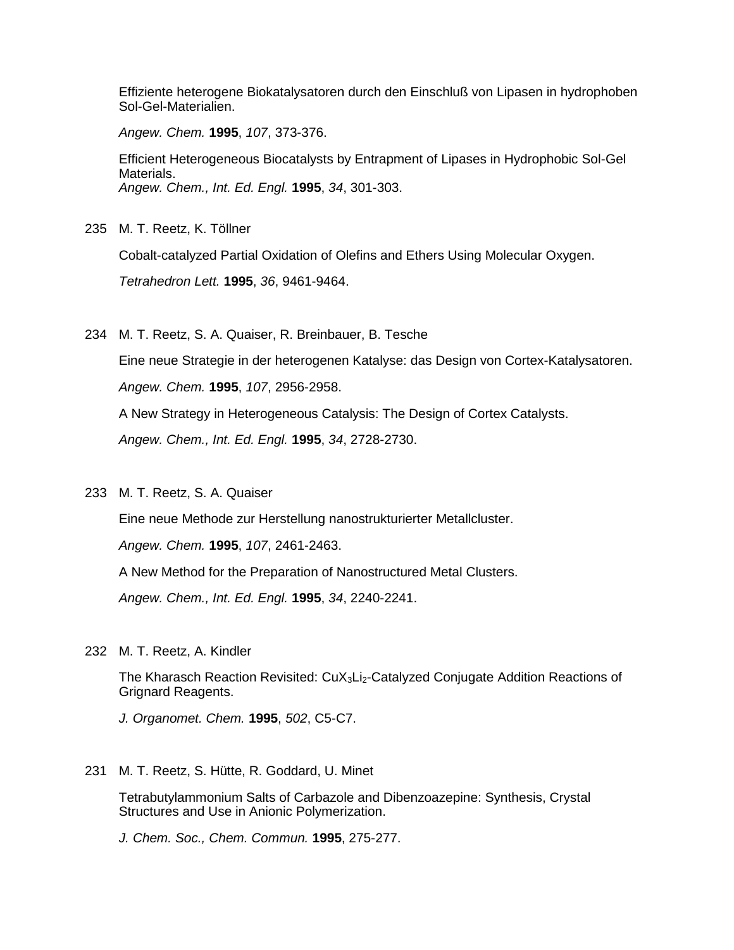Effiziente heterogene Biokatalysatoren durch den Einschluß von Lipasen in hydrophoben Sol-Gel-Materialien.

*Angew. Chem.* **1995**, *107*, 373-376.

Efficient Heterogeneous Biocatalysts by Entrapment of Lipases in Hydrophobic Sol-Gel Materials. *Angew. Chem., Int. Ed. Engl.* **1995**, *34*, 301-303.

235 M. T. Reetz, K. Töllner

Cobalt-catalyzed Partial Oxidation of Olefins and Ethers Using Molecular Oxygen.

*Tetrahedron Lett.* **1995**, *36*, 9461-9464.

234 M. T. Reetz, S. A. Quaiser, R. Breinbauer, B. Tesche

Eine neue Strategie in der heterogenen Katalyse: das Design von Cortex-Katalysatoren. *Angew. Chem.* **1995**, *107*, 2956-2958.

A New Strategy in Heterogeneous Catalysis: The Design of Cortex Catalysts.

*Angew. Chem., Int. Ed. Engl.* **1995**, *34*, 2728-2730.

233 M. T. Reetz, S. A. Quaiser

Eine neue Methode zur Herstellung nanostrukturierter Metallcluster.

*Angew. Chem.* **1995**, *107*, 2461-2463.

A New Method for the Preparation of Nanostructured Metal Clusters.

*Angew. Chem., Int. Ed. Engl.* **1995**, *34*, 2240-2241.

232 M. T. Reetz, A. Kindler

The Kharasch Reaction Revisited:  $CuX<sub>3</sub>Li<sub>2</sub>$ -Catalyzed Conjugate Addition Reactions of Grignard Reagents.

*J. Organomet. Chem.* **1995**, *502*, C5-C7.

231 M. T. Reetz, S. Hütte, R. Goddard, U. Minet

Tetrabutylammonium Salts of Carbazole and Dibenzoazepine: Synthesis, Crystal Structures and Use in Anionic Polymerization.

*J. Chem. Soc., Chem. Commun.* **1995**, 275-277.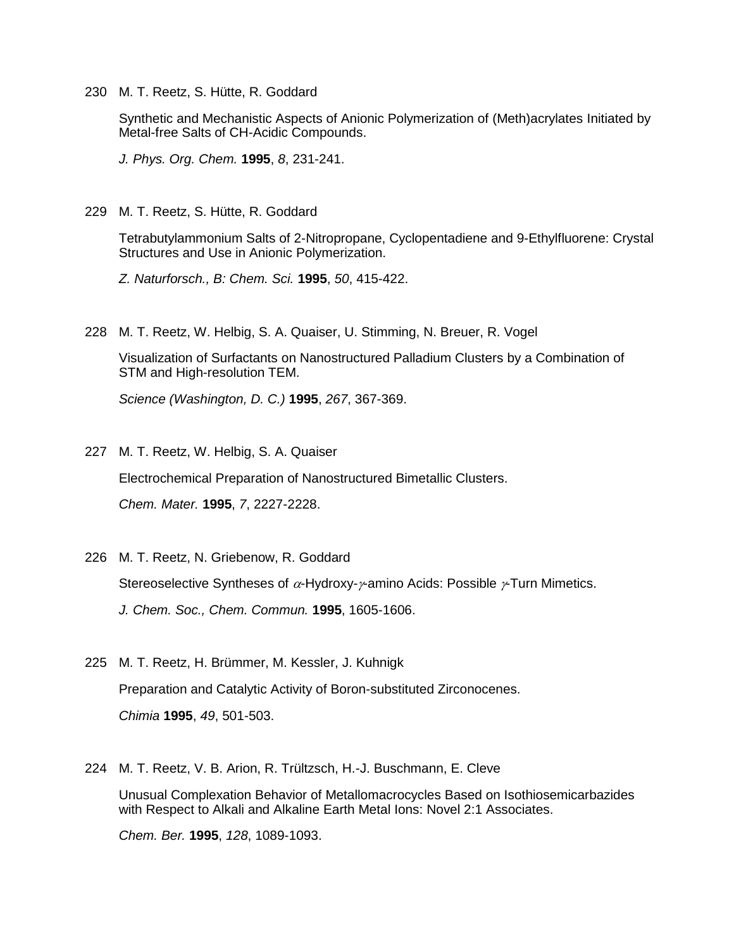230 M. T. Reetz, S. Hütte, R. Goddard

Synthetic and Mechanistic Aspects of Anionic Polymerization of (Meth)acrylates Initiated by Metal-free Salts of CH-Acidic Compounds.

*J. Phys. Org. Chem.* **1995**, *8*, 231-241.

229 M. T. Reetz, S. Hütte, R. Goddard

Tetrabutylammonium Salts of 2-Nitropropane, Cyclopentadiene and 9-Ethylfluorene: Crystal Structures and Use in Anionic Polymerization.

*Z. Naturforsch., B: Chem. Sci.* **1995**, *50*, 415-422.

228 M. T. Reetz, W. Helbig, S. A. Quaiser, U. Stimming, N. Breuer, R. Vogel

Visualization of Surfactants on Nanostructured Palladium Clusters by a Combination of STM and High-resolution TEM.

*Science (Washington, D. C.)* **1995**, *267*, 367-369.

227 M. T. Reetz, W. Helbig, S. A. Quaiser Electrochemical Preparation of Nanostructured Bimetallic Clusters. *Chem. Mater.* **1995**, *7*, 2227-2228.

- 226 M. T. Reetz, N. Griebenow, R. Goddard Stereoselective Syntheses of  $\alpha$ -Hydroxy- $\gamma$ -amino Acids: Possible  $\gamma$ -Turn Mimetics. *J. Chem. Soc., Chem. Commun.* **1995**, 1605-1606.
- 225 M. T. Reetz, H. Brümmer, M. Kessler, J. Kuhnigk Preparation and Catalytic Activity of Boron-substituted Zirconocenes. *Chimia* **1995**, *49*, 501-503.
- 224 M. T. Reetz, V. B. Arion, R. Trültzsch, H.-J. Buschmann, E. Cleve Unusual Complexation Behavior of Metallomacrocycles Based on Isothiosemicarbazides with Respect to Alkali and Alkaline Earth Metal Ions: Novel 2:1 Associates.

*Chem. Ber.* **1995**, *128*, 1089-1093.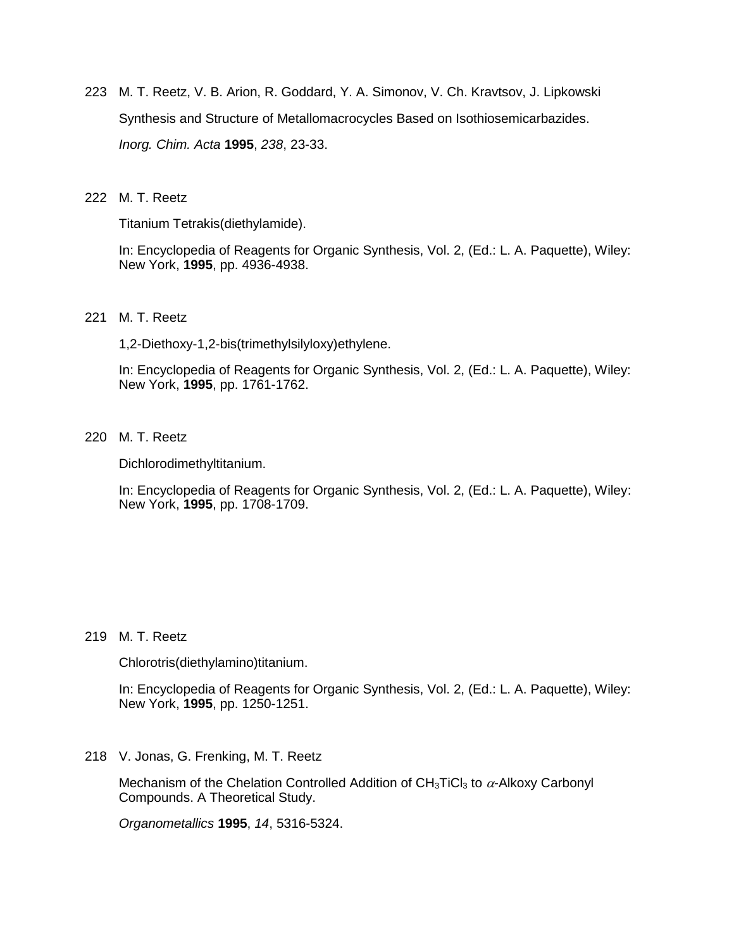223 M. T. Reetz, V. B. Arion, R. Goddard, Y. A. Simonov, V. Ch. Kravtsov, J. Lipkowski Synthesis and Structure of Metallomacrocycles Based on Isothiosemicarbazides. *Inorg. Chim. Acta* **1995**, *238*, 23-33.

#### 222 M. T. Reetz

Titanium Tetrakis(diethylamide).

In: Encyclopedia of Reagents for Organic Synthesis, Vol. 2, (Ed.: L. A. Paquette), Wiley: New York, **1995**, pp. 4936-4938.

221 M. T. Reetz

1,2-Diethoxy-1,2-bis(trimethylsilyloxy)ethylene.

In: Encyclopedia of Reagents for Organic Synthesis, Vol. 2, (Ed.: L. A. Paquette), Wiley: New York, **1995**, pp. 1761-1762.

220 M. T. Reetz

Dichlorodimethyltitanium.

In: Encyclopedia of Reagents for Organic Synthesis, Vol. 2, (Ed.: L. A. Paquette), Wiley: New York, **1995**, pp. 1708-1709.

219 M. T. Reetz

Chlorotris(diethylamino)titanium.

In: Encyclopedia of Reagents for Organic Synthesis, Vol. 2, (Ed.: L. A. Paquette), Wiley: New York, **1995**, pp. 1250-1251.

218 V. Jonas, G. Frenking, M. T. Reetz

Mechanism of the Chelation Controlled Addition of  $CH_3TiCl_3$  to  $\alpha$ -Alkoxy Carbonyl Compounds. A Theoretical Study.

*Organometallics* **1995**, *14*, 5316-5324.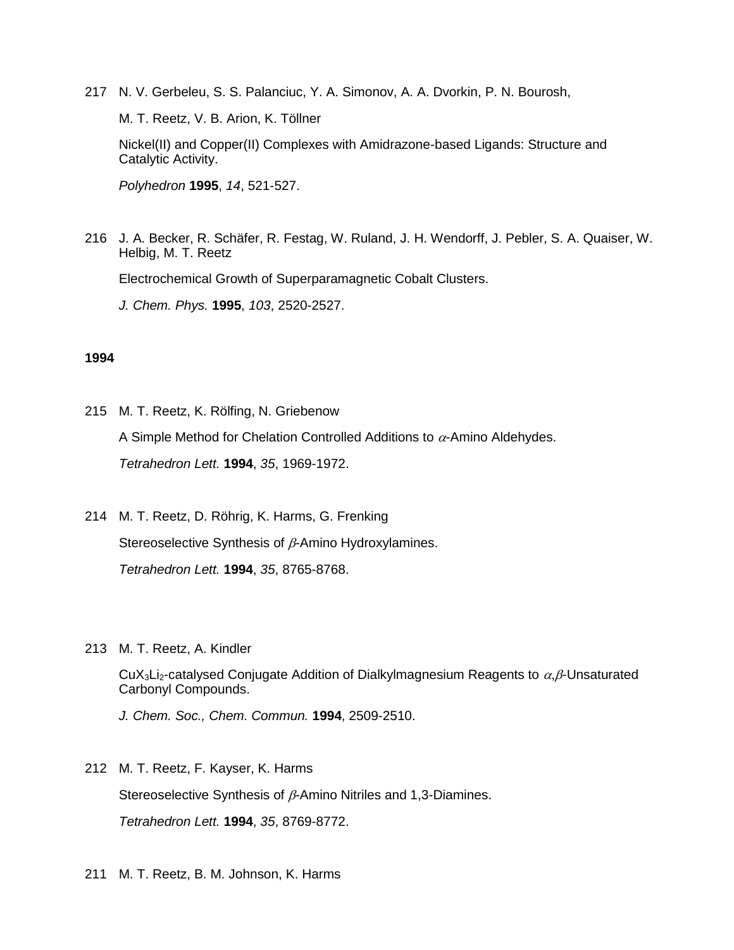217 N. V. Gerbeleu, S. S. Palanciuc, Y. A. Simonov, A. A. Dvorkin, P. N. Bourosh,

M. T. Reetz, V. B. Arion, K. Töllner

Nickel(II) and Copper(II) Complexes with Amidrazone-based Ligands: Structure and Catalytic Activity.

*Polyhedron* **1995**, *14*, 521-527.

216 J. A. Becker, R. Schäfer, R. Festag, W. Ruland, J. H. Wendorff, J. Pebler, S. A. Quaiser, W. Helbig, M. T. Reetz Electrochemical Growth of Superparamagnetic Cobalt Clusters.

*J. Chem. Phys.* **1995**, *103*, 2520-2527.

## **1994**

- 215 M. T. Reetz, K. Rölfing, N. Griebenow A Simple Method for Chelation Controlled Additions to  $\alpha$ -Amino Aldehydes. *Tetrahedron Lett.* **1994**, *35*, 1969-1972.
- 214 M. T. Reetz, D. Röhrig, K. Harms, G. Frenking Stereoselective Synthesis of  $\beta$ -Amino Hydroxylamines. *Tetrahedron Lett.* **1994**, *35*, 8765-8768.
- 213 M. T. Reetz, A. Kindler

CuX<sub>3</sub>Li<sub>2</sub>-catalysed Conjugate Addition of Dialkylmagnesium Reagents to  $\alpha$ ,  $\beta$ -Unsaturated Carbonyl Compounds.

*J. Chem. Soc., Chem. Commun.* **1994**, 2509-2510.

212 M. T. Reetz, F. Kayser, K. Harms

Stereoselective Synthesis of  $\beta$ -Amino Nitriles and 1,3-Diamines. *Tetrahedron Lett.* **1994**, *35*, 8769-8772.

211 M. T. Reetz, B. M. Johnson, K. Harms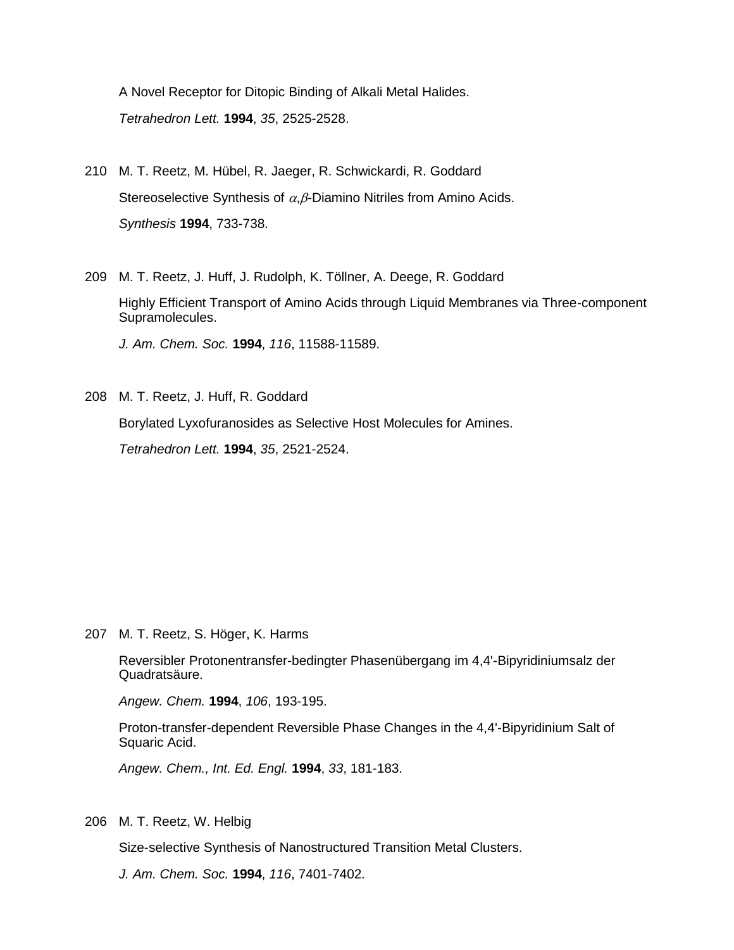A Novel Receptor for Ditopic Binding of Alkali Metal Halides. *Tetrahedron Lett.* **1994**, *35*, 2525-2528.

- 210 M. T. Reetz, M. Hübel, R. Jaeger, R. Schwickardi, R. Goddard Stereoselective Synthesis of  $\alpha$ ,  $\beta$ -Diamino Nitriles from Amino Acids. *Synthesis* **1994**, 733-738.
- 209 M. T. Reetz, J. Huff, J. Rudolph, K. Töllner, A. Deege, R. Goddard Highly Efficient Transport of Amino Acids through Liquid Membranes via Three-component Supramolecules. *J. Am. Chem. Soc.* **1994**, *116*, 11588-11589.
- 208 M. T. Reetz, J. Huff, R. Goddard Borylated Lyxofuranosides as Selective Host Molecules for Amines. *Tetrahedron Lett.* **1994**, *35*, 2521-2524.

207 M. T. Reetz, S. Höger, K. Harms

Reversibler Protonentransfer-bedingter Phasenübergang im 4,4'-Bipyridiniumsalz der Quadratsäure.

*Angew. Chem.* **1994**, *106*, 193-195.

Proton-transfer-dependent Reversible Phase Changes in the 4,4'-Bipyridinium Salt of Squaric Acid.

*Angew. Chem., Int. Ed. Engl.* **1994**, *33*, 181-183.

206 M. T. Reetz, W. Helbig

Size-selective Synthesis of Nanostructured Transition Metal Clusters.

*J. Am. Chem. Soc.* **1994**, *116*, 7401-7402.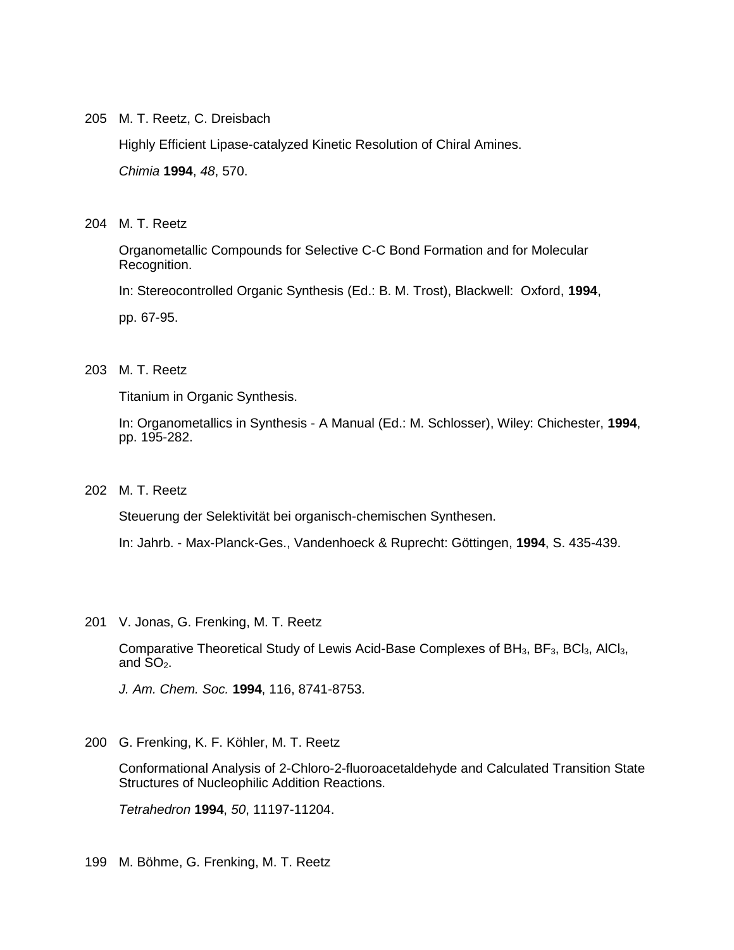205 M. T. Reetz, C. Dreisbach

Highly Efficient Lipase-catalyzed Kinetic Resolution of Chiral Amines. *Chimia* **1994**, *48*, 570.

204 M. T. Reetz

Organometallic Compounds for Selective C-C Bond Formation and for Molecular Recognition.

In: Stereocontrolled Organic Synthesis (Ed.: B. M. Trost), Blackwell: Oxford, **1994**,

pp. 67-95.

# 203 M. T. Reetz

Titanium in Organic Synthesis.

In: Organometallics in Synthesis - A Manual (Ed.: M. Schlosser), Wiley: Chichester, **1994**, pp. 195-282.

202 M. T. Reetz

Steuerung der Selektivität bei organisch-chemischen Synthesen.

In: Jahrb. - Max-Planck-Ges., Vandenhoeck & Ruprecht: Göttingen, **1994**, S. 435-439.

201 V. Jonas, G. Frenking, M. T. Reetz

Comparative Theoretical Study of Lewis Acid-Base Complexes of BH<sub>3</sub>, BF<sub>3</sub>, BCl<sub>3</sub>, AlCl<sub>3</sub>, and  $SO<sub>2</sub>$ .

*J. Am. Chem. Soc.* **1994**, 116, 8741-8753.

200 G. Frenking, K. F. Köhler, M. T. Reetz

Conformational Analysis of 2-Chloro-2-fluoroacetaldehyde and Calculated Transition State Structures of Nucleophilic Addition Reactions.

*Tetrahedron* **1994**, *50*, 11197-11204.

199 M. Böhme, G. Frenking, M. T. Reetz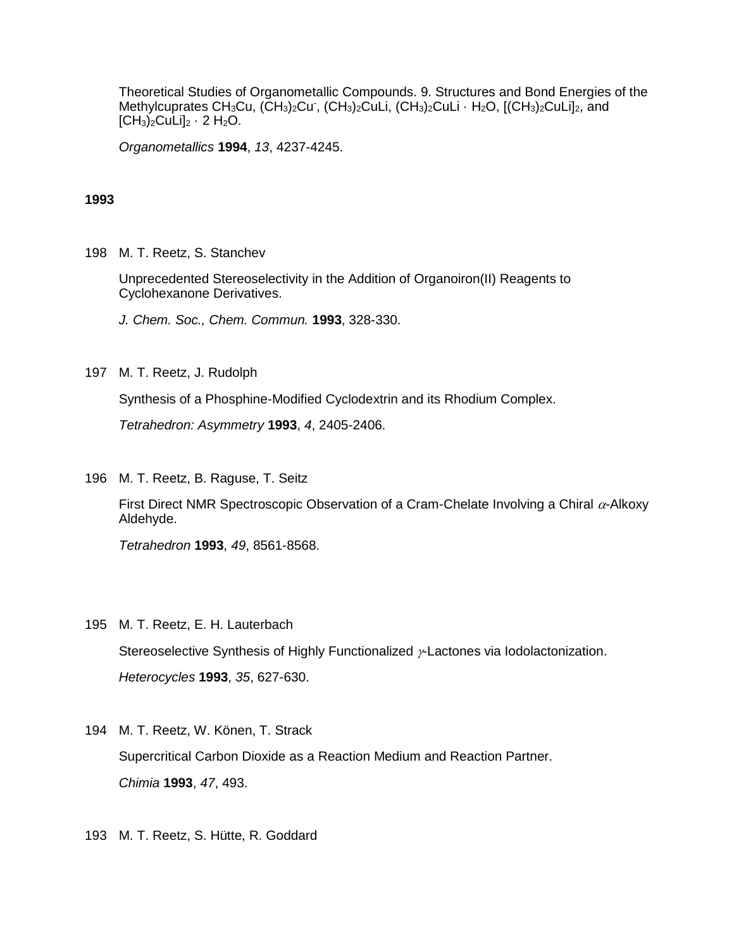Theoretical Studies of Organometallic Compounds. 9. Structures and Bond Energies of the Methylcuprates CH<sub>3</sub>Cu, (CH<sub>3</sub>)<sub>2</sub>Cu<sup>-</sup>, (CH<sub>3</sub>)<sub>2</sub>CuLi, (CH<sub>3</sub>)<sub>2</sub>CuLi · H<sub>2</sub>O, [(CH<sub>3</sub>)<sub>2</sub>CuLi]<sub>2</sub>, and  $[CH_3)_2$ CuLi $]_2 \cdot 2$  H<sub>2</sub>O.

*Organometallics* **1994**, *13*, 4237-4245.

#### **1993**

198 M. T. Reetz, S. Stanchev

Unprecedented Stereoselectivity in the Addition of Organoiron(II) Reagents to Cyclohexanone Derivatives.

*J. Chem. Soc., Chem. Commun.* **1993**, 328-330.

197 M. T. Reetz, J. Rudolph

Synthesis of a Phosphine-Modified Cyclodextrin and its Rhodium Complex.

*Tetrahedron: Asymmetry* **1993**, *4*, 2405-2406.

196 M. T. Reetz, B. Raguse, T. Seitz

First Direct NMR Spectroscopic Observation of a Cram-Chelate Involving a Chiral  $\alpha$ -Alkoxy Aldehyde.

*Tetrahedron* **1993**, *49*, 8561-8568.

195 M. T. Reetz, E. H. Lauterbach

Stereoselective Synthesis of Highly Functionalized  $\nu$ -Lactones via Iodolactonization. *Heterocycles* **1993**, *35*, 627-630.

- 194 M. T. Reetz, W. Könen, T. Strack Supercritical Carbon Dioxide as a Reaction Medium and Reaction Partner. *Chimia* **1993**, *47*, 493.
- 193 M. T. Reetz, S. Hütte, R. Goddard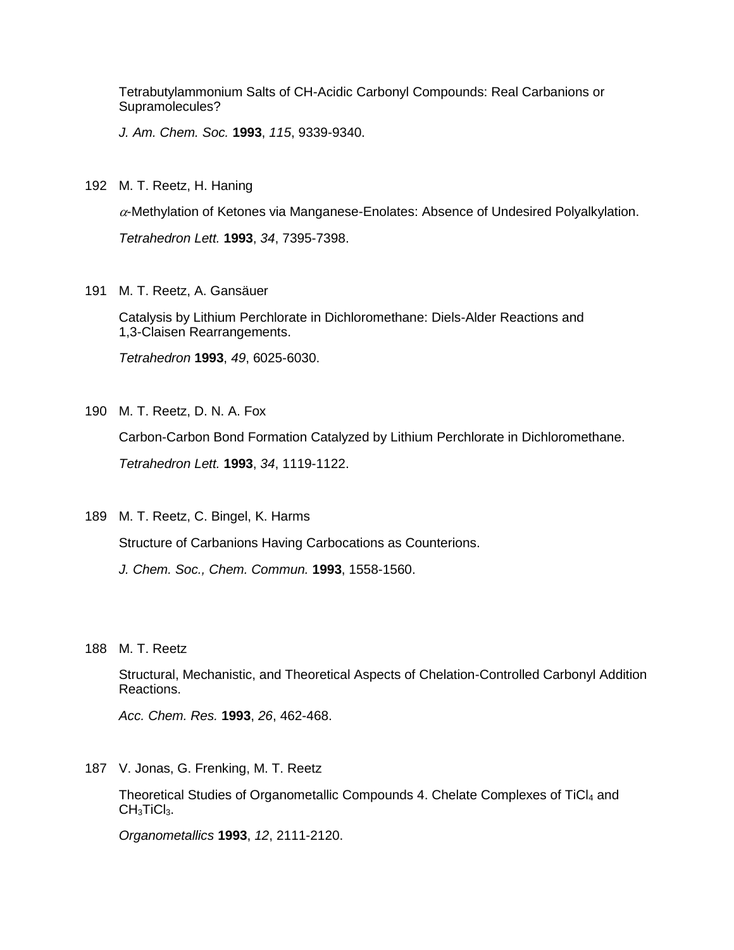Tetrabutylammonium Salts of CH-Acidic Carbonyl Compounds: Real Carbanions or Supramolecules?

*J. Am. Chem. Soc.* **1993**, *115*, 9339-9340.

192 M. T. Reetz, H. Haning

 $\alpha$ -Methylation of Ketones via Manganese-Enolates: Absence of Undesired Polyalkylation. *Tetrahedron Lett.* **1993**, *34*, 7395-7398.

191 M. T. Reetz, A. Gansäuer

Catalysis by Lithium Perchlorate in Dichloromethane: Diels-Alder Reactions and 1,3-Claisen Rearrangements.

*Tetrahedron* **1993**, *49*, 6025-6030.

190 M. T. Reetz, D. N. A. Fox

Carbon-Carbon Bond Formation Catalyzed by Lithium Perchlorate in Dichloromethane.

*Tetrahedron Lett.* **1993**, *34*, 1119-1122.

189 M. T. Reetz, C. Bingel, K. Harms

Structure of Carbanions Having Carbocations as Counterions.

*J. Chem. Soc., Chem. Commun.* **1993**, 1558-1560.

188 M. T. Reetz

Structural, Mechanistic, and Theoretical Aspects of Chelation-Controlled Carbonyl Addition Reactions.

*Acc. Chem. Res.* **1993**, *26*, 462-468.

187 V. Jonas, G. Frenking, M. T. Reetz

Theoretical Studies of Organometallic Compounds 4. Chelate Complexes of TiCl4 and CH<sub>3</sub>TiCl<sub>3</sub>.

*Organometallics* **1993**, *12*, 2111-2120.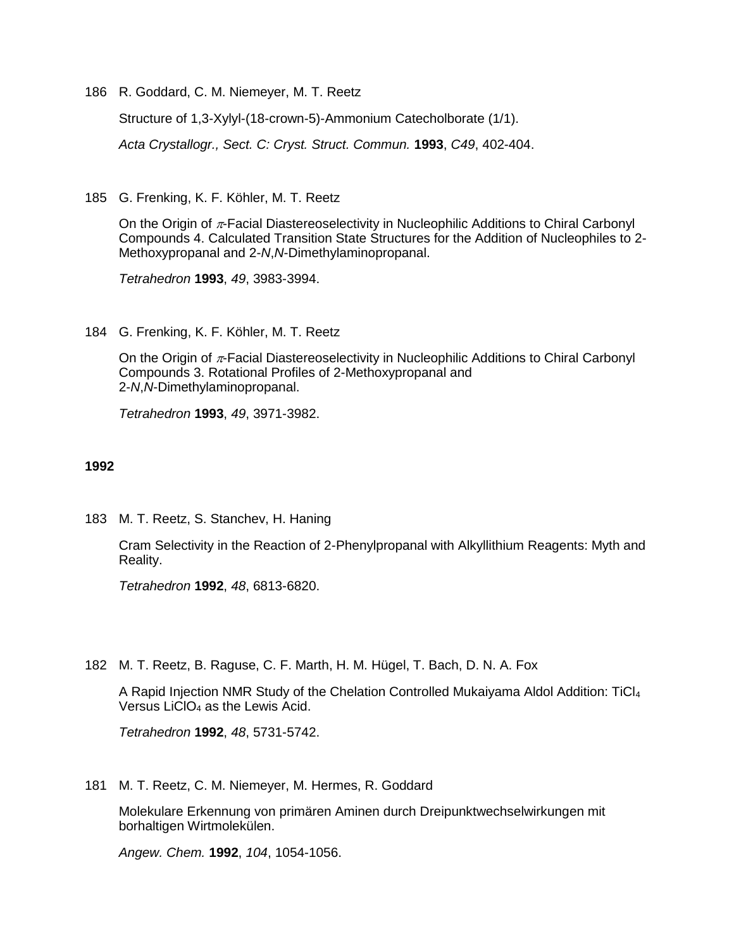186 R. Goddard, C. M. Niemeyer, M. T. Reetz

Structure of 1,3-Xylyl-(18-crown-5)-Ammonium Catecholborate (1/1).

*Acta Crystallogr., Sect. C: Cryst. Struct. Commun.* **1993**, *C49*, 402-404.

185 G. Frenking, K. F. Köhler, M. T. Reetz

On the Origin of  $\pi$ -Facial Diastereoselectivity in Nucleophilic Additions to Chiral Carbonyl Compounds 4. Calculated Transition State Structures for the Addition of Nucleophiles to 2- Methoxypropanal and 2-*N*,*N*-Dimethylaminopropanal.

*Tetrahedron* **1993**, *49*, 3983-3994.

184 G. Frenking, K. F. Köhler, M. T. Reetz

On the Origin of  $\pi$ -Facial Diastereoselectivity in Nucleophilic Additions to Chiral Carbonyl Compounds 3. Rotational Profiles of 2-Methoxypropanal and 2-*N*,*N*-Dimethylaminopropanal.

*Tetrahedron* **1993**, *49*, 3971-3982.

## **1992**

183 M. T. Reetz, S. Stanchev, H. Haning

Cram Selectivity in the Reaction of 2-Phenylpropanal with Alkyllithium Reagents: Myth and Reality.

*Tetrahedron* **1992**, *48*, 6813-6820.

182 M. T. Reetz, B. Raguse, C. F. Marth, H. M. Hügel, T. Bach, D. N. A. Fox

A Rapid Injection NMR Study of the Chelation Controlled Mukaiyama Aldol Addition: TiCl<sup>4</sup> Versus LiCIO $_4$  as the Lewis Acid.

*Tetrahedron* **1992**, *48*, 5731-5742.

181 M. T. Reetz, C. M. Niemeyer, M. Hermes, R. Goddard

Molekulare Erkennung von primären Aminen durch Dreipunktwechselwirkungen mit borhaltigen Wirtmolekülen.

*Angew. Chem.* **1992**, *104*, 1054-1056.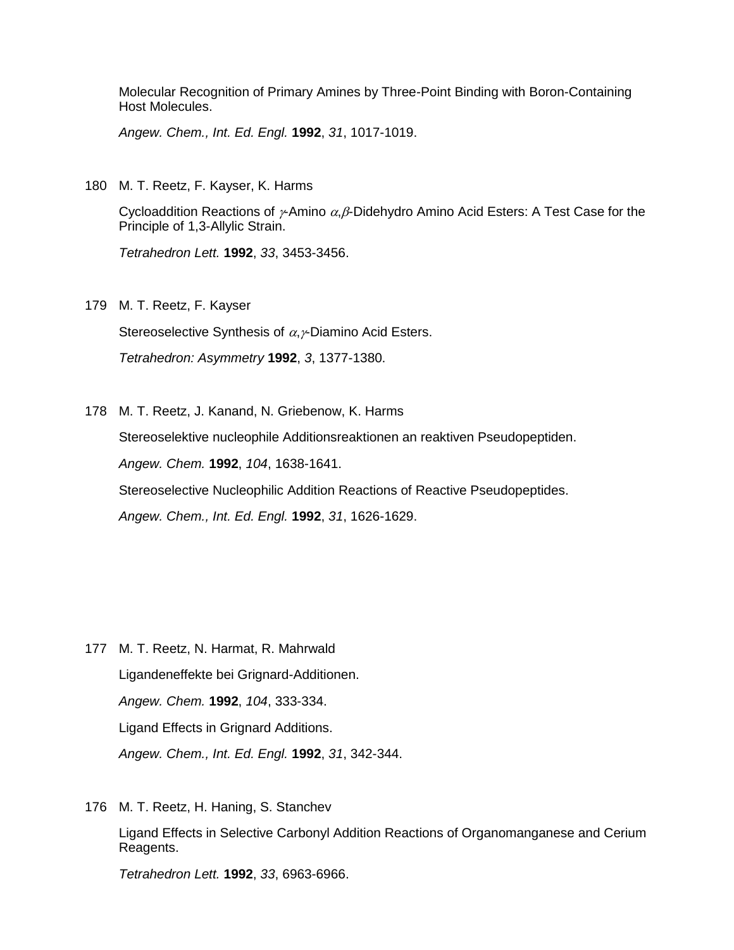Molecular Recognition of Primary Amines by Three-Point Binding with Boron-Containing Host Molecules.

*Angew. Chem., Int. Ed. Engl.* **1992**, *31*, 1017-1019.

180 M. T. Reetz, F. Kayser, K. Harms

Cycloaddition Reactions of  $\gamma$ -Amino  $\alpha$ , $\beta$ -Didehydro Amino Acid Esters: A Test Case for the Principle of 1,3-Allylic Strain.

*Tetrahedron Lett.* **1992**, *33*, 3453-3456.

179 M. T. Reetz, F. Kayser

Stereoselective Synthesis of  $\alpha$ ,  $\gamma$ Diamino Acid Esters.

*Tetrahedron: Asymmetry* **1992**, *3*, 1377-1380.

178 M. T. Reetz, J. Kanand, N. Griebenow, K. Harms

Stereoselektive nucleophile Additionsreaktionen an reaktiven Pseudopeptiden.

*Angew. Chem.* **1992**, *104*, 1638-1641.

Stereoselective Nucleophilic Addition Reactions of Reactive Pseudopeptides.

*Angew. Chem., Int. Ed. Engl.* **1992**, *31*, 1626-1629.

- 177 M. T. Reetz, N. Harmat, R. Mahrwald Ligandeneffekte bei Grignard-Additionen. *Angew. Chem.* **1992**, *104*, 333-334. Ligand Effects in Grignard Additions. *Angew. Chem., Int. Ed. Engl.* **1992**, *31*, 342-344.
- 176 M. T. Reetz, H. Haning, S. Stanchev

Ligand Effects in Selective Carbonyl Addition Reactions of Organomanganese and Cerium Reagents.

*Tetrahedron Lett.* **1992**, *33*, 6963-6966.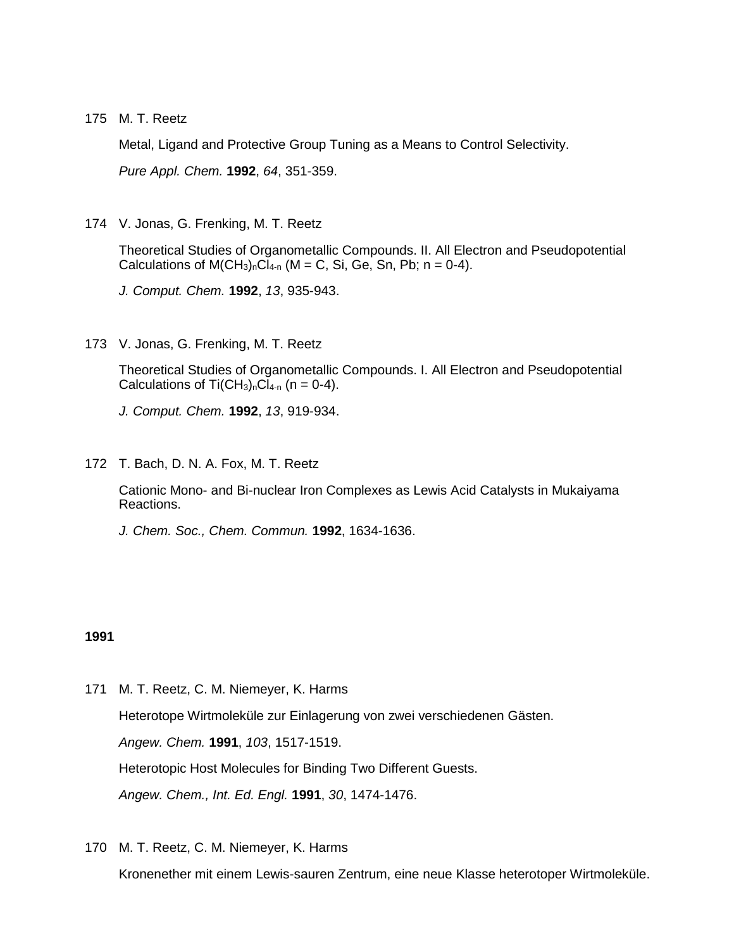175 M. T. Reetz

Metal, Ligand and Protective Group Tuning as a Means to Control Selectivity.

*Pure Appl. Chem.* **1992**, *64*, 351-359.

174 V. Jonas, G. Frenking, M. T. Reetz

Theoretical Studies of Organometallic Compounds. II. All Electron and Pseudopotential Calculations of  $M(CH_3)_nCl_{4-n}$  (M = C, Si, Ge, Sn, Pb; n = 0-4).

*J. Comput. Chem.* **1992**, *13*, 935-943.

173 V. Jonas, G. Frenking, M. T. Reetz

Theoretical Studies of Organometallic Compounds. I. All Electron and Pseudopotential Calculations of Ti $(CH_3)_nCI_{4-n}$  (n = 0-4).

*J. Comput. Chem.* **1992**, *13*, 919-934.

172 T. Bach, D. N. A. Fox, M. T. Reetz

Cationic Mono- and Bi-nuclear Iron Complexes as Lewis Acid Catalysts in Mukaiyama Reactions.

*J. Chem. Soc., Chem. Commun.* **1992**, 1634-1636.

## **1991**

- 171 M. T. Reetz, C. M. Niemeyer, K. Harms Heterotope Wirtmoleküle zur Einlagerung von zwei verschiedenen Gästen. *Angew. Chem.* **1991**, *103*, 1517-1519. Heterotopic Host Molecules for Binding Two Different Guests. *Angew. Chem., Int. Ed. Engl.* **1991**, *30*, 1474-1476.
- 170 M. T. Reetz, C. M. Niemeyer, K. Harms

Kronenether mit einem Lewis-sauren Zentrum, eine neue Klasse heterotoper Wirtmoleküle.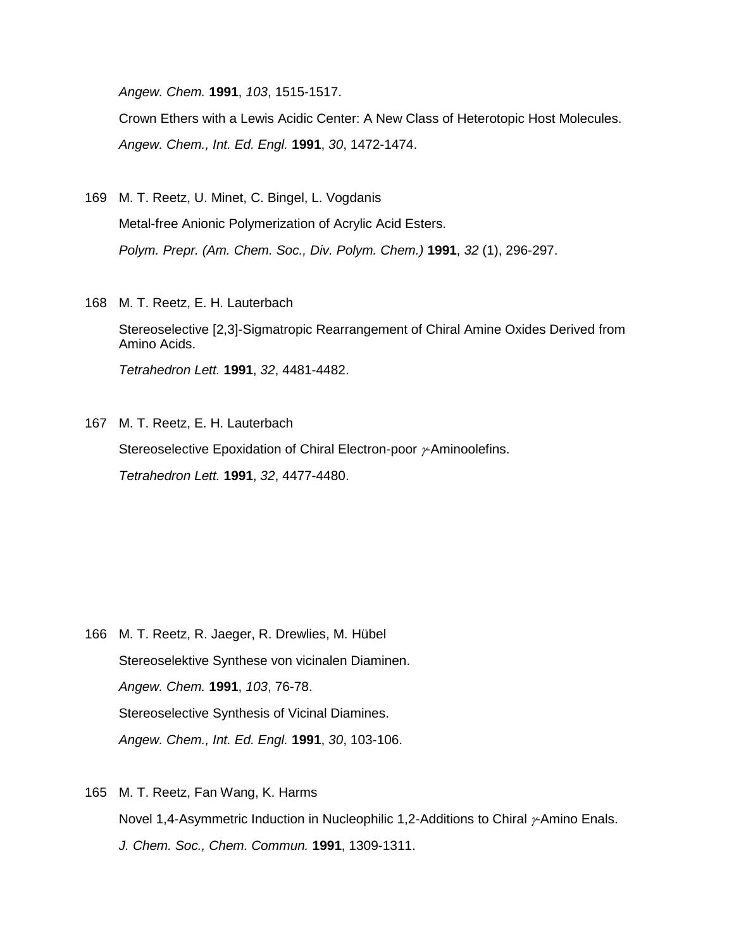*Angew. Chem.* **1991**, *103*, 1515-1517.

Crown Ethers with a Lewis Acidic Center: A New Class of Heterotopic Host Molecules. *Angew. Chem., Int. Ed. Engl.* **1991**, *30*, 1472-1474.

- 169 M. T. Reetz, U. Minet, C. Bingel, L. Vogdanis Metal-free Anionic Polymerization of Acrylic Acid Esters. *Polym. Prepr. (Am. Chem. Soc., Div. Polym. Chem.)* **1991**, *32* (1), 296-297.
- 168 M. T. Reetz, E. H. Lauterbach

Stereoselective [2,3]-Sigmatropic Rearrangement of Chiral Amine Oxides Derived from Amino Acids.

*Tetrahedron Lett.* **1991**, *32*, 4481-4482.

167 M. T. Reetz, E. H. Lauterbach

Stereoselective Epoxidation of Chiral Electron-poor  $\nu$ -Aminoolefins.

*Tetrahedron Lett.* **1991**, *32*, 4477-4480.

- 166 M. T. Reetz, R. Jaeger, R. Drewlies, M. Hübel Stereoselektive Synthese von vicinalen Diaminen. *Angew. Chem.* **1991**, *103*, 76-78. Stereoselective Synthesis of Vicinal Diamines. *Angew. Chem., Int. Ed. Engl.* **1991**, *30*, 103-106.
- 165 M. T. Reetz, Fan Wang, K. Harms Novel 1,4-Asymmetric Induction in Nucleophilic 1,2-Additions to Chiral  $\nu$ -Amino Enals. *J. Chem. Soc., Chem. Commun.* **1991**, 1309-1311.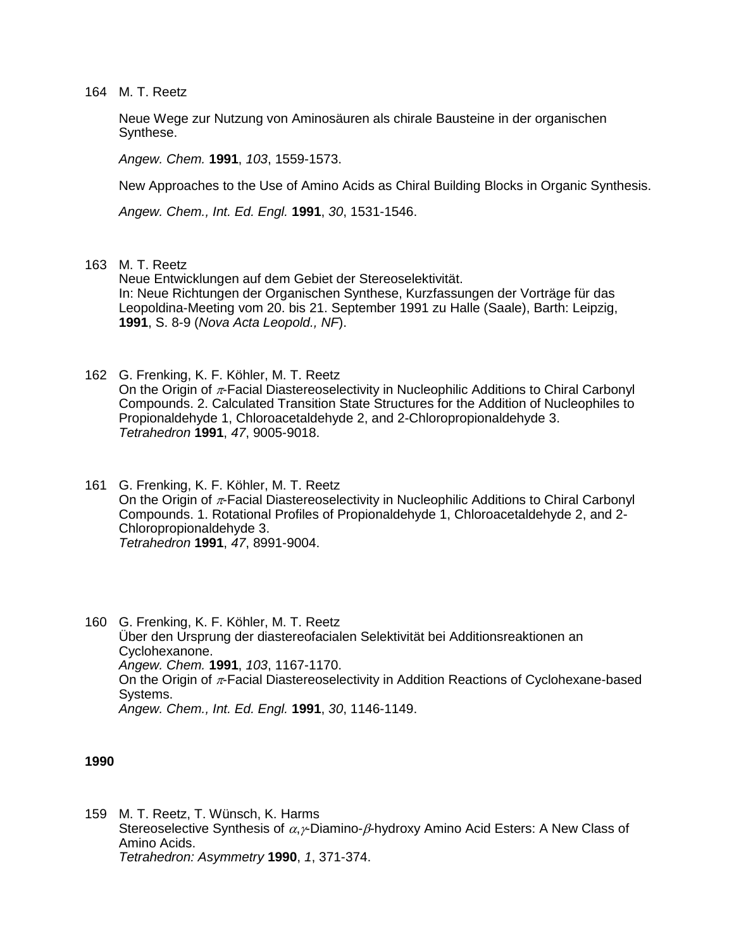164 M. T. Reetz

Neue Wege zur Nutzung von Aminosäuren als chirale Bausteine in der organischen Synthese.

*Angew. Chem.* **1991**, *103*, 1559-1573.

New Approaches to the Use of Amino Acids as Chiral Building Blocks in Organic Synthesis.

*Angew. Chem., Int. Ed. Engl.* **1991**, *30*, 1531-1546.

## 163 M. T. Reetz

Neue Entwicklungen auf dem Gebiet der Stereoselektivität. In: Neue Richtungen der Organischen Synthese, Kurzfassungen der Vorträge für das Leopoldina-Meeting vom 20. bis 21. September 1991 zu Halle (Saale), Barth: Leipzig, **1991**, S. 8-9 (*Nova Acta Leopold., NF*).

- 162 G. Frenking, K. F. Köhler, M. T. Reetz On the Origin of  $\pi$ -Facial Diastereoselectivity in Nucleophilic Additions to Chiral Carbonyl Compounds. 2. Calculated Transition State Structures for the Addition of Nucleophiles to Propionaldehyde 1, Chloroacetaldehyde 2, and 2-Chloropropionaldehyde 3. *Tetrahedron* **1991**, *47*, 9005-9018.
- 161 G. Frenking, K. F. Köhler, M. T. Reetz On the Origin of  $\pi$ -Facial Diastereoselectivity in Nucleophilic Additions to Chiral Carbonyl Compounds. 1. Rotational Profiles of Propionaldehyde 1, Chloroacetaldehyde 2, and 2- Chloropropionaldehyde 3. *Tetrahedron* **1991**, *47*, 8991-9004.
- 160 G. Frenking, K. F. Köhler, M. T. Reetz Über den Ursprung der diastereofacialen Selektivität bei Additionsreaktionen an Cyclohexanone. *Angew. Chem.* **1991**, *103*, 1167-1170. On the Origin of  $\pi$ -Facial Diastereoselectivity in Addition Reactions of Cyclohexane-based Systems. *Angew. Chem., Int. Ed. Engl.* **1991**, *30*, 1146-1149.

**1990**

159 M. T. Reetz, T. Wünsch, K. Harms Stereoselective Synthesis of  $\alpha$ ,  $\gamma$ -Diamino- $\beta$ -hydroxy Amino Acid Esters: A New Class of Amino Acids. *Tetrahedron: Asymmetry* **1990**, *1*, 371-374.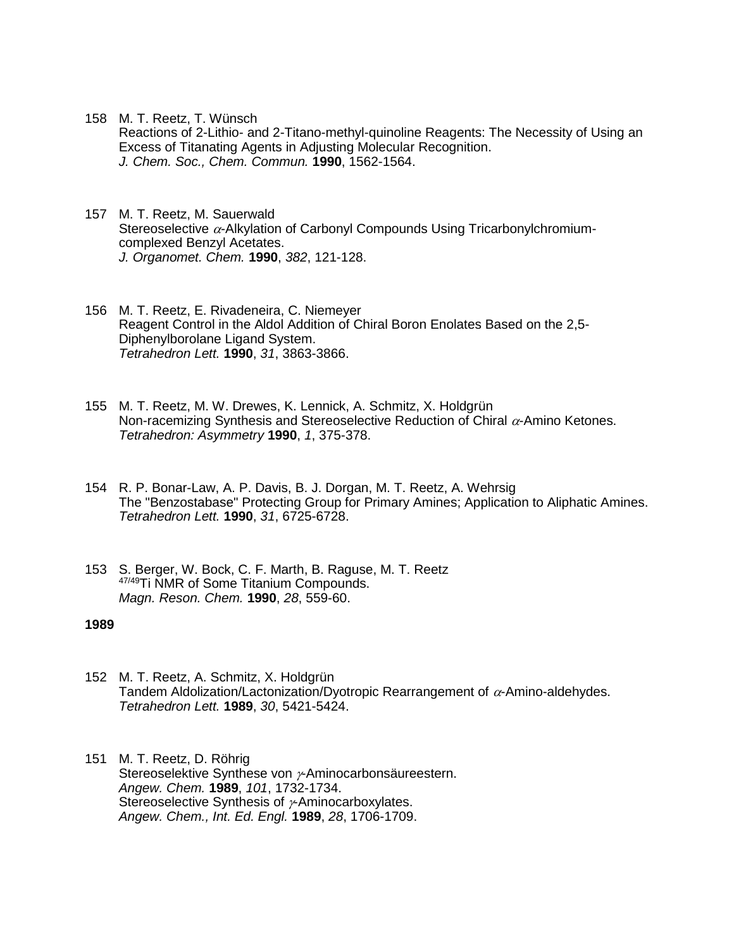- 158 M. T. Reetz, T. Wünsch
	- Reactions of 2-Lithio- and 2-Titano-methyl-quinoline Reagents: The Necessity of Using an Excess of Titanating Agents in Adjusting Molecular Recognition. *J. Chem. Soc., Chem. Commun.* **1990**, 1562-1564.
- 157 M. T. Reetz, M. Sauerwald Stereoselective  $\alpha$ -Alkylation of Carbonyl Compounds Using Tricarbonylchromiumcomplexed Benzyl Acetates. *J. Organomet. Chem.* **1990**, *382*, 121-128.
- 156 M. T. Reetz, E. Rivadeneira, C. Niemeyer Reagent Control in the Aldol Addition of Chiral Boron Enolates Based on the 2,5- Diphenylborolane Ligand System. *Tetrahedron Lett.* **1990**, *31*, 3863-3866.
- 155 M. T. Reetz, M. W. Drewes, K. Lennick, A. Schmitz, X. Holdgrün Non-racemizing Synthesis and Stereoselective Reduction of Chiral  $\alpha$ -Amino Ketones. *Tetrahedron: Asymmetry* **1990**, *1*, 375-378.
- 154 R. P. Bonar-Law, A. P. Davis, B. J. Dorgan, M. T. Reetz, A. Wehrsig The "Benzostabase" Protecting Group for Primary Amines; Application to Aliphatic Amines. *Tetrahedron Lett.* **1990**, *31*, 6725-6728.
- 153 S. Berger, W. Bock, C. F. Marth, B. Raguse, M. T. Reetz 47/49Ti NMR of Some Titanium Compounds. *Magn. Reson. Chem.* **1990**, *28*, 559-60.

- 152 M. T. Reetz, A. Schmitz, X. Holdgrün Tandem Aldolization/Lactonization/Dyotropic Rearrangement of  $\alpha$ -Amino-aldehydes. *Tetrahedron Lett.* **1989**, *30*, 5421-5424.
- 151 M. T. Reetz, D. Röhrig Stereoselektive Synthese von  $\nu$ -Aminocarbonsäureestern. *Angew. Chem.* **1989**, *101*, 1732-1734. Stereoselective Synthesis of  $\nu$ -Aminocarboxylates. *Angew. Chem., Int. Ed. Engl.* **1989**, *28*, 1706-1709.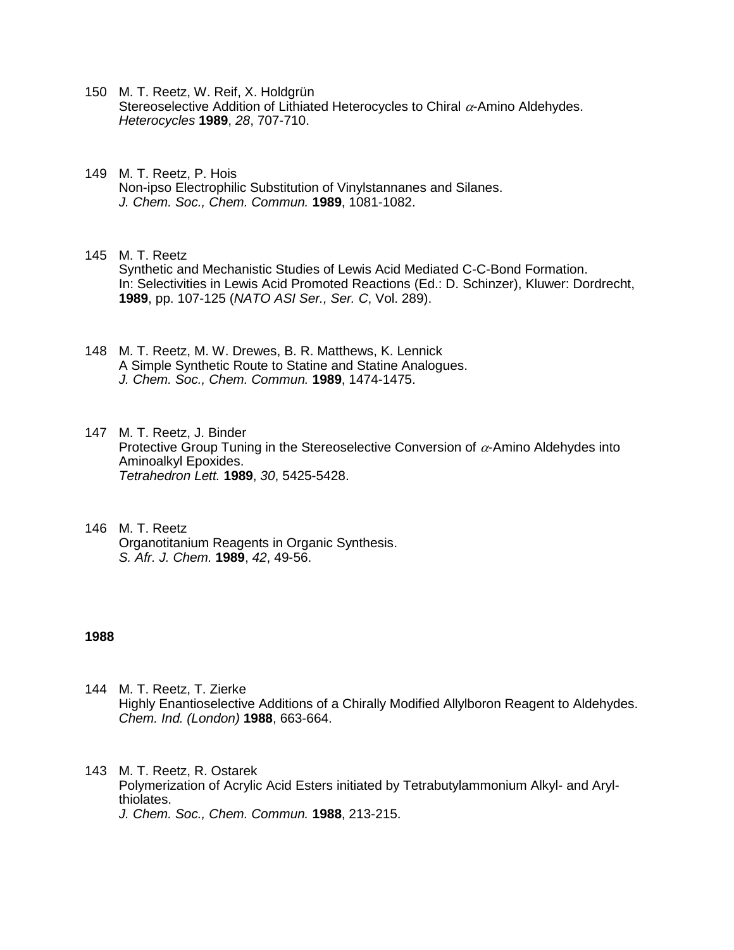- 150 M. T. Reetz, W. Reif, X. Holdgrün Stereoselective Addition of Lithiated Heterocycles to Chiral  $\alpha$ -Amino Aldehydes. *Heterocycles* **1989**, *28*, 707-710.
- 149 M. T. Reetz, P. Hois Non-ipso Electrophilic Substitution of Vinylstannanes and Silanes. *J. Chem. Soc., Chem. Commun.* **1989**, 1081-1082.
- 145 M. T. Reetz Synthetic and Mechanistic Studies of Lewis Acid Mediated C-C-Bond Formation. In: Selectivities in Lewis Acid Promoted Reactions (Ed.: D. Schinzer), Kluwer: Dordrecht, **1989**, pp. 107-125 (*NATO ASI Ser., Ser. C*, Vol. 289).
- 148 M. T. Reetz, M. W. Drewes, B. R. Matthews, K. Lennick A Simple Synthetic Route to Statine and Statine Analogues. *J. Chem. Soc., Chem. Commun.* **1989**, 1474-1475.
- 147 M. T. Reetz, J. Binder Protective Group Tuning in the Stereoselective Conversion of  $\alpha$ -Amino Aldehydes into Aminoalkyl Epoxides. *Tetrahedron Lett.* **1989**, *30*, 5425-5428.
- 146 M. T. Reetz Organotitanium Reagents in Organic Synthesis. *S. Afr. J. Chem.* **1989**, *42*, 49-56.

- 144 M. T. Reetz, T. Zierke Highly Enantioselective Additions of a Chirally Modified Allylboron Reagent to Aldehydes. *Chem. Ind. (London)* **1988**, 663-664.
- 143 M. T. Reetz, R. Ostarek Polymerization of Acrylic Acid Esters initiated by Tetrabutylammonium Alkyl- and Arylthiolates. *J. Chem. Soc., Chem. Commun.* **1988**, 213-215.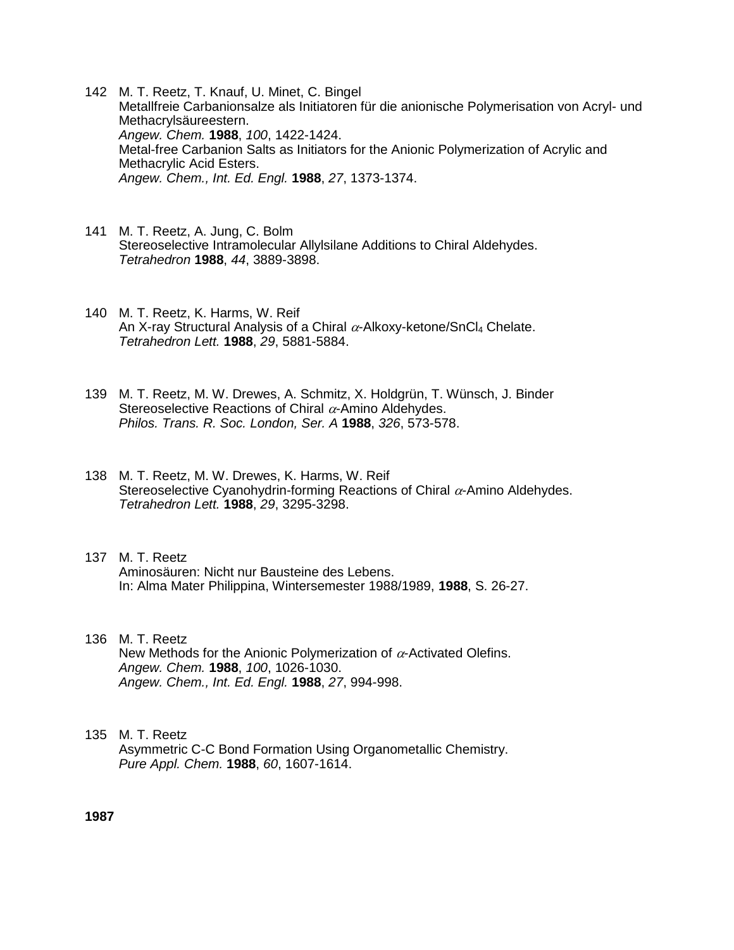- 142 M. T. Reetz, T. Knauf, U. Minet, C. Bingel Metallfreie Carbanionsalze als Initiatoren für die anionische Polymerisation von Acryl- und Methacrylsäureestern. *Angew. Chem.* **1988**, *100*, 1422-1424. Metal-free Carbanion Salts as Initiators for the Anionic Polymerization of Acrylic and Methacrylic Acid Esters. *Angew. Chem., Int. Ed. Engl.* **1988**, *27*, 1373-1374.
- 141 M. T. Reetz, A. Jung, C. Bolm Stereoselective Intramolecular Allylsilane Additions to Chiral Aldehydes. *Tetrahedron* **1988**, *44*, 3889-3898.
- 140 M. T. Reetz, K. Harms, W. Reif An X-ray Structural Analysis of a Chiral  $\alpha$ -Alkoxy-ketone/SnCl4 Chelate. *Tetrahedron Lett.* **1988**, *29*, 5881-5884.
- 139 M. T. Reetz, M. W. Drewes, A. Schmitz, X. Holdgrün, T. Wünsch, J. Binder Stereoselective Reactions of Chiral  $\alpha$ -Amino Aldehydes. *Philos. Trans. R. Soc. London, Ser. A* **1988**, *326*, 573-578.
- 138 M. T. Reetz, M. W. Drewes, K. Harms, W. Reif Stereoselective Cyanohydrin-forming Reactions of Chiral  $\alpha$ -Amino Aldehydes. *Tetrahedron Lett.* **1988**, *29*, 3295-3298.
- 137 M. T. Reetz Aminosäuren: Nicht nur Bausteine des Lebens. In: Alma Mater Philippina, Wintersemester 1988/1989, **1988**, S. 26-27.
- 136 M. T. Reetz New Methods for the Anionic Polymerization of  $\alpha$ -Activated Olefins. *Angew. Chem.* **1988**, *100*, 1026-1030. *Angew. Chem., Int. Ed. Engl.* **1988**, *27*, 994-998.

## 135 M. T. Reetz Asymmetric C-C Bond Formation Using Organometallic Chemistry. *Pure Appl. Chem.* **1988**, *60*, 1607-1614.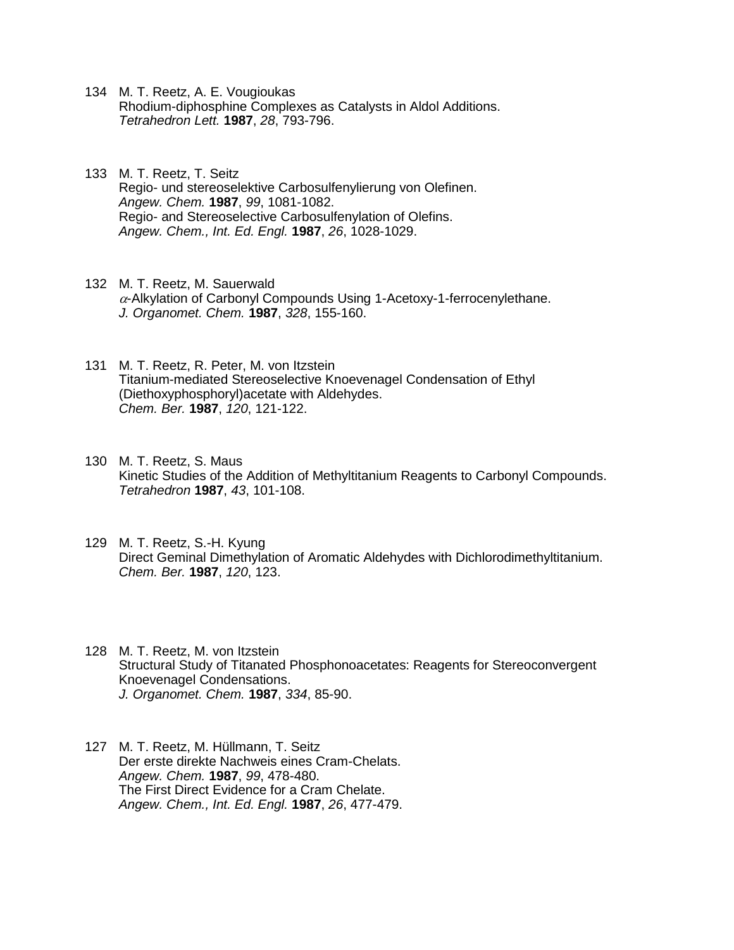- 134 M. T. Reetz, A. E. Vougioukas Rhodium-diphosphine Complexes as Catalysts in Aldol Additions. *Tetrahedron Lett.* **1987**, *28*, 793-796.
- 133 M. T. Reetz, T. Seitz Regio- und stereoselektive Carbosulfenylierung von Olefinen. *Angew. Chem.* **1987**, *99*, 1081-1082. Regio- and Stereoselective Carbosulfenylation of Olefins. *Angew. Chem., Int. Ed. Engl.* **1987**, *26*, 1028-1029.
- 132 M. T. Reetz, M. Sauerwald  $\alpha$ -Alkylation of Carbonyl Compounds Using 1-Acetoxy-1-ferrocenylethane. *J. Organomet. Chem.* **1987**, *328*, 155-160.
- 131 M. T. Reetz, R. Peter, M. von Itzstein Titanium-mediated Stereoselective Knoevenagel Condensation of Ethyl (Diethoxyphosphoryl)acetate with Aldehydes. *Chem. Ber.* **1987**, *120*, 121-122.
- 130 M. T. Reetz, S. Maus Kinetic Studies of the Addition of Methyltitanium Reagents to Carbonyl Compounds. *Tetrahedron* **1987**, *43*, 101-108.
- 129 M. T. Reetz, S.-H. Kyung Direct Geminal Dimethylation of Aromatic Aldehydes with Dichlorodimethyltitanium. *Chem. Ber.* **1987**, *120*, 123.
- 128 M. T. Reetz, M. von Itzstein Structural Study of Titanated Phosphonoacetates: Reagents for Stereoconvergent Knoevenagel Condensations. *J. Organomet. Chem.* **1987**, *334*, 85-90.
- 127 M. T. Reetz, M. Hüllmann, T. Seitz Der erste direkte Nachweis eines Cram-Chelats. *Angew. Chem.* **1987**, *99*, 478-480. The First Direct Evidence for a Cram Chelate. *Angew. Chem., Int. Ed. Engl.* **1987**, *26*, 477-479.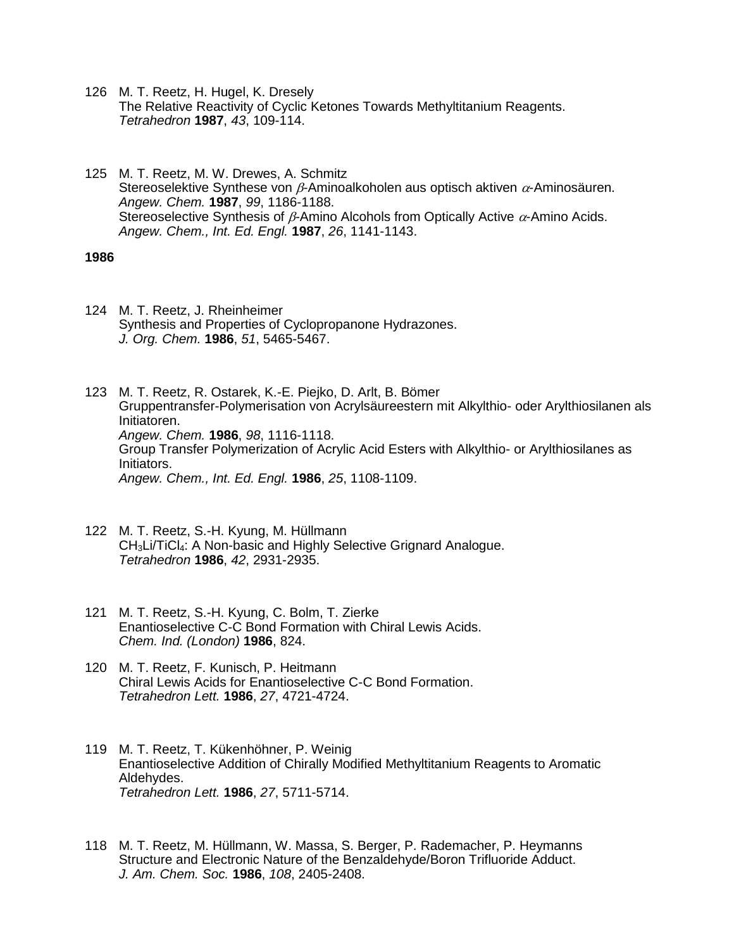- 126 M. T. Reetz, H. Hugel, K. Dresely The Relative Reactivity of Cyclic Ketones Towards Methyltitanium Reagents. *Tetrahedron* **1987**, *43*, 109-114.
- 125 M. T. Reetz, M. W. Drewes, A. Schmitz Stereoselektive Synthese von  $\beta$ -Aminoalkoholen aus optisch aktiven  $\alpha$ -Aminosäuren. *Angew. Chem.* **1987**, *99*, 1186-1188. Stereoselective Synthesis of  $\beta$ -Amino Alcohols from Optically Active  $\alpha$ -Amino Acids. *Angew. Chem., Int. Ed. Engl.* **1987**, *26*, 1141-1143.

124 M. T. Reetz, J. Rheinheimer Synthesis and Properties of Cyclopropanone Hydrazones. *J. Org. Chem.* **1986**, *51*, 5465-5467.

123 M. T. Reetz, R. Ostarek, K.-E. Piejko, D. Arlt, B. Bömer Gruppentransfer-Polymerisation von Acrylsäureestern mit Alkylthio- oder Arylthiosilanen als Initiatoren. *Angew. Chem.* **1986**, *98*, 1116-1118. Group Transfer Polymerization of Acrylic Acid Esters with Alkylthio- or Arylthiosilanes as Initiators. *Angew. Chem., Int. Ed. Engl.* **1986**, *25*, 1108-1109.

- 122 M. T. Reetz, S.-H. Kyung, M. Hüllmann CH3Li/TiCl4: A Non-basic and Highly Selective Grignard Analogue. *Tetrahedron* **1986**, *42*, 2931-2935.
- 121 M. T. Reetz, S.-H. Kyung, C. Bolm, T. Zierke Enantioselective C-C Bond Formation with Chiral Lewis Acids. *Chem. Ind. (London)* **1986**, 824.
- 120 M. T. Reetz, F. Kunisch, P. Heitmann Chiral Lewis Acids for Enantioselective C-C Bond Formation. *Tetrahedron Lett.* **1986**, *27*, 4721-4724.
- 119 M. T. Reetz, T. Kükenhöhner, P. Weinig Enantioselective Addition of Chirally Modified Methyltitanium Reagents to Aromatic Aldehydes. *Tetrahedron Lett.* **1986**, *27*, 5711-5714.
- 118 M. T. Reetz, M. Hüllmann, W. Massa, S. Berger, P. Rademacher, P. Heymanns Structure and Electronic Nature of the Benzaldehyde/Boron Trifluoride Adduct. *J. Am. Chem. Soc.* **1986**, *108*, 2405-2408.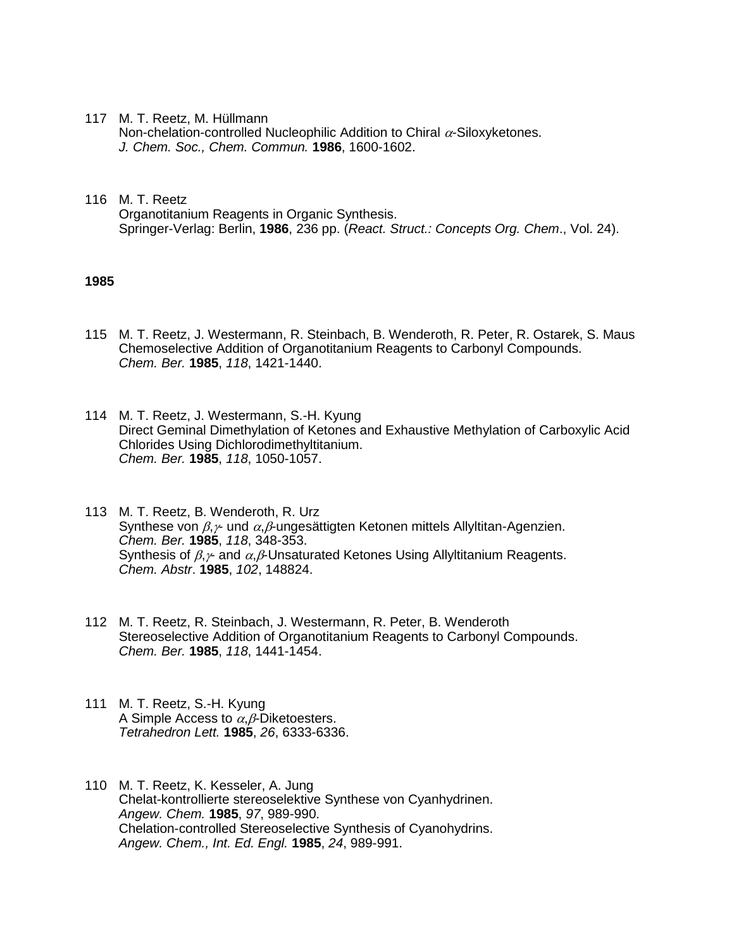117 M. T. Reetz, M. Hüllmann

Non-chelation-controlled Nucleophilic Addition to Chiral  $\alpha$ -Siloxyketones. *J. Chem. Soc., Chem. Commun.* **1986**, 1600-1602.

116 M. T. Reetz Organotitanium Reagents in Organic Synthesis. Springer-Verlag: Berlin, **1986**, 236 pp. (*React. Struct.: Concepts Org. Chem*., Vol. 24).

- 115 M. T. Reetz, J. Westermann, R. Steinbach, B. Wenderoth, R. Peter, R. Ostarek, S. Maus Chemoselective Addition of Organotitanium Reagents to Carbonyl Compounds. *Chem. Ber.* **1985**, *118*, 1421-1440.
- 114 M. T. Reetz, J. Westermann, S.-H. Kyung Direct Geminal Dimethylation of Ketones and Exhaustive Methylation of Carboxylic Acid Chlorides Using Dichlorodimethyltitanium. *Chem. Ber.* **1985**, *118*, 1050-1057.
- 113 M. T. Reetz, B. Wenderoth, R. Urz Synthese von  $\beta$ , $\gamma$  und  $\alpha$ , $\beta$ -ungesättigten Ketonen mittels Allyltitan-Agenzien. *Chem. Ber.* **1985**, *118*, 348-353. Synthesis of  $\beta, \gamma$  and  $\alpha, \beta$ -Unsaturated Ketones Using Allyltitanium Reagents. *Chem. Abstr*. **1985**, *102*, 148824.
- 112 M. T. Reetz, R. Steinbach, J. Westermann, R. Peter, B. Wenderoth Stereoselective Addition of Organotitanium Reagents to Carbonyl Compounds. *Chem. Ber.* **1985**, *118*, 1441-1454.
- 111 M. T. Reetz, S.-H. Kyung A Simple Access to  $\alpha$ .  $\beta$ -Diketoesters. *Tetrahedron Lett.* **1985**, *26*, 6333-6336.
- 110 M. T. Reetz, K. Kesseler, A. Jung Chelat-kontrollierte stereoselektive Synthese von Cyanhydrinen. *Angew. Chem.* **1985**, *97*, 989-990. Chelation-controlled Stereoselective Synthesis of Cyanohydrins. *Angew. Chem., Int. Ed. Engl.* **1985**, *24*, 989-991.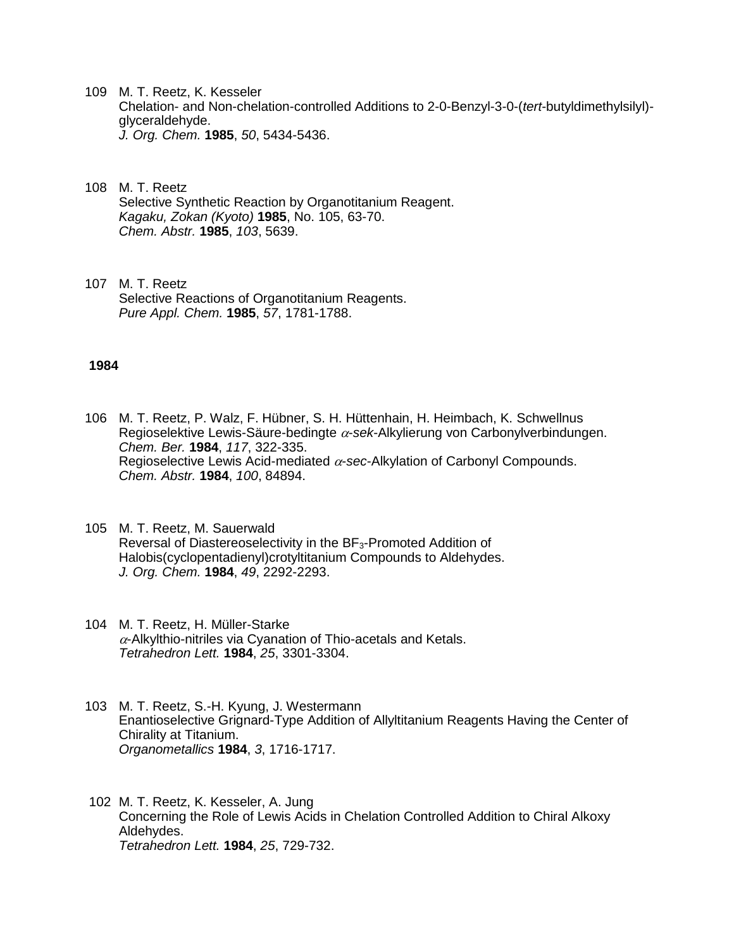- 109 M. T. Reetz, K. Kesseler Chelation- and Non-chelation-controlled Additions to 2-0-Benzyl-3-0-(*tert*-butyldimethylsilyl) glyceraldehyde. *J. Org. Chem.* **1985**, *50*, 5434-5436.
- 108 M. T. Reetz Selective Synthetic Reaction by Organotitanium Reagent. *Kagaku, Zokan (Kyoto)* **1985**, No. 105, 63-70. *Chem. Abstr.* **1985**, *103*, 5639.
- 107 M. T. Reetz Selective Reactions of Organotitanium Reagents. *Pure Appl. Chem.* **1985**, *57*, 1781-1788.

- 106 M. T. Reetz, P. Walz, F. Hübner, S. H. Hüttenhain, H. Heimbach, K. Schwellnus Regioselektive Lewis-Säure-bedingte  $\alpha$ -sek-Alkylierung von Carbonylverbindungen. *Chem. Ber.* **1984**, *117*, 322-335. Regioselective Lewis Acid-mediated  $\alpha$ -sec-Alkylation of Carbonyl Compounds. *Chem. Abstr.* **1984**, *100*, 84894.
- 105 M. T. Reetz, M. Sauerwald Reversal of Diastereoselectivity in the BF<sub>3</sub>-Promoted Addition of Halobis(cyclopentadienyl)crotyltitanium Compounds to Aldehydes. *J. Org. Chem.* **1984**, *49*, 2292-2293.
- 104 M. T. Reetz, H. Müller-Starke  $\alpha$ -Alkylthio-nitriles via Cyanation of Thio-acetals and Ketals. *Tetrahedron Lett.* **1984**, *25*, 3301-3304.
- 103 M. T. Reetz, S.-H. Kyung, J. Westermann Enantioselective Grignard-Type Addition of Allyltitanium Reagents Having the Center of Chirality at Titanium. *Organometallics* **1984**, *3*, 1716-1717.
- 102 M. T. Reetz, K. Kesseler, A. Jung Concerning the Role of Lewis Acids in Chelation Controlled Addition to Chiral Alkoxy Aldehydes. *Tetrahedron Lett.* **1984**, *25*, 729-732.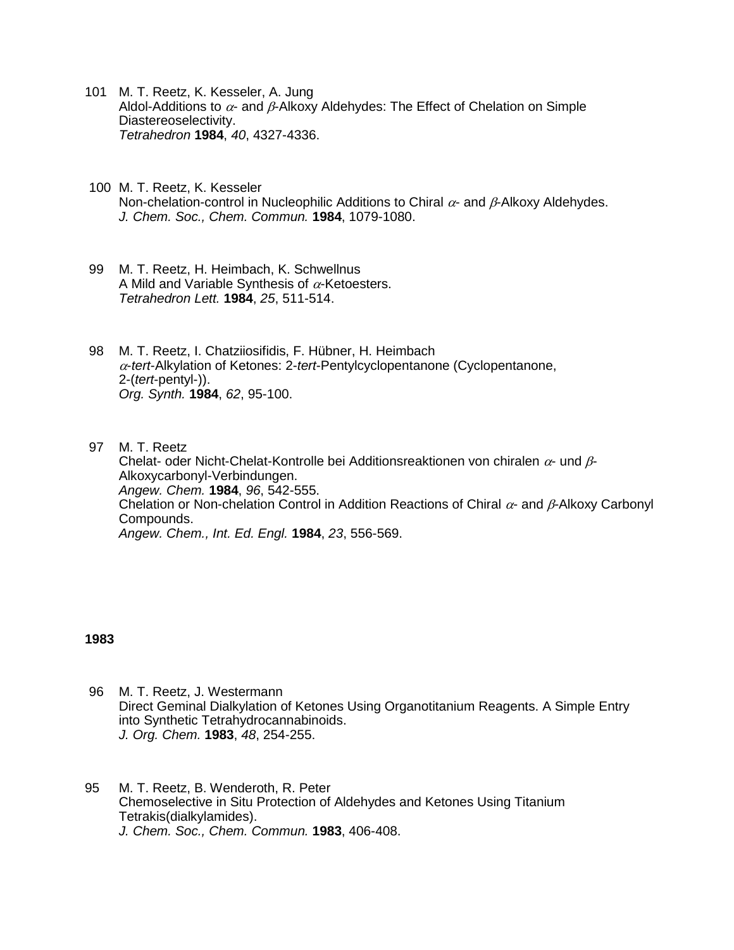- 101 M. T. Reetz, K. Kesseler, A. Jung Aldol-Additions to  $\alpha$ - and  $\beta$ -Alkoxy Aldehydes: The Effect of Chelation on Simple Diastereoselectivity. *Tetrahedron* **1984**, *40*, 4327-4336.
- 100 M. T. Reetz, K. Kesseler Non-chelation-control in Nucleophilic Additions to Chiral  $\alpha$ - and  $\beta$ -Alkoxy Aldehydes. *J. Chem. Soc., Chem. Commun.* **1984**, 1079-1080.
- 99 M. T. Reetz, H. Heimbach, K. Schwellnus A Mild and Variable Synthesis of  $\alpha$ -Ketoesters. *Tetrahedron Lett.* **1984**, *25*, 511-514.
- 98 M. T. Reetz, I. Chatziiosifidis, F. Hübner, H. Heimbach -*tert*-Alkylation of Ketones: 2-*tert*-Pentylcyclopentanone (Cyclopentanone, 2-(*tert*-pentyl-)). *Org. Synth.* **1984**, *62*, 95-100.
- 97 M. T. Reetz Chelat- oder Nicht-Chelat-Kontrolle bei Additionsreaktionen von chiralen  $\alpha$ - und  $\beta$ -Alkoxycarbonyl-Verbindungen. *Angew. Chem.* **1984**, *96*, 542-555. Chelation or Non-chelation Control in Addition Reactions of Chiral  $\alpha$ - and  $\beta$ -Alkoxy Carbonyl Compounds. *Angew. Chem., Int. Ed. Engl.* **1984**, *23*, 556-569.

- 96 M. T. Reetz, J. Westermann Direct Geminal Dialkylation of Ketones Using Organotitanium Reagents. A Simple Entry into Synthetic Tetrahydrocannabinoids. *J. Org. Chem.* **1983**, *48*, 254-255.
- 95 M. T. Reetz, B. Wenderoth, R. Peter Chemoselective in Situ Protection of Aldehydes and Ketones Using Titanium Tetrakis(dialkylamides). *J. Chem. Soc., Chem. Commun.* **1983**, 406-408.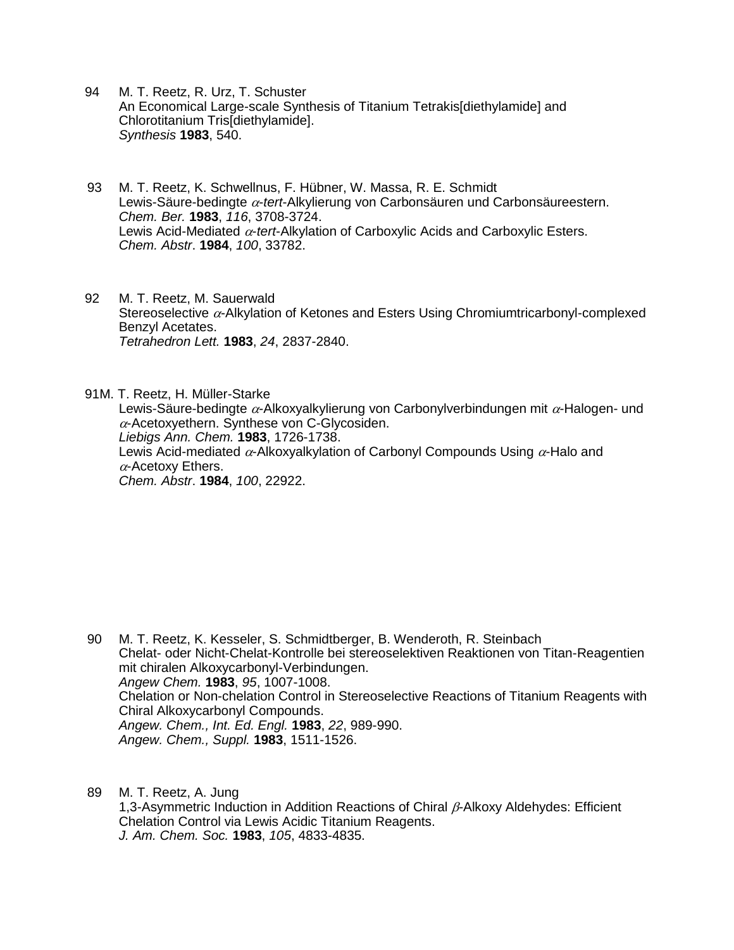- 94 M. T. Reetz, R. Urz, T. Schuster An Economical Large-scale Synthesis of Titanium Tetrakis[diethylamide] and Chlorotitanium Tris[diethylamide]. *Synthesis* **1983**, 540.
- 93 M. T. Reetz, K. Schwellnus, F. Hübner, W. Massa, R. E. Schmidt Lewis-Säure-bedingte  $\alpha$ -tert-Alkylierung von Carbonsäuren und Carbonsäureestern. *Chem. Ber.* **1983**, *116*, 3708-3724. Lewis Acid-Mediated  $\alpha$ -tert-Alkylation of Carboxylic Acids and Carboxylic Esters. *Chem. Abstr*. **1984**, *100*, 33782.
- 92 M. T. Reetz, M. Sauerwald Stereoselective  $\alpha$ -Alkylation of Ketones and Esters Using Chromiumtricarbonyl-complexed Benzyl Acetates. *Tetrahedron Lett.* **1983**, *24*, 2837-2840.

91M. T. Reetz, H. Müller-Starke Lewis-Säure-bedingte  $\alpha$ -Alkoxyalkylierung von Carbonylverbindungen mit  $\alpha$ -Halogen- und  $\alpha$ -Acetoxyethern. Synthese von C-Glycosiden. *Liebigs Ann. Chem.* **1983**, 1726-1738. Lewis Acid-mediated  $\alpha$ -Alkoxyalkylation of Carbonyl Compounds Using  $\alpha$ -Halo and  $\alpha$ -Acetoxy Ethers. *Chem. Abstr*. **1984**, *100*, 22922.

- 90 M. T. Reetz, K. Kesseler, S. Schmidtberger, B. Wenderoth, R. Steinbach Chelat- oder Nicht-Chelat-Kontrolle bei stereoselektiven Reaktionen von Titan-Reagentien mit chiralen Alkoxycarbonyl-Verbindungen. *Angew Chem.* **1983**, *95*, 1007-1008. Chelation or Non-chelation Control in Stereoselective Reactions of Titanium Reagents with Chiral Alkoxycarbonyl Compounds. *Angew. Chem., Int. Ed. Engl.* **1983**, *22*, 989-990. *Angew. Chem., Suppl.* **1983**, 1511-1526.
- 89 M. T. Reetz, A. Jung 1.3-Asymmetric Induction in Addition Reactions of Chiral  $\beta$ -Alkoxy Aldehydes: Efficient Chelation Control via Lewis Acidic Titanium Reagents. *J. Am. Chem. Soc.* **1983**, *105*, 4833-4835.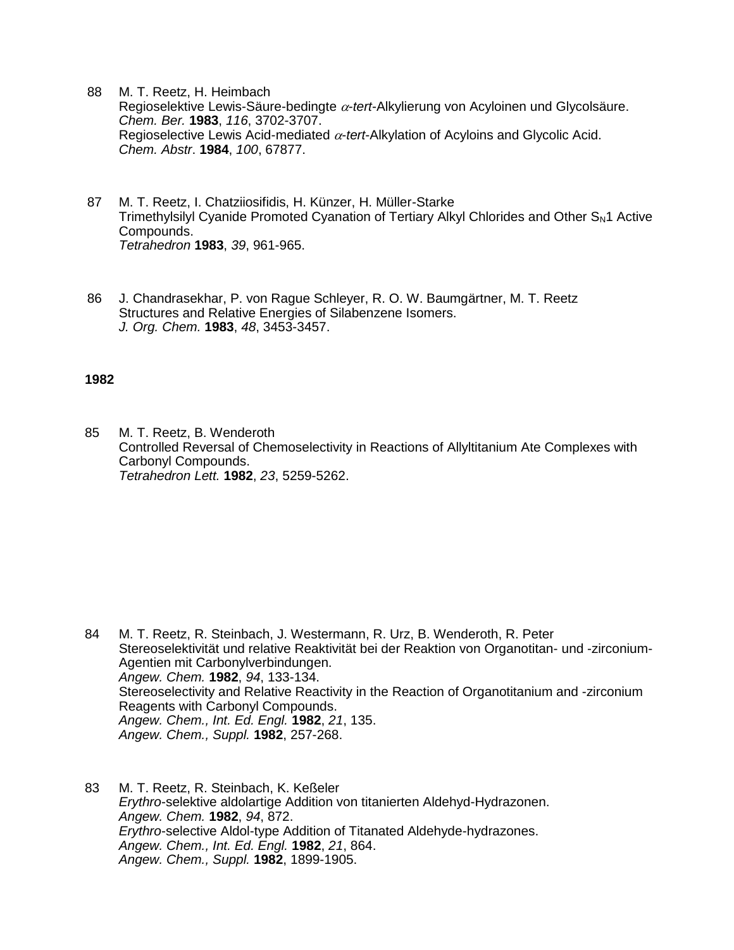- 88 M. T. Reetz, H. Heimbach Regioselektive Lewis-Säure-bedingte  $\alpha$ -tert-Alkylierung von Acyloinen und Glycolsäure. *Chem. Ber.* **1983**, *116*, 3702-3707. Regioselective Lewis Acid-mediated  $\alpha$ -tert-Alkylation of Acyloins and Glycolic Acid. *Chem. Abstr*. **1984**, *100*, 67877.
- 87 M. T. Reetz, I. Chatziiosifidis, H. Künzer, H. Müller-Starke Trimethylsilyl Cyanide Promoted Cyanation of Tertiary Alkyl Chlorides and Other S<sub>N</sub>1 Active Compounds. *Tetrahedron* **1983**, *39*, 961-965.
- 86 J. Chandrasekhar, P. von Rague Schleyer, R. O. W. Baumgärtner, M. T. Reetz Structures and Relative Energies of Silabenzene Isomers. *J. Org. Chem.* **1983**, *48*, 3453-3457.

85 M. T. Reetz, B. Wenderoth Controlled Reversal of Chemoselectivity in Reactions of Allyltitanium Ate Complexes with Carbonyl Compounds. *Tetrahedron Lett.* **1982**, *23*, 5259-5262.

- 84 M. T. Reetz, R. Steinbach, J. Westermann, R. Urz, B. Wenderoth, R. Peter Stereoselektivität und relative Reaktivität bei der Reaktion von Organotitan- und -zirconium-Agentien mit Carbonylverbindungen. *Angew. Chem.* **1982**, *94*, 133-134. Stereoselectivity and Relative Reactivity in the Reaction of Organotitanium and -zirconium Reagents with Carbonyl Compounds. *Angew. Chem., Int. Ed. Engl.* **1982**, *21*, 135. *Angew. Chem., Suppl.* **1982**, 257-268.
- 83 M. T. Reetz, R. Steinbach, K. Keßeler *Erythro*-selektive aldolartige Addition von titanierten Aldehyd-Hydrazonen. *Angew. Chem.* **1982**, *94*, 872. *Erythro*-selective Aldol-type Addition of Titanated Aldehyde-hydrazones. *Angew. Chem., Int. Ed. Engl.* **1982**, *21*, 864. *Angew. Chem., Suppl.* **1982**, 1899-1905.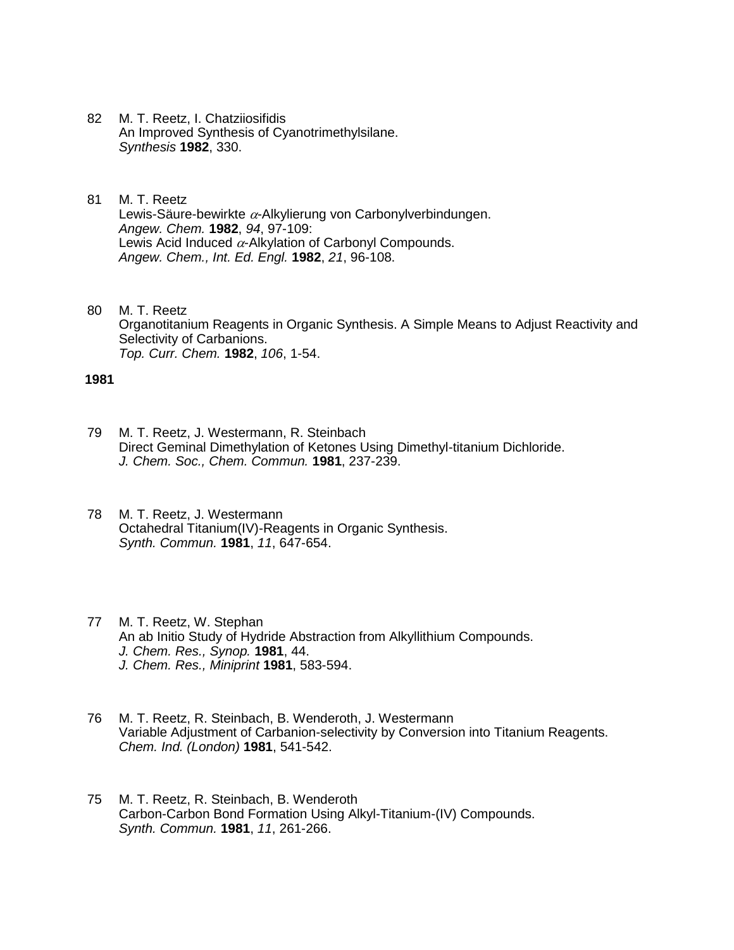- 82 M. T. Reetz, I. Chatziiosifidis An Improved Synthesis of Cyanotrimethylsilane. *Synthesis* **1982**, 330.
- 81 M. T. Reetz Lewis-Säure-bewirkte  $\alpha$ -Alkylierung von Carbonylverbindungen. *Angew. Chem.* **1982**, *94*, 97-109: Lewis Acid Induced  $\alpha$ -Alkylation of Carbonyl Compounds. *Angew. Chem., Int. Ed. Engl.* **1982**, *21*, 96-108.
- 80 M. T. Reetz Organotitanium Reagents in Organic Synthesis. A Simple Means to Adjust Reactivity and Selectivity of Carbanions. *Top. Curr. Chem.* **1982**, *106*, 1-54.

- 79 M. T. Reetz, J. Westermann, R. Steinbach Direct Geminal Dimethylation of Ketones Using Dimethyl-titanium Dichloride. *J. Chem. Soc., Chem. Commun.* **1981**, 237-239.
- 78 M. T. Reetz, J. Westermann Octahedral Titanium(IV)-Reagents in Organic Synthesis. *Synth. Commun.* **1981**, *11*, 647-654.
- 77 M. T. Reetz, W. Stephan An ab Initio Study of Hydride Abstraction from Alkyllithium Compounds. *J. Chem. Res., Synop.* **1981**, 44. *J. Chem. Res., Miniprint* **1981**, 583-594.
- 76 M. T. Reetz, R. Steinbach, B. Wenderoth, J. Westermann Variable Adjustment of Carbanion-selectivity by Conversion into Titanium Reagents. *Chem. Ind. (London)* **1981**, 541-542.
- 75 M. T. Reetz, R. Steinbach, B. Wenderoth Carbon-Carbon Bond Formation Using Alkyl-Titanium-(IV) Compounds. *Synth. Commun.* **1981**, *11*, 261-266.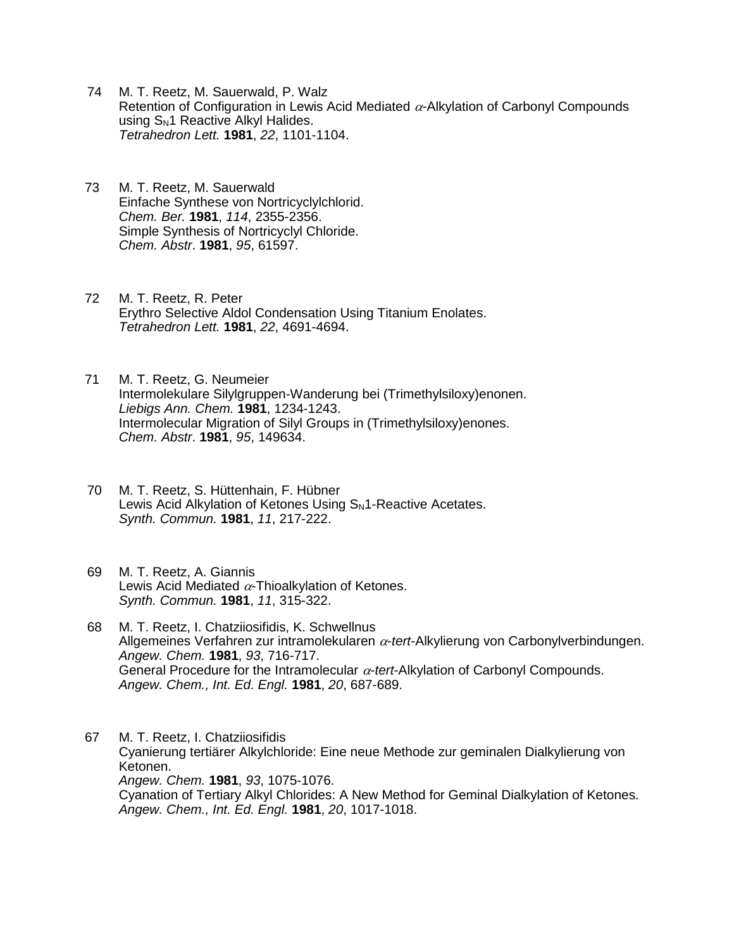- 74 M. T. Reetz, M. Sauerwald, P. Walz Retention of Configuration in Lewis Acid Mediated  $\alpha$ -Alkylation of Carbonyl Compounds using S<sub>N</sub>1 Reactive Alkyl Halides. *Tetrahedron Lett.* **1981**, *22*, 1101-1104.
- 73 M. T. Reetz, M. Sauerwald Einfache Synthese von Nortricyclylchlorid. *Chem. Ber.* **1981**, *114*, 2355-2356. Simple Synthesis of Nortricyclyl Chloride. *Chem. Abstr*. **1981**, *95*, 61597.
- 72 M. T. Reetz, R. Peter Erythro Selective Aldol Condensation Using Titanium Enolates. *Tetrahedron Lett.* **1981**, *22*, 4691-4694.
- 71 M. T. Reetz, G. Neumeier Intermolekulare Silylgruppen-Wanderung bei (Trimethylsiloxy)enonen. *Liebigs Ann. Chem.* **1981**, 1234-1243. Intermolecular Migration of Silyl Groups in (Trimethylsiloxy)enones. *Chem. Abstr*. **1981**, *95*, 149634.
- 70 M. T. Reetz, S. Hüttenhain, F. Hübner Lewis Acid Alkylation of Ketones Using  $S_N$ 1-Reactive Acetates. *Synth. Commun.* **1981**, *11*, 217-222.
- 69 M. T. Reetz, A. Giannis Lewis Acid Mediated  $\alpha$ -Thioalkylation of Ketones. *Synth. Commun.* **1981**, *11*, 315-322.
- 68 M. T. Reetz, I. Chatziiosifidis, K. Schwellnus Allgemeines Verfahren zur intramolekularen  $\alpha$ -tert-Alkylierung von Carbonylverbindungen. *Angew. Chem.* **1981**, *93*, 716-717. General Procedure for the Intramolecular  $\alpha$ -tert-Alkylation of Carbonyl Compounds. *Angew. Chem., Int. Ed. Engl.* **1981**, *20*, 687-689.

67 M. T. Reetz, I. Chatziiosifidis Cyanierung tertiärer Alkylchloride: Eine neue Methode zur geminalen Dialkylierung von Ketonen. *Angew. Chem.* **1981**, *93*, 1075-1076. Cyanation of Tertiary Alkyl Chlorides: A New Method for Geminal Dialkylation of Ketones. *Angew. Chem., Int. Ed. Engl.* **1981**, *20*, 1017-1018.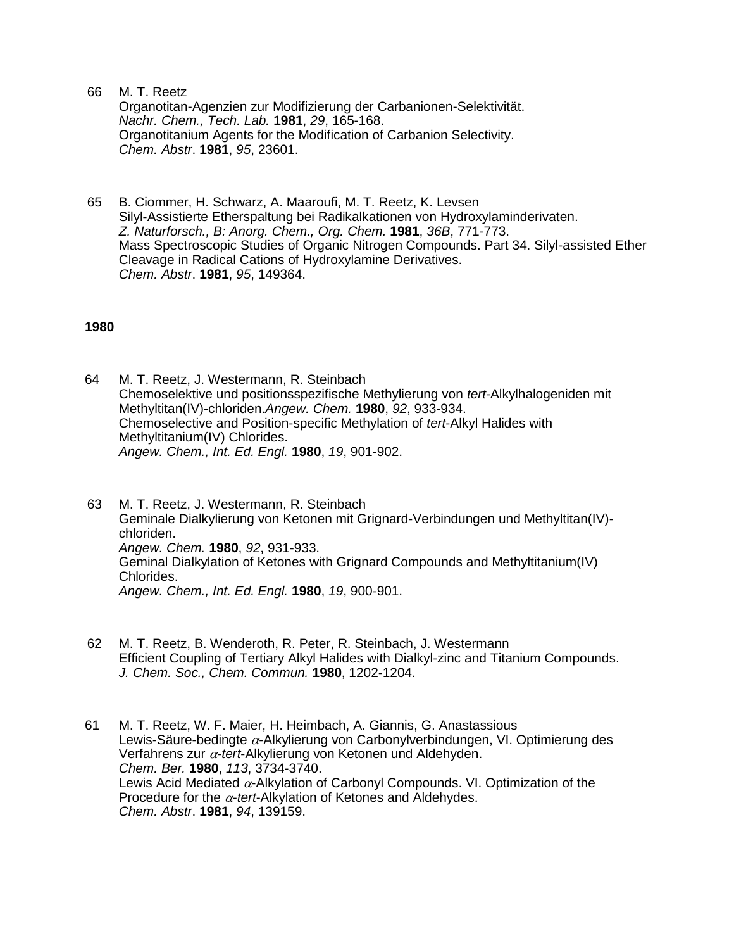66 M. T. Reetz

Organotitan-Agenzien zur Modifizierung der Carbanionen-Selektivität. *Nachr. Chem., Tech. Lab.* **1981**, *29*, 165-168. Organotitanium Agents for the Modification of Carbanion Selectivity. *Chem. Abstr*. **1981**, *95*, 23601.

65 B. Ciommer, H. Schwarz, A. Maaroufi, M. T. Reetz, K. Levsen Silyl-Assistierte Etherspaltung bei Radikalkationen von Hydroxylaminderivaten. *Z. Naturforsch., B: Anorg. Chem., Org. Chem.* **1981**, *36B*, 771-773. Mass Spectroscopic Studies of Organic Nitrogen Compounds. Part 34. Silyl-assisted Ether Cleavage in Radical Cations of Hydroxylamine Derivatives. *Chem. Abstr*. **1981**, *95*, 149364.

### **1980**

64 M. T. Reetz, J. Westermann, R. Steinbach Chemoselektive und positionsspezifische Methylierung von *tert*-Alkylhalogeniden mit Methyltitan(IV)-chloriden.*Angew. Chem.* **1980**, *92*, 933-934. Chemoselective and Position-specific Methylation of *tert*-Alkyl Halides with Methyltitanium(IV) Chlorides. *Angew. Chem., Int. Ed. Engl.* **1980**, *19*, 901-902.

63 M. T. Reetz, J. Westermann, R. Steinbach Geminale Dialkylierung von Ketonen mit Grignard-Verbindungen und Methyltitan(IV) chloriden. *Angew. Chem.* **1980**, *92*, 931-933. Geminal Dialkylation of Ketones with Grignard Compounds and Methyltitanium(IV) Chlorides. *Angew. Chem., Int. Ed. Engl.* **1980**, *19*, 900-901.

- 62 M. T. Reetz, B. Wenderoth, R. Peter, R. Steinbach, J. Westermann Efficient Coupling of Tertiary Alkyl Halides with Dialkyl-zinc and Titanium Compounds. *J. Chem. Soc., Chem. Commun.* **1980**, 1202-1204.
- 61 M. T. Reetz, W. F. Maier, H. Heimbach, A. Giannis, G. Anastassious Lewis-Säure-bedingte  $\alpha$ -Alkylierung von Carbonylverbindungen, VI. Optimierung des Verfahrens zur  $\alpha$ -tert-Alkylierung von Ketonen und Aldehyden. *Chem. Ber.* **1980**, *113*, 3734-3740. Lewis Acid Mediated  $\alpha$ -Alkylation of Carbonyl Compounds. VI. Optimization of the Procedure for the  $\alpha$ -tert-Alkylation of Ketones and Aldehydes. *Chem. Abstr*. **1981**, *94*, 139159.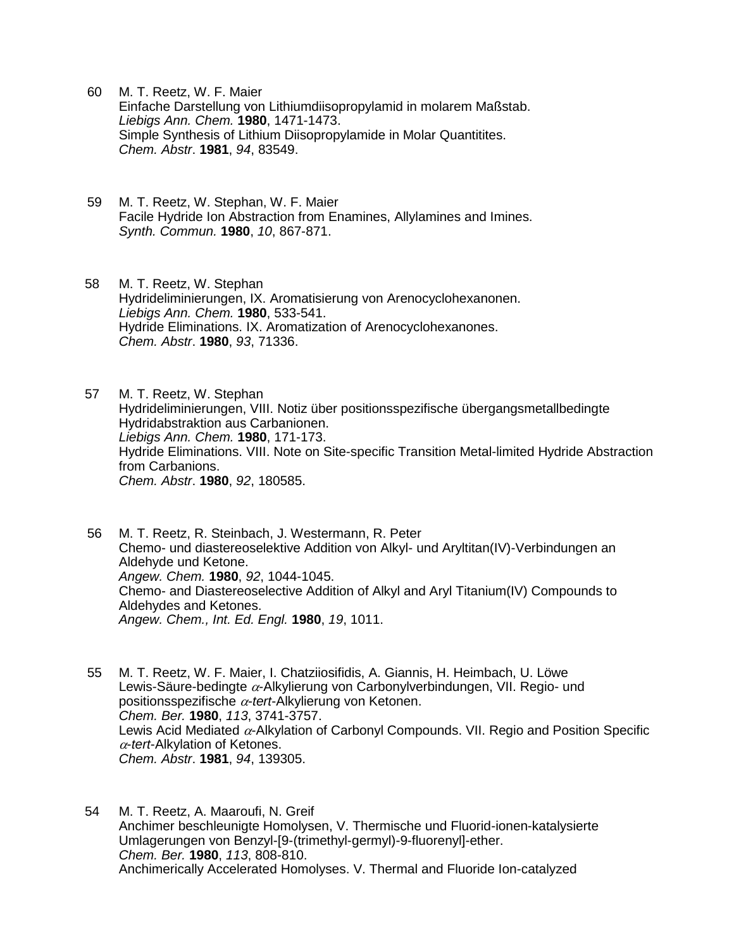- 60 M. T. Reetz, W. F. Maier Einfache Darstellung von Lithiumdiisopropylamid in molarem Maßstab. *Liebigs Ann. Chem.* **1980**, 1471-1473. Simple Synthesis of Lithium Diisopropylamide in Molar Quantitites. *Chem. Abstr*. **1981**, *94*, 83549.
- 59 M. T. Reetz, W. Stephan, W. F. Maier Facile Hydride Ion Abstraction from Enamines, Allylamines and Imines. *Synth. Commun.* **1980**, *10*, 867-871.
- 58 M. T. Reetz, W. Stephan Hydrideliminierungen, IX. Aromatisierung von Arenocyclohexanonen. *Liebigs Ann. Chem.* **1980**, 533-541. Hydride Eliminations. IX. Aromatization of Arenocyclohexanones. *Chem. Abstr*. **1980**, *93*, 71336.
- 57 M. T. Reetz, W. Stephan Hydrideliminierungen, VIII. Notiz über positionsspezifische übergangsmetallbedingte Hydridabstraktion aus Carbanionen. *Liebigs Ann. Chem.* **1980**, 171-173. Hydride Eliminations. VIII. Note on Site-specific Transition Metal-limited Hydride Abstraction from Carbanions. *Chem. Abstr*. **1980**, *92*, 180585.
- 56 M. T. Reetz, R. Steinbach, J. Westermann, R. Peter Chemo- und diastereoselektive Addition von Alkyl- und Aryltitan(IV)-Verbindungen an Aldehyde und Ketone. *Angew. Chem.* **1980**, *92*, 1044-1045. Chemo- and Diastereoselective Addition of Alkyl and Aryl Titanium(IV) Compounds to Aldehydes and Ketones. *Angew. Chem., Int. Ed. Engl.* **1980**, *19*, 1011.
- 55 M. T. Reetz, W. F. Maier, I. Chatziiosifidis, A. Giannis, H. Heimbach, U. Löwe Lewis-Säure-bedingte  $\alpha$ -Alkylierung von Carbonylverbindungen, VII. Regio- und positionsspezifische α-tert-Alkylierung von Ketonen. *Chem. Ber.* **1980**, *113*, 3741-3757. Lewis Acid Mediated  $\alpha$ -Alkylation of Carbonyl Compounds. VII. Regio and Position Specific -*tert*-Alkylation of Ketones. *Chem. Abstr*. **1981**, *94*, 139305.
- 54 M. T. Reetz, A. Maaroufi, N. Greif Anchimer beschleunigte Homolysen, V. Thermische und Fluorid-ionen-katalysierte Umlagerungen von Benzyl-[9-(trimethyl-germyl)-9-fluorenyl]-ether. *Chem. Ber.* **1980**, *113*, 808-810. Anchimerically Accelerated Homolyses. V. Thermal and Fluoride Ion-catalyzed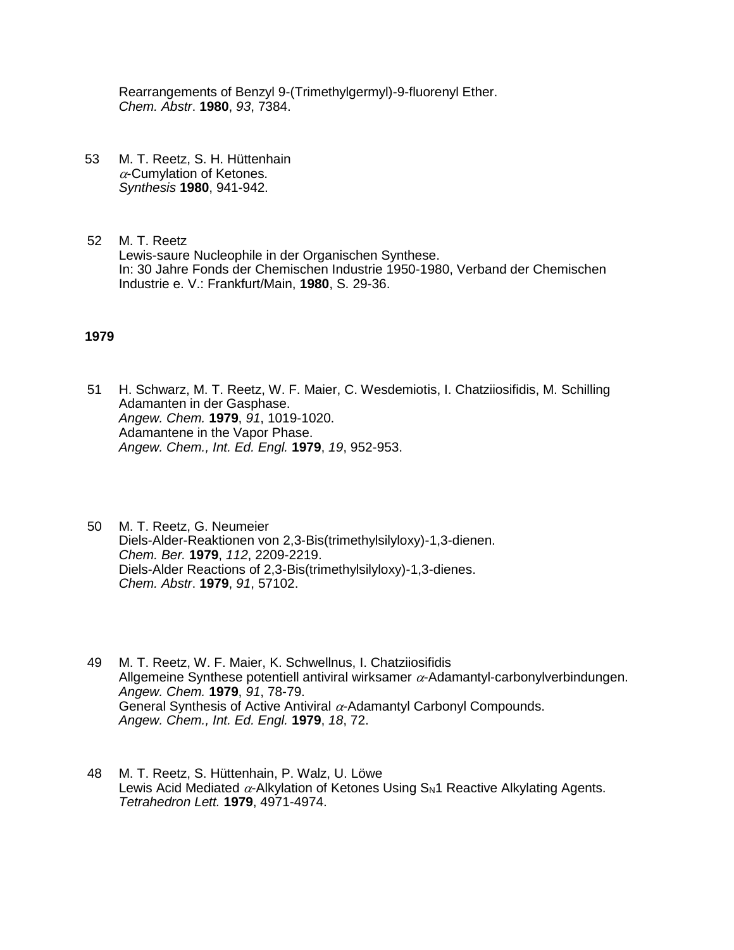Rearrangements of Benzyl 9-(Trimethylgermyl)-9-fluorenyl Ether. *Chem. Abstr*. **1980**, *93*, 7384.

- 53 M. T. Reetz, S. H. Hüttenhain  $\alpha$ -Cumvlation of Ketones. *Synthesis* **1980**, 941-942.
- 52 M. T. Reetz Lewis-saure Nucleophile in der Organischen Synthese. In: 30 Jahre Fonds der Chemischen Industrie 1950-1980, Verband der Chemischen Industrie e. V.: Frankfurt/Main, **1980**, S. 29-36.

## **1979**

- 51 H. Schwarz, M. T. Reetz, W. F. Maier, C. Wesdemiotis, I. Chatziiosifidis, M. Schilling Adamanten in der Gasphase. *Angew. Chem.* **1979**, *91*, 1019-1020. Adamantene in the Vapor Phase. *Angew. Chem., Int. Ed. Engl.* **1979**, *19*, 952-953.
- 50 M. T. Reetz, G. Neumeier Diels-Alder-Reaktionen von 2,3-Bis(trimethylsilyloxy)-1,3-dienen. *Chem. Ber.* **1979**, *112*, 2209-2219. Diels-Alder Reactions of 2,3-Bis(trimethylsilyloxy)-1,3-dienes. *Chem. Abstr*. **1979**, *91*, 57102.
- 49 M. T. Reetz, W. F. Maier, K. Schwellnus, I. Chatziiosifidis Allgemeine Synthese potentiell antiviral wirksamer  $\alpha$ -Adamantyl-carbonylverbindungen. *Angew. Chem.* **1979**, *91*, 78-79. General Synthesis of Active Antiviral  $\alpha$ -Adamantyl Carbonyl Compounds. *Angew. Chem., Int. Ed. Engl.* **1979**, *18*, 72.
- 48 M. T. Reetz, S. Hüttenhain, P. Walz, U. Löwe Lewis Acid Mediated  $\alpha$ -Alkylation of Ketones Using  $S_N1$  Reactive Alkylating Agents. *Tetrahedron Lett.* **1979**, 4971-4974.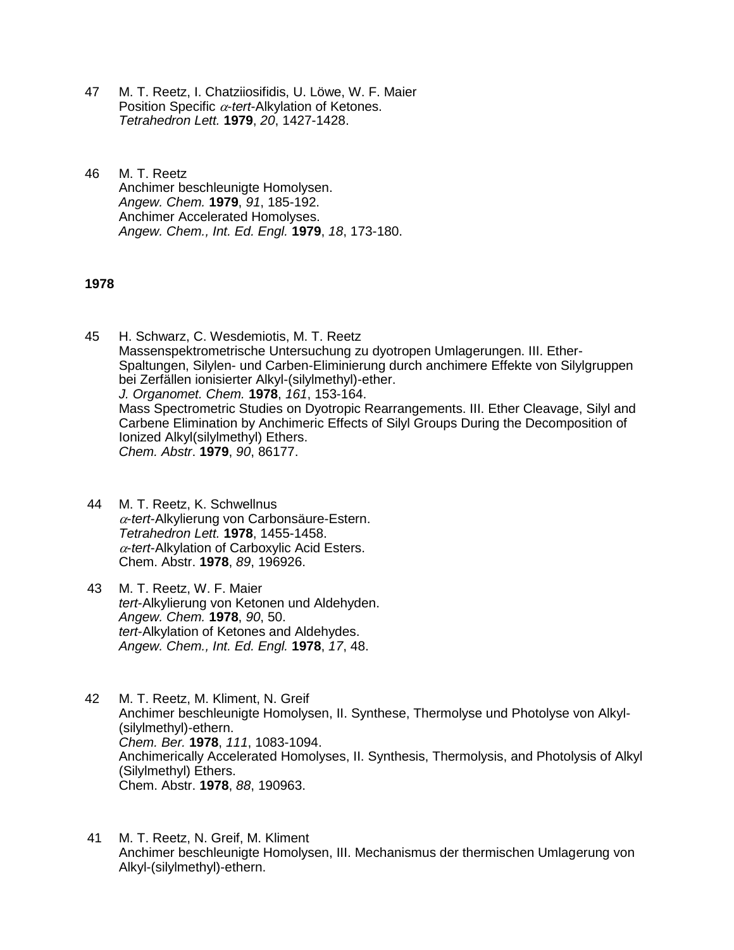- 47 M. T. Reetz, I. Chatziiosifidis, U. Löwe, W. F. Maier Position Specific  $\alpha$ -tert-Alkylation of Ketones. *Tetrahedron Lett.* **1979**, *20*, 1427-1428.
- 46 M. T. Reetz Anchimer beschleunigte Homolysen. *Angew. Chem.* **1979**, *91*, 185-192. Anchimer Accelerated Homolyses. *Angew. Chem., Int. Ed. Engl.* **1979**, *18*, 173-180.

## **1978**

45 H. Schwarz, C. Wesdemiotis, M. T. Reetz Massenspektrometrische Untersuchung zu dyotropen Umlagerungen. III. Ether-Spaltungen, Silylen- und Carben-Eliminierung durch anchimere Effekte von Silylgruppen bei Zerfällen ionisierter Alkyl-(silylmethyl)-ether. *J. Organomet. Chem.* **1978**, *161*, 153-164. Mass Spectrometric Studies on Dyotropic Rearrangements. III. Ether Cleavage, Silyl and Carbene Elimination by Anchimeric Effects of Silyl Groups During the Decomposition of Ionized Alkyl(silylmethyl) Ethers. *Chem. Abstr*. **1979**, *90*, 86177.

- 44 M. T. Reetz, K. Schwellnus -*tert*-Alkylierung von Carbonsäure-Estern. *Tetrahedron Lett.* **1978**, 1455-1458. -*tert*-Alkylation of Carboxylic Acid Esters. Chem. Abstr. **1978**, *89*, 196926.
- 43 M. T. Reetz, W. F. Maier *tert*-Alkylierung von Ketonen und Aldehyden. *Angew. Chem.* **1978**, *90*, 50. *tert*-Alkylation of Ketones and Aldehydes. *Angew. Chem., Int. Ed. Engl.* **1978**, *17*, 48.
- 42 M. T. Reetz, M. Kliment, N. Greif Anchimer beschleunigte Homolysen, II. Synthese, Thermolyse und Photolyse von Alkyl- (silylmethyl)-ethern. *Chem. Ber.* **1978**, *111*, 1083-1094. Anchimerically Accelerated Homolyses, II. Synthesis, Thermolysis, and Photolysis of Alkyl (Silylmethyl) Ethers. Chem. Abstr. **1978**, *88*, 190963.
- 41 M. T. Reetz, N. Greif, M. Kliment Anchimer beschleunigte Homolysen, III. Mechanismus der thermischen Umlagerung von Alkyl-(silylmethyl)-ethern.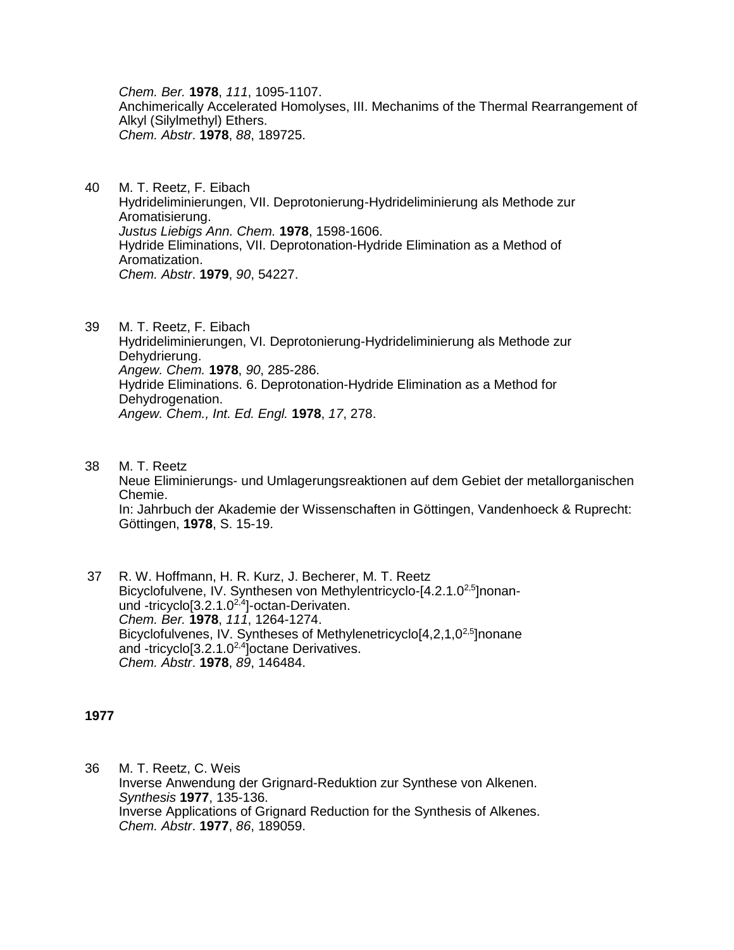*Chem. Ber.* **1978**, *111*, 1095-1107. Anchimerically Accelerated Homolyses, III. Mechanims of the Thermal Rearrangement of Alkyl (Silylmethyl) Ethers. *Chem. Abstr*. **1978**, *88*, 189725.

- 40 M. T. Reetz, F. Eibach Hydrideliminierungen, VII. Deprotonierung-Hydrideliminierung als Methode zur Aromatisierung. *Justus Liebigs Ann. Chem.* **1978**, 1598-1606. Hydride Eliminations, VII. Deprotonation-Hydride Elimination as a Method of Aromatization. *Chem. Abstr*. **1979**, *90*, 54227.
- 39 M. T. Reetz, F. Eibach Hydrideliminierungen, VI. Deprotonierung-Hydrideliminierung als Methode zur Dehydrierung. *Angew. Chem.* **1978**, *90*, 285-286. Hydride Eliminations. 6. Deprotonation-Hydride Elimination as a Method for Dehydrogenation. *Angew. Chem., Int. Ed. Engl.* **1978**, *17*, 278.
- 38 M. T. Reetz Neue Eliminierungs- und Umlagerungsreaktionen auf dem Gebiet der metallorganischen Chemie. In: Jahrbuch der Akademie der Wissenschaften in Göttingen, Vandenhoeck & Ruprecht: Göttingen, **1978**, S. 15-19.
- 37 R. W. Hoffmann, H. R. Kurz, J. Becherer, M. T. Reetz Bicyclofulvene, IV. Synthesen von Methylentricyclo-[4.2.1.0<sup>2,5</sup>]nonanund -tricyclo[3.2.1.0<sup>2,4</sup>]-octan-Derivaten. *Chem. Ber.* **1978**, *111*, 1264-1274. Bicyclofulvenes, IV. Syntheses of Methylenetricyclo<sup>[4,2,1,0<sup>2,5</sup>]nonane</sup> and -tricyclo[3.2.1.0<sup>2,4</sup>]octane Derivatives. *Chem. Abstr*. **1978**, *89*, 146484.

# **1977**

36 M. T. Reetz, C. Weis Inverse Anwendung der Grignard-Reduktion zur Synthese von Alkenen. *Synthesis* **1977**, 135-136. Inverse Applications of Grignard Reduction for the Synthesis of Alkenes. *Chem. Abstr*. **1977**, *86*, 189059.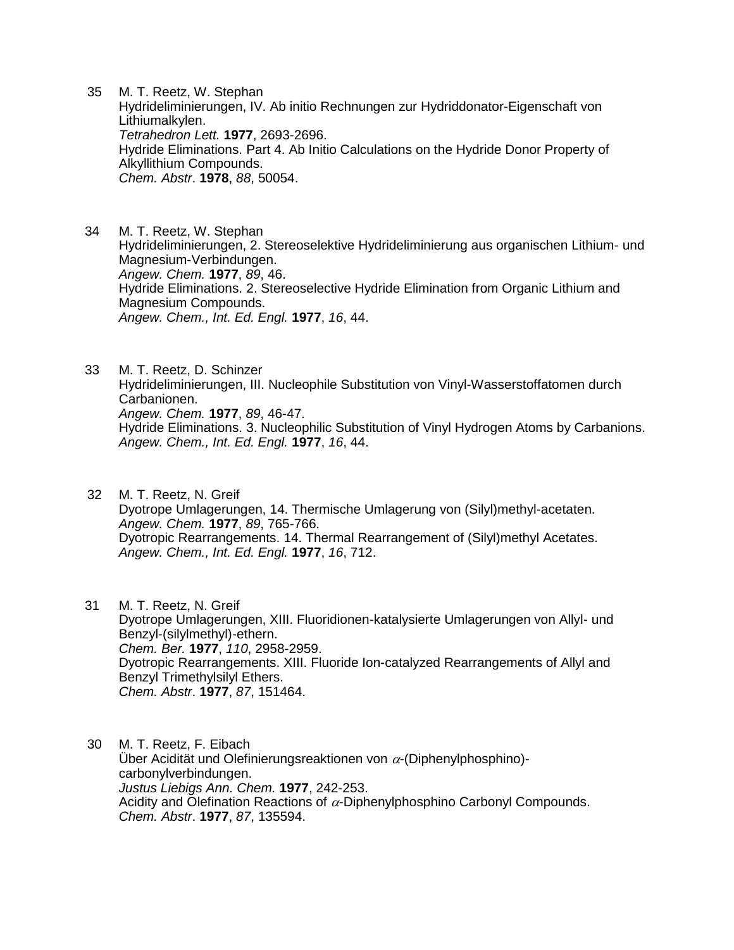35 M. T. Reetz, W. Stephan Hydrideliminierungen, IV. Ab initio Rechnungen zur Hydriddonator-Eigenschaft von Lithiumalkylen. *Tetrahedron Lett.* **1977**, 2693-2696. Hydride Eliminations. Part 4. Ab Initio Calculations on the Hydride Donor Property of Alkyllithium Compounds. *Chem. Abstr*. **1978**, *88*, 50054.

34 M. T. Reetz, W. Stephan Hydrideliminierungen, 2. Stereoselektive Hydrideliminierung aus organischen Lithium- und Magnesium-Verbindungen. *Angew. Chem.* **1977**, *89*, 46. Hydride Eliminations. 2. Stereoselective Hydride Elimination from Organic Lithium and Magnesium Compounds. *Angew. Chem., Int. Ed. Engl.* **1977**, *16*, 44.

33 M. T. Reetz, D. Schinzer Hydrideliminierungen, III. Nucleophile Substitution von Vinyl-Wasserstoffatomen durch Carbanionen. *Angew. Chem.* **1977**, *89*, 46-47. Hydride Eliminations. 3. Nucleophilic Substitution of Vinyl Hydrogen Atoms by Carbanions. *Angew. Chem., Int. Ed. Engl.* **1977**, *16*, 44.

32 M. T. Reetz, N. Greif Dyotrope Umlagerungen, 14. Thermische Umlagerung von (Silyl)methyl-acetaten. *Angew. Chem.* **1977**, *89*, 765-766. Dyotropic Rearrangements. 14. Thermal Rearrangement of (Silyl)methyl Acetates. *Angew. Chem., Int. Ed. Engl.* **1977**, *16*, 712.

31 M. T. Reetz, N. Greif Dyotrope Umlagerungen, XIII. Fluoridionen-katalysierte Umlagerungen von Allyl- und Benzyl-(silylmethyl)-ethern. *Chem. Ber.* **1977**, *110*, 2958-2959. Dyotropic Rearrangements. XIII. Fluoride Ion-catalyzed Rearrangements of Allyl and Benzyl Trimethylsilyl Ethers. *Chem. Abstr*. **1977**, *87*, 151464.

30 M. T. Reetz, F. Eibach Über Acidität und Olefinierungsreaktionen von  $\alpha$ -(Diphenylphosphino)carbonylverbindungen. *Justus Liebigs Ann. Chem.* **1977**, 242-253. Acidity and Olefination Reactions of  $\alpha$ -Diphenylphosphino Carbonyl Compounds. *Chem. Abstr*. **1977**, *87*, 135594.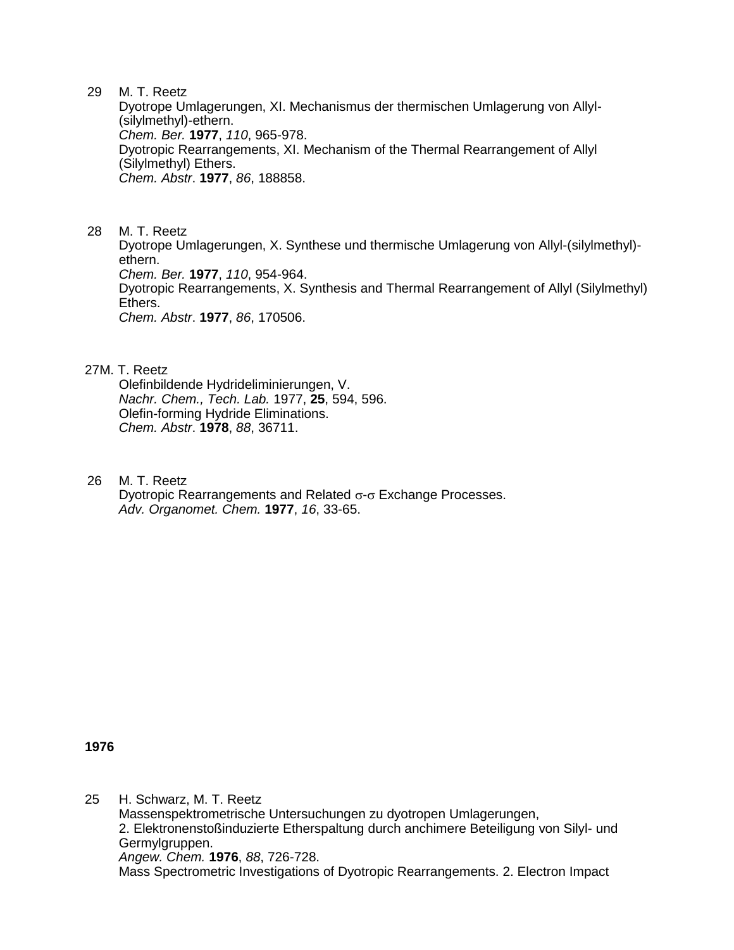29 M. T. Reetz

Dyotrope Umlagerungen, XI. Mechanismus der thermischen Umlagerung von Allyl- (silylmethyl)-ethern. *Chem. Ber.* **1977**, *110*, 965-978. Dyotropic Rearrangements, XI. Mechanism of the Thermal Rearrangement of Allyl (Silylmethyl) Ethers. *Chem. Abstr*. **1977**, *86*, 188858.

28 M. T. Reetz Dyotrope Umlagerungen, X. Synthese und thermische Umlagerung von Allyl-(silylmethyl) ethern. *Chem. Ber.* **1977**, *110*, 954-964. Dyotropic Rearrangements, X. Synthesis and Thermal Rearrangement of Allyl (Silylmethyl) Ethers. *Chem. Abstr*. **1977**, *86*, 170506.

### 27M. T. Reetz

Olefinbildende Hydrideliminierungen, V. *Nachr. Chem., Tech. Lab.* 1977, **25**, 594, 596. Olefin-forming Hydride Eliminations. *Chem. Abstr*. **1978**, *88*, 36711.

26 M. T. Reetz Dyotropic Rearrangements and Related  $\sigma$ - $\sigma$  Exchange Processes. *Adv. Organomet. Chem.* **1977**, *16*, 33-65.

**1976**

25 H. Schwarz, M. T. Reetz Massenspektrometrische Untersuchungen zu dyotropen Umlagerungen, 2. Elektronenstoßinduzierte Etherspaltung durch anchimere Beteiligung von Silyl- und Germylgruppen. *Angew. Chem.* **1976**, *88*, 726-728. Mass Spectrometric Investigations of Dyotropic Rearrangements. 2. Electron Impact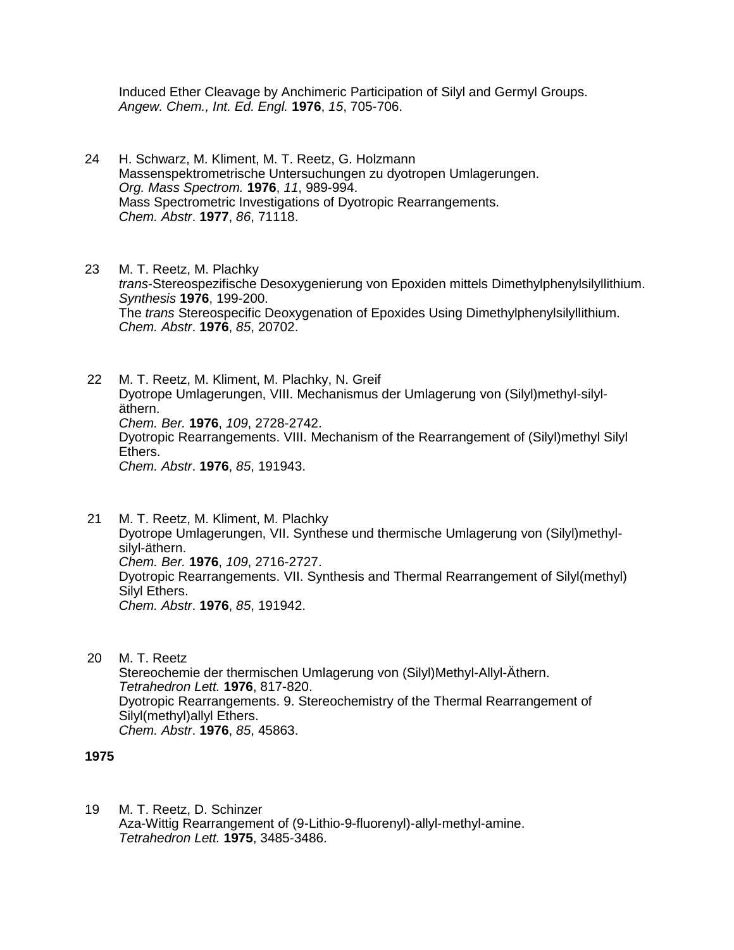Induced Ether Cleavage by Anchimeric Participation of Silyl and Germyl Groups. *Angew. Chem., Int. Ed. Engl.* **1976**, *15*, 705-706.

24 H. Schwarz, M. Kliment, M. T. Reetz, G. Holzmann Massenspektrometrische Untersuchungen zu dyotropen Umlagerungen. *Org. Mass Spectrom.* **1976**, *11*, 989-994. Mass Spectrometric Investigations of Dyotropic Rearrangements. *Chem. Abstr*. **1977**, *86*, 71118.

23 M. T. Reetz, M. Plachky *trans*-Stereospezifische Desoxygenierung von Epoxiden mittels Dimethylphenylsilyllithium. *Synthesis* **1976**, 199-200. The *trans* Stereospecific Deoxygenation of Epoxides Using Dimethylphenylsilyllithium. *Chem. Abstr*. **1976**, *85*, 20702.

22 M. T. Reetz, M. Kliment, M. Plachky, N. Greif Dyotrope Umlagerungen, VIII. Mechanismus der Umlagerung von (Silyl)methyl-silyläthern. *Chem. Ber.* **1976**, *109*, 2728-2742. Dyotropic Rearrangements. VIII. Mechanism of the Rearrangement of (Silyl)methyl Silyl Ethers. *Chem. Abstr*. **1976**, *85*, 191943.

- 21 M. T. Reetz, M. Kliment, M. Plachky Dyotrope Umlagerungen, VII. Synthese und thermische Umlagerung von (Silyl)methylsilyl-äthern. *Chem. Ber.* **1976**, *109*, 2716-2727. Dyotropic Rearrangements. VII. Synthesis and Thermal Rearrangement of Silyl(methyl) Silyl Ethers. *Chem. Abstr*. **1976**, *85*, 191942.
- 20 M. T. Reetz Stereochemie der thermischen Umlagerung von (Silyl)Methyl-Allyl-Äthern. *Tetrahedron Lett.* **1976**, 817-820. Dyotropic Rearrangements. 9. Stereochemistry of the Thermal Rearrangement of Silyl(methyl)allyl Ethers. *Chem. Abstr*. **1976**, *85*, 45863.

### **1975**

19 M. T. Reetz, D. Schinzer Aza-Wittig Rearrangement of (9-Lithio-9-fluorenyl)-allyl-methyl-amine. *Tetrahedron Lett.* **1975**, 3485-3486.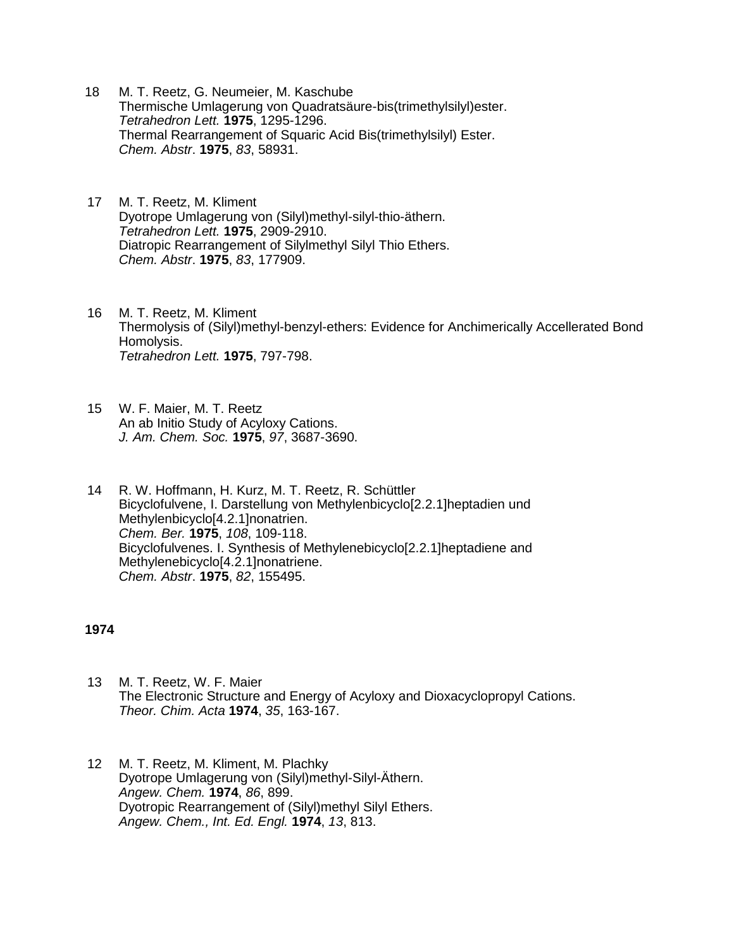- 18 M. T. Reetz, G. Neumeier, M. Kaschube Thermische Umlagerung von Quadratsäure-bis(trimethylsilyl)ester. *Tetrahedron Lett.* **1975**, 1295-1296. Thermal Rearrangement of Squaric Acid Bis(trimethylsilyl) Ester. *Chem. Abstr*. **1975**, *83*, 58931.
- 17 M. T. Reetz, M. Kliment Dyotrope Umlagerung von (Silyl)methyl-silyl-thio-äthern. *Tetrahedron Lett.* **1975**, 2909-2910. Diatropic Rearrangement of Silylmethyl Silyl Thio Ethers. *Chem. Abstr*. **1975**, *83*, 177909.
- 16 M. T. Reetz, M. Kliment Thermolysis of (Silyl)methyl-benzyl-ethers: Evidence for Anchimerically Accellerated Bond Homolysis. *Tetrahedron Lett.* **1975**, 797-798.
- 15 W. F. Maier, M. T. Reetz An ab Initio Study of Acyloxy Cations. *J. Am. Chem. Soc.* **1975**, *97*, 3687-3690.
- 14 R. W. Hoffmann, H. Kurz, M. T. Reetz, R. Schüttler Bicyclofulvene, I. Darstellung von Methylenbicyclo[2.2.1]heptadien und Methylenbicyclo[4.2.1]nonatrien. *Chem. Ber.* **1975**, *108*, 109-118. Bicyclofulvenes. I. Synthesis of Methylenebicyclo[2.2.1]heptadiene and Methylenebicyclo[4.2.1]nonatriene. *Chem. Abstr*. **1975**, *82*, 155495.

### **1974**

- 13 M. T. Reetz, W. F. Maier The Electronic Structure and Energy of Acyloxy and Dioxacyclopropyl Cations. *Theor. Chim. Acta* **1974**, *35*, 163-167.
- 12 M. T. Reetz, M. Kliment, M. Plachky Dyotrope Umlagerung von (Silyl)methyl-Silyl-Äthern. *Angew. Chem.* **1974**, *86*, 899. Dyotropic Rearrangement of (Silyl)methyl Silyl Ethers. *Angew. Chem., Int. Ed. Engl.* **1974**, *13*, 813.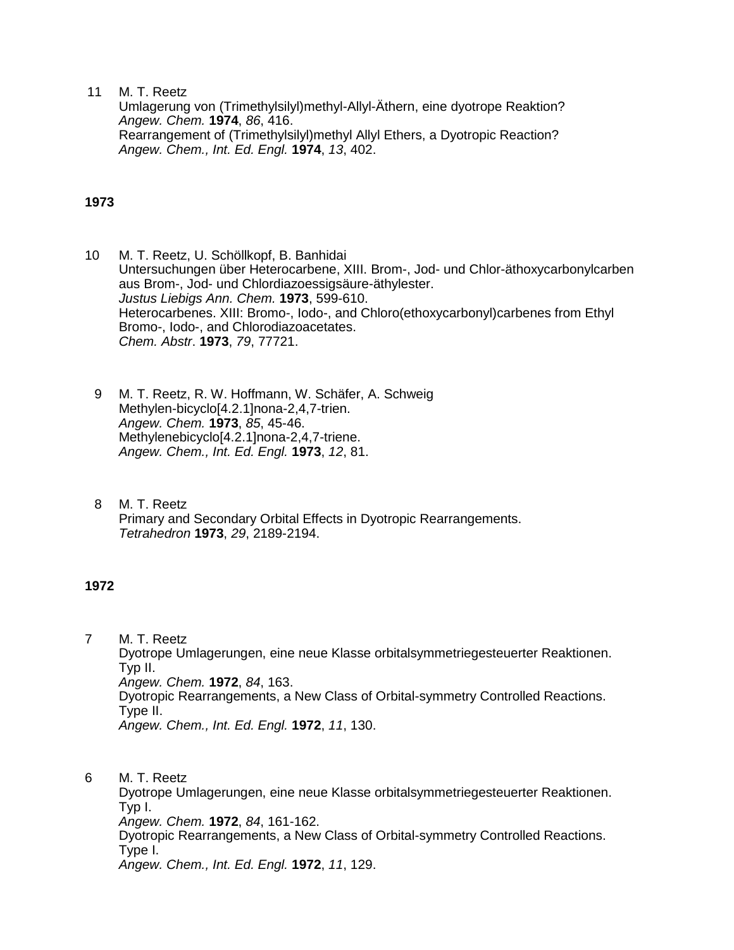11 M. T. Reetz

Umlagerung von (Trimethylsilyl)methyl-Allyl-Äthern, eine dyotrope Reaktion? *Angew. Chem.* **1974**, *86*, 416. Rearrangement of (Trimethylsilyl)methyl Allyl Ethers, a Dyotropic Reaction? *Angew. Chem., Int. Ed. Engl.* **1974**, *13*, 402.

## **1973**

- 10 M. T. Reetz, U. Schöllkopf, B. Banhidai Untersuchungen über Heterocarbene, XIII. Brom-, Jod- und Chlor-äthoxycarbonylcarben aus Brom-, Jod- und Chlordiazoessigsäure-äthylester. *Justus Liebigs Ann. Chem.* **1973**, 599-610. Heterocarbenes. XIII: Bromo-, Iodo-, and Chloro(ethoxycarbonyl)carbenes from Ethyl Bromo-, Iodo-, and Chlorodiazoacetates. *Chem. Abstr*. **1973**, *79*, 77721.
	- 9 M. T. Reetz, R. W. Hoffmann, W. Schäfer, A. Schweig Methylen-bicyclo[4.2.1]nona-2,4,7-trien. *Angew. Chem.* **1973**, *85*, 45-46. Methylenebicyclo[4.2.1]nona-2,4,7-triene. *Angew. Chem., Int. Ed. Engl.* **1973**, *12*, 81.
	- 8 M. T. Reetz Primary and Secondary Orbital Effects in Dyotropic Rearrangements. *Tetrahedron* **1973**, *29*, 2189-2194.

### **1972**

7 M. T. Reetz Dyotrope Umlagerungen, eine neue Klasse orbitalsymmetriegesteuerter Reaktionen. Typ II. *Angew. Chem.* **1972**, *84*, 163. Dyotropic Rearrangements, a New Class of Orbital-symmetry Controlled Reactions. Type II. *Angew. Chem., Int. Ed. Engl.* **1972**, *11*, 130.

6 M. T. Reetz Dyotrope Umlagerungen, eine neue Klasse orbitalsymmetriegesteuerter Reaktionen. Typ I. *Angew. Chem.* **1972**, *84*, 161-162. Dyotropic Rearrangements, a New Class of Orbital-symmetry Controlled Reactions. Type I. *Angew. Chem., Int. Ed. Engl.* **1972**, *11*, 129.